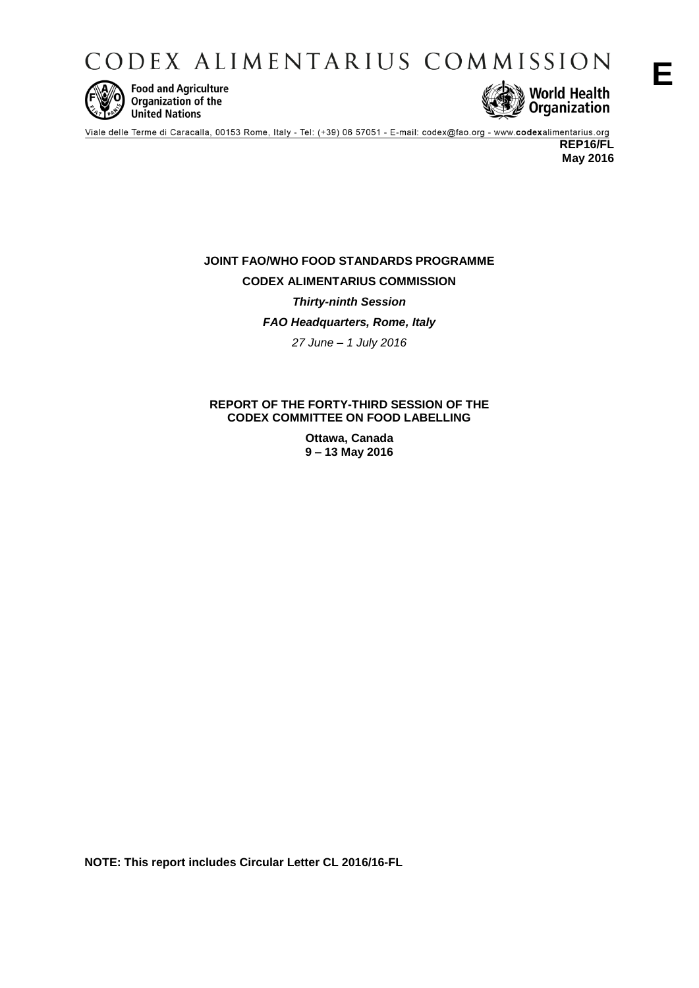CODEX ALIMENTARIUS COMMISSION



**Food and Agriculture** Organization of the **United Nations** 



Viale delle Terme di Caracalla, 00153 Rome, Italy - Tel: (+39) 06 57051 - E-mail: codex@fao.org - www.codexalimentarius.org **REP16/FL**

**May 2016**

# **JOINT FAO/WHO FOOD STANDARDS PROGRAMME CODEX ALIMENTARIUS COMMISSION** *Thirty-ninth Session FAO Headquarters, Rome, Italy 27 June – 1 July 2016*

# **REPORT OF THE FORTY-THIRD SESSION OF THE CODEX COMMITTEE ON FOOD LABELLING**

**Ottawa, Canada 9 – 13 May 2016**

**NOTE: This report includes Circular Letter CL 2016/16-FL**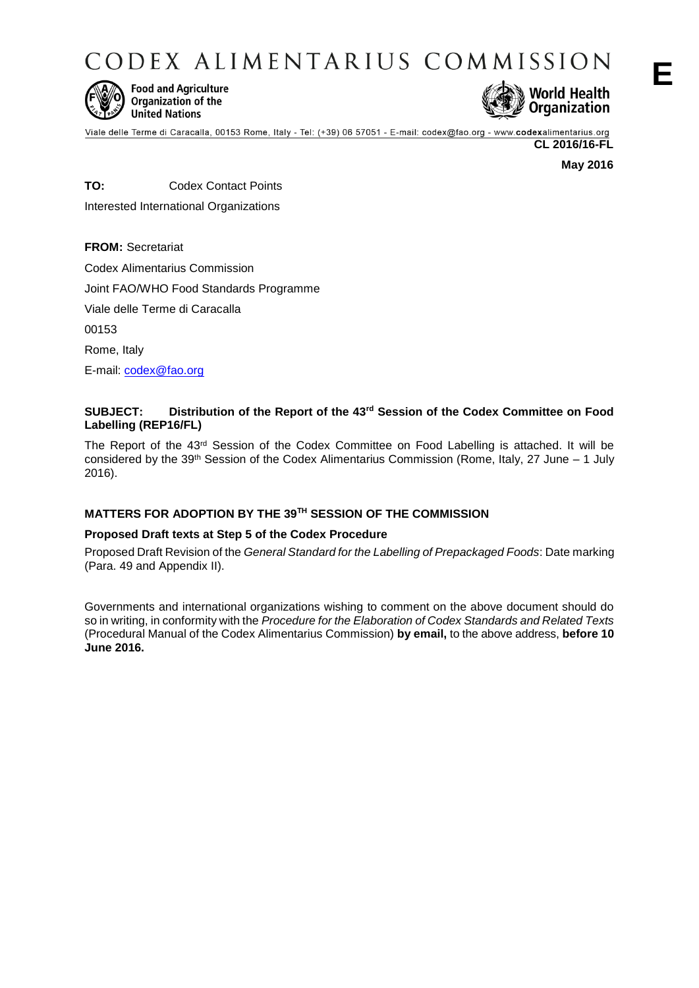CODEX ALIMENTARIUS COMMISSION



**Food and Agriculture** Organization of the **United Nations** 



Viale delle Terme di Caracalla, 00153 Rome, Italy - Tel: (+39) 06 57051 - E-mail: codex@fao.org - www.codexalimentarius.org

**CL 2016/16-FL**

**May 2016**

**TO:** Codex Contact Points Interested International Organizations

**FROM:** Secretariat Codex Alimentarius Commission Joint FAO/WHO Food Standards Programme Viale delle Terme di Caracalla 00153 Rome, Italy E-mail: [codex@fao.org](mailto:codex@fao.org)

# **SUBJECT: Distribution of the Report of the 43rd Session of the Codex Committee on Food Labelling (REP16/FL)**

The Report of the 43rd Session of the Codex Committee on Food Labelling is attached. It will be considered by the 39<sup>th</sup> Session of the Codex Alimentarius Commission (Rome, Italy, 27 June – 1 July 2016).

# **MATTERS FOR ADOPTION BY THE 39TH SESSION OF THE COMMISSION**

# **Proposed Draft texts at Step 5 of the Codex Procedure**

Proposed Draft Revision of the *General Standard for the Labelling of Prepackaged Foods*: Date marking (Para. 49 and Appendix II).

Governments and international organizations wishing to comment on the above document should do so in writing, in conformity with the *Procedure for the Elaboration of Codex Standards and Related Texts*  (Procedural Manual of the Codex Alimentarius Commission) **by email,** to the above address, **before 10 June 2016.**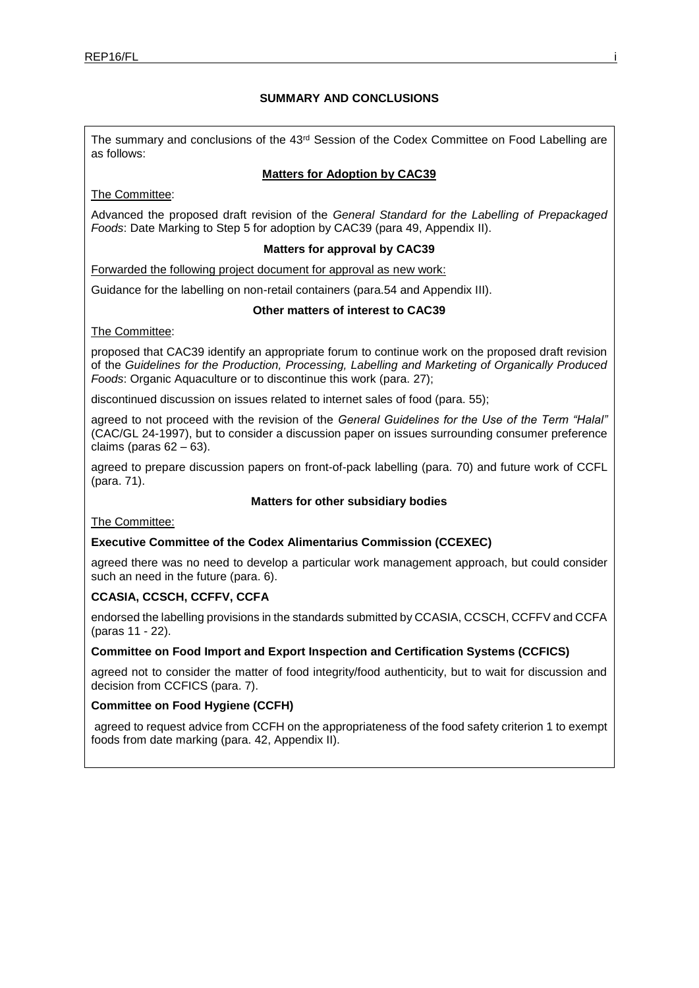# **SUMMARY AND CONCLUSIONS**

The summary and conclusions of the 43rd Session of the Codex Committee on Food Labelling are as follows:

# **Matters for Adoption by CAC39**

The Committee:

Advanced the proposed draft revision of the *General Standard for the Labelling of Prepackaged Foods*: Date Marking to Step 5 for adoption by CAC39 (para 49, Appendix II).

### **Matters for approval by CAC39**

Forwarded the following project document for approval as new work:

Guidance for the labelling on non-retail containers (para.54 and Appendix III).

### **Other matters of interest to CAC39**

The Committee:

proposed that CAC39 identify an appropriate forum to continue work on the proposed draft revision of the *Guidelines for the Production, Processing, Labelling and Marketing of Organically Produced Foods*: Organic Aquaculture or to discontinue this work (para. 27);

discontinued discussion on issues related to internet sales of food (para. 55);

agreed to not proceed with the revision of the *General Guidelines for the Use of the Term "Halal"*  (CAC/GL 24-1997), but to consider a discussion paper on issues surrounding consumer preference claims (paras  $62 - 63$ ).

agreed to prepare discussion papers on front-of-pack labelling (para. 70) and future work of CCFL (para. 71).

# **Matters for other subsidiary bodies**

The Committee:

# **Executive Committee of the Codex Alimentarius Commission (CCEXEC)**

agreed there was no need to develop a particular work management approach, but could consider such an need in the future (para. 6).

# **CCASIA, CCSCH, CCFFV, CCFA**

endorsed the labelling provisions in the standards submitted by CCASIA, CCSCH, CCFFV and CCFA (paras 11 - 22).

### **Committee on Food Import and Export Inspection and Certification Systems (CCFICS)**

agreed not to consider the matter of food integrity/food authenticity, but to wait for discussion and decision from CCFICS (para. 7).

# **Committee on Food Hygiene (CCFH)**

agreed to request advice from CCFH on the appropriateness of the food safety criterion 1 to exempt foods from date marking (para. 42, Appendix II).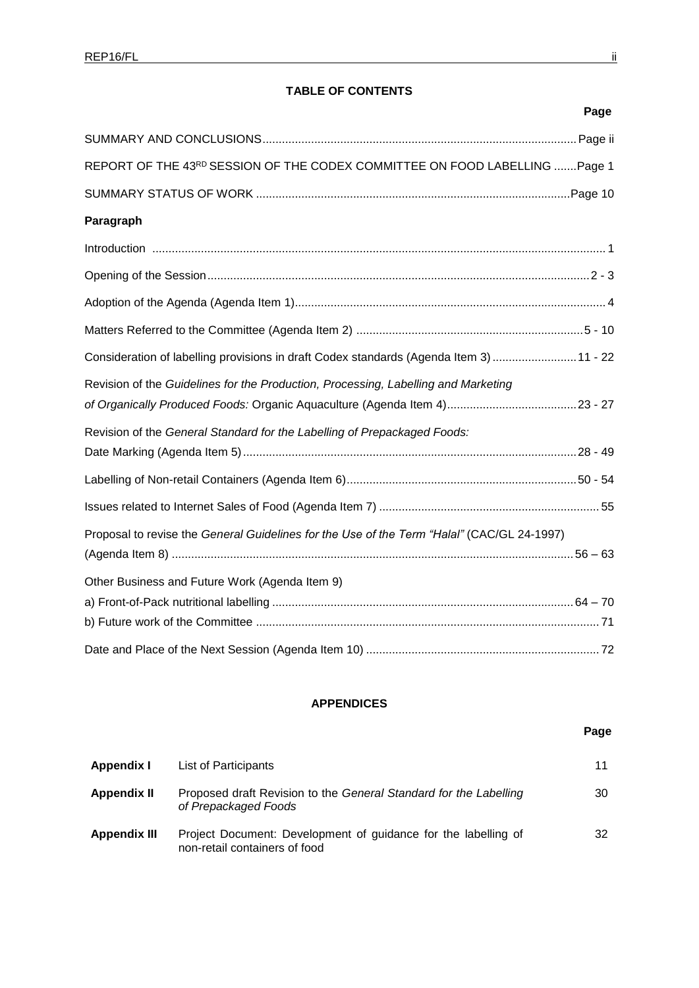# **TABLE OF CONTENTS**

| Page                                                                                       |
|--------------------------------------------------------------------------------------------|
|                                                                                            |
| REPORT OF THE 43RD SESSION OF THE CODEX COMMITTEE ON FOOD LABELLING  Page 1                |
|                                                                                            |
| Paragraph                                                                                  |
|                                                                                            |
|                                                                                            |
|                                                                                            |
|                                                                                            |
| Consideration of labelling provisions in draft Codex standards (Agenda Item 3)11 - 22      |
| Revision of the Guidelines for the Production, Processing, Labelling and Marketing         |
| Revision of the General Standard for the Labelling of Prepackaged Foods:                   |
|                                                                                            |
|                                                                                            |
| Proposal to revise the General Guidelines for the Use of the Term "Halal" (CAC/GL 24-1997) |
| Other Business and Future Work (Agenda Item 9)                                             |
|                                                                                            |
|                                                                                            |

# **APPENDICES**

# **Page**

| Appendix I          | List of Participants                                                                            |    |
|---------------------|-------------------------------------------------------------------------------------------------|----|
| Appendix II         | Proposed draft Revision to the General Standard for the Labelling<br>of Prepackaged Foods       | 30 |
| <b>Appendix III</b> | Project Document: Development of guidance for the labelling of<br>non-retail containers of food | 32 |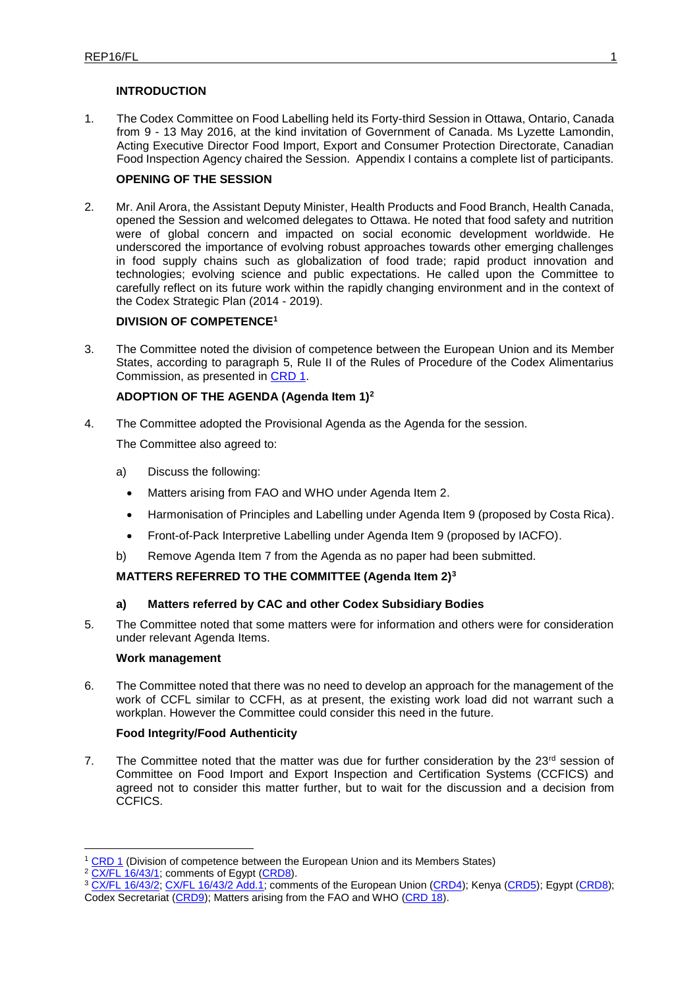# **INTRODUCTION**

1. The Codex Committee on Food Labelling held its Forty-third Session in Ottawa, Ontario, Canada from 9 - 13 May 2016, at the kind invitation of Government of Canada. Ms Lyzette Lamondin, Acting Executive Director Food Import, Export and Consumer Protection Directorate, Canadian Food Inspection Agency chaired the Session. Appendix I contains a complete list of participants.

# **OPENING OF THE SESSION**

2. Mr. Anil Arora, the Assistant Deputy Minister, Health Products and Food Branch, Health Canada, opened the Session and welcomed delegates to Ottawa. He noted that food safety and nutrition were of global concern and impacted on social economic development worldwide. He underscored the importance of evolving robust approaches towards other emerging challenges in food supply chains such as globalization of food trade; rapid product innovation and technologies; evolving science and public expectations. He called upon the Committee to carefully reflect on its future work within the rapidly changing environment and in the context of the Codex Strategic Plan (2014 - 2019).

### **DIVISION OF COMPETENCE<sup>1</sup>**

3. The Committee noted the division of competence between the European Union and its Member States, according to paragraph 5, Rule II of the Rules of Procedure of the Codex Alimentarius Commission, as presented in [CRD 1.](http://www.fao.org/fao-who-codexalimentarius/sh-proxy/en/?lnk=1&url=https%253A%252F%252Fworkspace.fao.org%252Fsites%252Fcodex%252FMeetings%252FCX-714-43%252FCRD%252Ffl43_CRD1e.pdf)

# **ADOPTION OF THE AGENDA (Agenda Item 1)<sup>2</sup>**

4. The Committee adopted the Provisional Agenda as the Agenda for the session.

The Committee also agreed to:

- a) Discuss the following:
	- Matters arising from FAO and WHO under Agenda Item 2.
	- Harmonisation of Principles and Labelling under Agenda Item 9 (proposed by Costa Rica).
	- Front-of-Pack Interpretive Labelling under Agenda Item 9 (proposed by IACFO).
- b) Remove Agenda Item 7 from the Agenda as no paper had been submitted.

# **MATTERS REFERRED TO THE COMMITTEE (Agenda Item 2)<sup>3</sup>**

### **a) Matters referred by CAC and other Codex Subsidiary Bodies**

5. The Committee noted that some matters were for information and others were for consideration under relevant Agenda Items.

### **Work management**

6. The Committee noted that there was no need to develop an approach for the management of the work of CCFL similar to CCFH, as at present, the existing work load did not warrant such a workplan. However the Committee could consider this need in the future.

### **Food Integrity/Food Authenticity**

7. The Committee noted that the matter was due for further consideration by the  $23<sup>rd</sup>$  session of Committee on Food Import and Export Inspection and Certification Systems (CCFICS) and agreed not to consider this matter further, but to wait for the discussion and a decision from CCFICS.

1

<sup>&</sup>lt;sup>1</sup> [CRD 1](http://www.fao.org/fao-who-codexalimentarius/sh-proxy/en/?lnk=1&url=https%253A%252F%252Fworkspace.fao.org%252Fsites%252Fcodex%252FMeetings%252FCX-714-43%252FCRD%252Ffl43_CRD1e.pdf) (Division of competence between the European Union and its Members States)

<sup>&</sup>lt;sup>2</sup> [CX/FL 16/43/1;](http://www.fao.org/fao-who-codexalimentarius/sh-proxy/en/?lnk=1&url=https%253A%252F%252Fworkspace.fao.org%252Fsites%252Fcodex%252FMeetings%252FCX-714-43%252FWD%252Ffl43_01e.pdf) comments of Egypt [\(CRD8\)](http://www.fao.org/fao-who-codexalimentarius/sh-proxy/en/?lnk=1&url=https%253A%252F%252Fworkspace.fao.org%252Fsites%252Fcodex%252FMeetings%252FCX-714-43%252FCRD%252Ffl43_CRD8x.pdf).

<sup>3</sup> [CX/FL 16/43/2;](http://www.fao.org/fao-who-codexalimentarius/sh-proxy/en/?lnk=1&url=https%253A%252F%252Fworkspace.fao.org%252Fsites%252Fcodex%252FMeetings%252FCX-714-43%252FWD%252Ffl43_02e.pdf) [CX/FL 16/43/2 Add.1;](http://www.fao.org/fao-who-codexalimentarius/sh-proxy/en/?lnk=1&url=https%253A%252F%252Fworkspace.fao.org%252Fsites%252Fcodex%252FMeetings%252FCX-714-43%252FWD%252Ffl43_02_add1e.pdf) comments of the European Union [\(CRD4\)](http://www.fao.org/fao-who-codexalimentarius/sh-proxy/en/?lnk=1&url=https%253A%252F%252Fworkspace.fao.org%252Fsites%252Fcodex%252FMeetings%252FCX-714-43%252FCRD%252Ffl43_CRD4x.pdf); Kenya [\(CRD5\)](http://www.fao.org/fao-who-codexalimentarius/sh-proxy/en/?lnk=1&url=https%253A%252F%252Fworkspace.fao.org%252Fsites%252Fcodex%252FMeetings%252FCX-714-43%252FCRD%252Ffl43_CRD5x.pdf); Egypt [\(CRD8\)](http://www.fao.org/fao-who-codexalimentarius/sh-proxy/en/?lnk=1&url=https%253A%252F%252Fworkspace.fao.org%252Fsites%252Fcodex%252FMeetings%252FCX-714-43%252FCRD%252Ffl43_CRD8x.pdf); Codex Secretariat [\(CRD9\)](http://www.fao.org/fao-who-codexalimentarius/sh-proxy/en/?lnk=1&url=https%253A%252F%252Fworkspace.fao.org%252Fsites%252Fcodex%252FMeetings%252FCX-714-43%252FCRD%252Ffl43_CRD9x.pdf); Matters arising from the FAO and WHO [\(CRD 18\)](http://www.fao.org/fao-who-codexalimentarius/sh-proxy/en/?lnk=1&url=https%253A%252F%252Fworkspace.fao.org%252Fsites%252Fcodex%252FMeetings%252FCX-714-43%252FCRD%252Ffl43_CRD18x.pdf).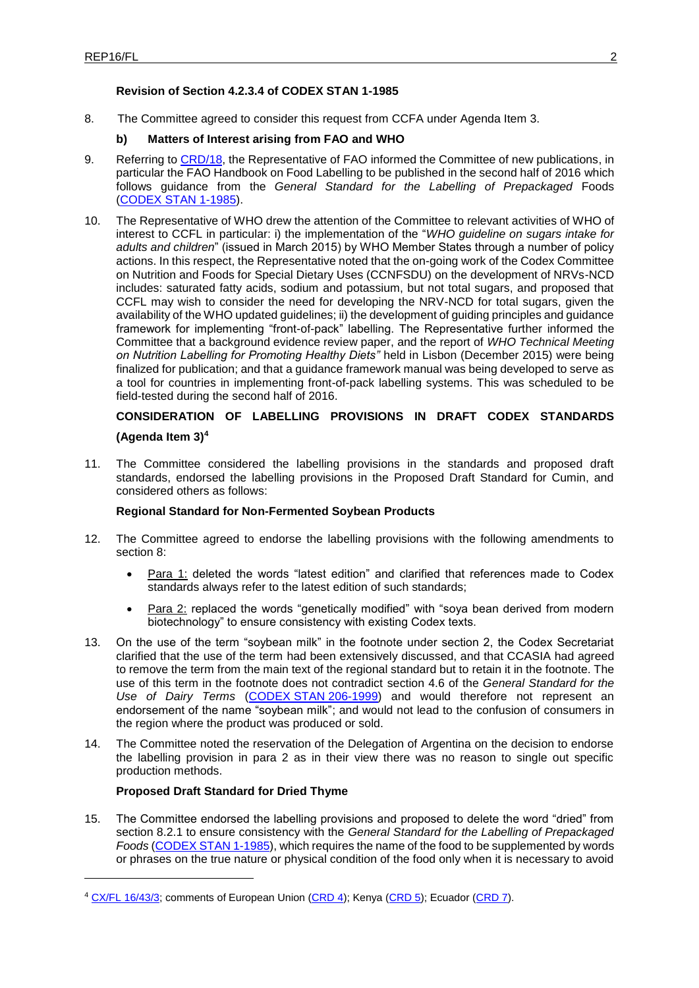# **Revision of Section 4.2.3.4 of CODEX STAN 1-1985**

8. The Committee agreed to consider this request from CCFA under Agenda Item 3.

# **b) Matters of Interest arising from FAO and WHO**

- 9. Referring to [CRD/18,](http://www.fao.org/fao-who-codexalimentarius/sh-proxy/en/?lnk=1&url=https%253A%252F%252Fworkspace.fao.org%252Fsites%252Fcodex%252FMeetings%252FCX-714-43%252FCRD%252Ffl43_CRD18x.pdf) the Representative of FAO informed the Committee of new publications, in particular the FAO Handbook on Food Labelling to be published in the second half of 2016 which follows guidance from the *General Standard for the Labelling of Prepackaged* Foods [\(CODEX](http://www.fao.org/fao-who-codexalimentarius/sh-proxy/en/?lnk=1&url=https%253A%252F%252Fworkspace.fao.org%252Fsites%252Fcodex%252FStandards%252FCODEX%2BSTAN%2B1-1985%252FCXS_001e.pdf) STAN 1-1985).
- 10. The Representative of WHO drew the attention of the Committee to relevant activities of WHO of interest to CCFL in particular: i) the implementation of the "*WHO guideline on sugars intake for adults and children*" (issued in March 2015) by WHO Member States through a number of policy actions. In this respect, the Representative noted that the on-going work of the Codex Committee on Nutrition and Foods for Special Dietary Uses (CCNFSDU) on the development of NRVs-NCD includes: saturated fatty acids, sodium and potassium, but not total sugars, and proposed that CCFL may wish to consider the need for developing the NRV-NCD for total sugars, given the availability of the WHO updated guidelines; ii) the development of guiding principles and guidance framework for implementing "front-of-pack" labelling. The Representative further informed the Committee that a background evidence review paper, and the report of *WHO Technical Meeting on Nutrition Labelling for Promoting Healthy Diets"* held in Lisbon (December 2015) were being finalized for publication; and that a guidance framework manual was being developed to serve as a tool for countries in implementing front-of-pack labelling systems. This was scheduled to be field-tested during the second half of 2016.

# **CONSIDERATION OF LABELLING PROVISIONS IN DRAFT CODEX STANDARDS (Agenda Item 3)<sup>4</sup>**

11. The Committee considered the labelling provisions in the standards and proposed draft standards, endorsed the labelling provisions in the Proposed Draft Standard for Cumin, and considered others as follows:

# **Regional Standard for Non-Fermented Soybean Products**

- 12. The Committee agreed to endorse the labelling provisions with the following amendments to section 8:
	- Para 1: deleted the words "latest edition" and clarified that references made to Codex standards always refer to the latest edition of such standards;
	- Para 2: replaced the words "genetically modified" with "soya bean derived from modern biotechnology" to ensure consistency with existing Codex texts.
- 13. On the use of the term "soybean milk" in the footnote under section 2, the Codex Secretariat clarified that the use of the term had been extensively discussed, and that CCASIA had agreed to remove the term from the main text of the regional standard but to retain it in the footnote. The use of this term in the footnote does not contradict section 4.6 of the *General Standard for the Use of Dairy Terms* (CODEX STAN [206-1999\)](http://www.fao.org/fao-who-codexalimentarius/sh-proxy/en/?lnk=1&url=https%253A%252F%252Fworkspace.fao.org%252Fsites%252Fcodex%252FStandards%252FCODEX%2BSTAN%2B206-1999%252FCXS_206e.pdf) and would therefore not represent an endorsement of the name "soybean milk"; and would not lead to the confusion of consumers in the region where the product was produced or sold.
- 14. The Committee noted the reservation of the Delegation of Argentina on the decision to endorse the labelling provision in para 2 as in their view there was no reason to single out specific production methods.

# **Proposed Draft Standard for Dried Thyme**

-

15. The Committee endorsed the labelling provisions and proposed to delete the word "dried" from section 8.2.1 to ensure consistency with the *General Standard for the Labelling of Prepackaged Foods* [\(CODEX STAN 1-1985\)](http://www.fao.org/fao-who-codexalimentarius/sh-proxy/en/?lnk=1&url=https%253A%252F%252Fworkspace.fao.org%252Fsites%252Fcodex%252FStandards%252FCODEX%2BSTAN%2B1-1985%252FCXS_001e.pdf), which requires the name of the food to be supplemented by words or phrases on the true nature or physical condition of the food only when it is necessary to avoid

<sup>&</sup>lt;sup>4</sup> [CX/FL 16/43/3;](http://www.fao.org/fao-who-codexalimentarius/sh-proxy/en/?lnk=1&url=https%253A%252F%252Fworkspace.fao.org%252Fsites%252Fcodex%252FMeetings%252FCX-714-43%252FWD%252Ffl43_03e.pdf) comments of European Union [\(CRD 4\)](http://www.fao.org/fao-who-codexalimentarius/sh-proxy/en/?lnk=1&url=https%253A%252F%252Fworkspace.fao.org%252Fsites%252Fcodex%252FMeetings%252FCX-714-43%252FCRD%252Ffl43_CRD4x.pdf); Kenya [\(CRD 5\)](http://www.fao.org/fao-who-codexalimentarius/sh-proxy/en/?lnk=1&url=https%253A%252F%252Fworkspace.fao.org%252Fsites%252Fcodex%252FMeetings%252FCX-714-43%252FCRD%252Ffl43_CRD5x.pdf); Ecuador [\(CRD 7\)](http://www.fao.org/fao-who-codexalimentarius/sh-proxy/en/?lnk=1&url=https%253A%252F%252Fworkspace.fao.org%252Fsites%252Fcodex%252FMeetings%252FCX-714-43%252FCRD%252Ffl43_CRD7x.pdf).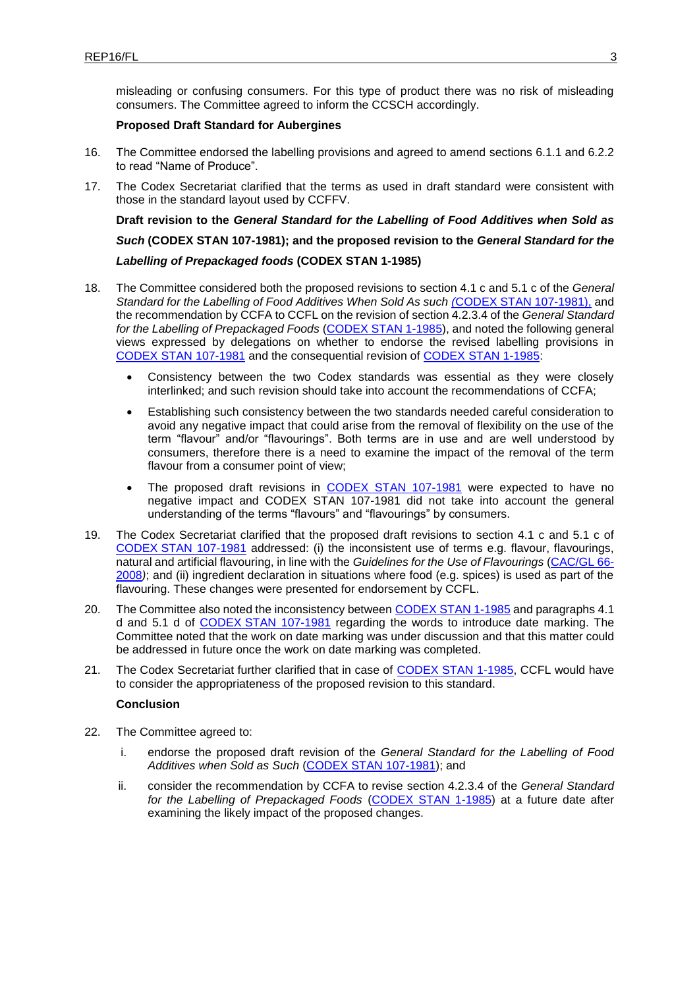misleading or confusing consumers. For this type of product there was no risk of misleading consumers. The Committee agreed to inform the CCSCH accordingly.

### **Proposed Draft Standard for Aubergines**

- 16. The Committee endorsed the labelling provisions and agreed to amend sections 6.1.1 and 6.2.2 to read "Name of Produce".
- 17. The Codex Secretariat clarified that the terms as used in draft standard were consistent with those in the standard layout used by CCFFV.

**Draft revision to the** *General Standard for the Labelling of Food Additives when Sold as Such* **(CODEX STAN 107-1981); and the proposed revision to the** *General Standard for the Labelling of Prepackaged foods* **(CODEX STAN 1-1985)**

- 18. The Committee considered both the proposed revisions to section 4.1 c and 5.1 c of the *General Standard for the Labelling of Food Additives When Sold As such (*[CODEX STAN 107-1981\),](file://///HQFILE1/AGDC/Committees%20&%20Task%20Forces/Codex%20Publications%20(Final%20Texts)/Codex%20texts%20(complete%20collection)/en-fr-es/Standards/CXS_107e.pdf) and the recommendation by CCFA to CCFL on the revision of section 4.2.3.4 of the *General Standard for the Labelling of Prepackaged Foods* [\(CODEX STAN 1-1985\)](http://www.fao.org/fao-who-codexalimentarius/sh-proxy/en/?lnk=1&url=https%253A%252F%252Fworkspace.fao.org%252Fsites%252Fcodex%252FStandards%252FCODEX%2BSTAN%2B1-1985%252FCXS_001e.pdf), and noted the following general views expressed by delegations on whether to endorse the revised labelling provisions in CODEX STAN [107-1981](file://///HQFILE1/agdc/Codex%20Publications%20(Final%20Texts)/Codex%20texts%20(complete%20collection)/en-fr-es/Standards/CXS_107e.pdf) and the consequential revision of [CODEX STAN 1-1985:](http://www.fao.org/fao-who-codexalimentarius/sh-proxy/en/?lnk=1&url=https%253A%252F%252Fworkspace.fao.org%252Fsites%252Fcodex%252FStandards%252FCODEX%2BSTAN%2B1-1985%252FCXS_001e.pdf)
	- Consistency between the two Codex standards was essential as they were closely interlinked; and such revision should take into account the recommendations of CCFA;
	- Establishing such consistency between the two standards needed careful consideration to avoid any negative impact that could arise from the removal of flexibility on the use of the term "flavour" and/or "flavourings". Both terms are in use and are well understood by consumers, therefore there is a need to examine the impact of the removal of the term flavour from a consumer point of view;
	- The proposed draft revisions in [CODEX STAN 107-1981](file://///HQFILE1/agdc/Codex%20Publications%20(Final%20Texts)/Codex%20texts%20(complete%20collection)/en-fr-es/Standards/CXS_107e.pdf) were expected to have no negative impact and CODEX STAN 107-1981 did not take into account the general understanding of the terms "flavours" and "flavourings" by consumers.
- 19. The Codex Secretariat clarified that the proposed draft revisions to section 4.1 c and 5.1 c of CODEX [STAN 107-1981](file://///HQFILE1/agdc/Codex%20Publications%20(Final%20Texts)/Codex%20texts%20(complete%20collection)/en-fr-es/Standards/CXS_107e.pdf) addressed: (i) the inconsistent use of terms e.g. flavour, flavourings, natural and artificial flavouring, in line with the *Guidelines for the Use of Flavourings* [\(CAC/GL 66-](http://www.fao.org/fao-who-codexalimentarius/sh-proxy/en/?lnk=1&url=https%253A%252F%252Fworkspace.fao.org%252Fsites%252Fcodex%252FStandards%252FCAC%2BGL%2B66-2008%252Fcxg_066e.pdf) [2008](http://www.fao.org/fao-who-codexalimentarius/sh-proxy/en/?lnk=1&url=https%253A%252F%252Fworkspace.fao.org%252Fsites%252Fcodex%252FStandards%252FCAC%2BGL%2B66-2008%252Fcxg_066e.pdf)*)*; and (ii) ingredient declaration in situations where food (e.g. spices) is used as part of the flavouring. These changes were presented for endorsement by CCFL.
- 20. The Committee also noted the inconsistency betwee[n CODEX STAN 1-1985](http://www.fao.org/fao-who-codexalimentarius/sh-proxy/en/?lnk=1&url=https%253A%252F%252Fworkspace.fao.org%252Fsites%252Fcodex%252FStandards%252FCODEX%2BSTAN%2B1-1985%252FCXS_001e.pdf) and paragraphs 4.1 d and 5.1 d of CODEX [STAN 107-1981](file://///HQFILE1/agdc/Codex%20Publications%20(Final%20Texts)/Codex%20texts%20(complete%20collection)/en-fr-es/Standards/CXS_107e.pdf) regarding the words to introduce date marking. The Committee noted that the work on date marking was under discussion and that this matter could be addressed in future once the work on date marking was completed.
- 21. The Codex Secretariat further clarified that in case of [CODEX STAN 1-1985,](http://www.fao.org/fao-who-codexalimentarius/sh-proxy/en/?lnk=1&url=https%253A%252F%252Fworkspace.fao.org%252Fsites%252Fcodex%252FStandards%252FCODEX%2BSTAN%2B1-1985%252FCXS_001e.pdf) CCFL would have to consider the appropriateness of the proposed revision to this standard.

### **Conclusion**

- 22. The Committee agreed to:
	- i. endorse the proposed draft revision of the *General Standard for the Labelling of Food Additives when Sold as Such* [\(CODEX STAN 107-1981\)](file://///HQFILE1/agdc/Codex%20Publications%20(Final%20Texts)/Codex%20texts%20(complete%20collection)/en-fr-es/Standards/CXS_107e.pdf); and
	- ii. consider the recommendation by CCFA to revise section 4.2.3.4 of the *General Standard for the Labelling of Prepackaged Foods* [\(CODEX STAN 1-1985\)](http://www.fao.org/fao-who-codexalimentarius/sh-proxy/en/?lnk=1&url=https%253A%252F%252Fworkspace.fao.org%252Fsites%252Fcodex%252FStandards%252FCODEX%2BSTAN%2B1-1985%252FCXS_001e.pdf) at a future date after examining the likely impact of the proposed changes.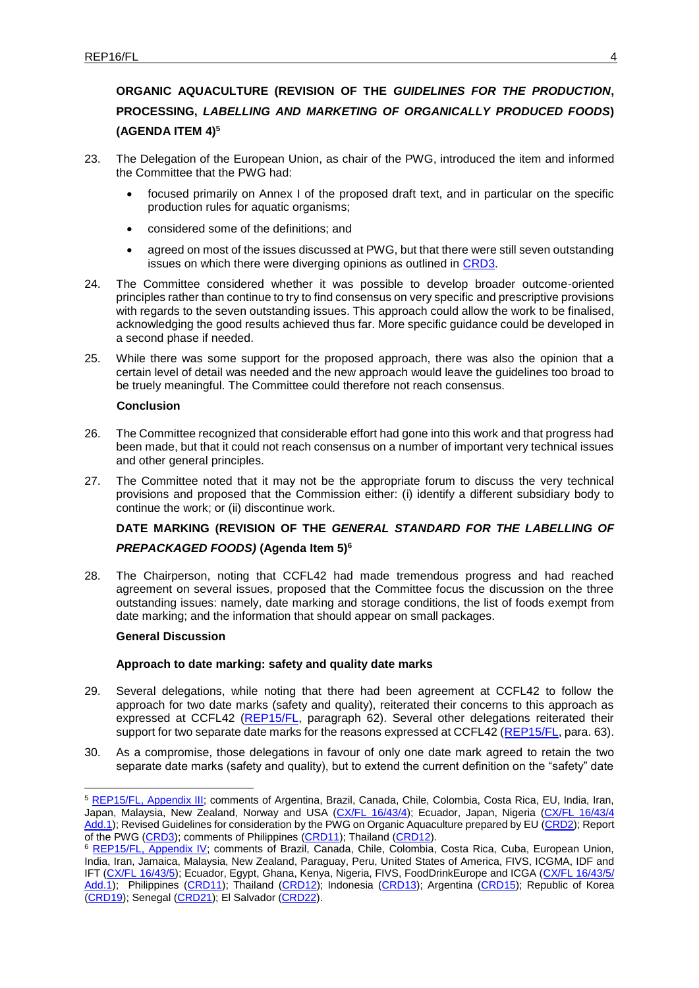# **ORGANIC AQUACULTURE (REVISION OF THE** *GUIDELINES FOR THE PRODUCTION***, PROCESSING,** *LABELLING AND MARKETING OF ORGANICALLY PRODUCED FOODS***) (AGENDA ITEM 4)<sup>5</sup>**

- 23. The Delegation of the European Union, as chair of the PWG, introduced the item and informed the Committee that the PWG had:
	- focused primarily on Annex I of the proposed draft text, and in particular on the specific production rules for aquatic organisms;
	- considered some of the definitions; and
	- agreed on most of the issues discussed at PWG, but that there were still seven outstanding issues on which there were diverging opinions as outlined in [CRD3.](http://www.fao.org/fao-who-codexalimentarius/sh-proxy/en/?lnk=1&url=https%253A%252F%252Fworkspace.fao.org%252Fsites%252Fcodex%252FMeetings%252FCX-714-43%252FCRD%252Ffl43_CRD3x.pdf)
- 24. The Committee considered whether it was possible to develop broader outcome-oriented principles rather than continue to try to find consensus on very specific and prescriptive provisions with regards to the seven outstanding issues. This approach could allow the work to be finalised, acknowledging the good results achieved thus far. More specific guidance could be developed in a second phase if needed.
- 25. While there was some support for the proposed approach, there was also the opinion that a certain level of detail was needed and the new approach would leave the guidelines too broad to be truely meaningful. The Committee could therefore not reach consensus.

### **Conclusion**

- 26. The Committee recognized that considerable effort had gone into this work and that progress had been made, but that it could not reach consensus on a number of important very technical issues and other general principles.
- 27. The Committee noted that it may not be the appropriate forum to discuss the very technical provisions and proposed that the Commission either: (i) identify a different subsidiary body to continue the work; or (ii) discontinue work.

# **DATE MARKING (REVISION OF THE** *GENERAL STANDARD FOR THE LABELLING OF*

# *PREPACKAGED FOODS)* **(Agenda Item 5)<sup>6</sup>**

28. The Chairperson, noting that CCFL42 had made tremendous progress and had reached agreement on several issues, proposed that the Committee focus the discussion on the three outstanding issues: namely, date marking and storage conditions, the list of foods exempt from date marking; and the information that should appear on small packages.

# **General Discussion**

1

# **Approach to date marking: safety and quality date marks**

- 29. Several delegations, while noting that there had been agreement at CCFL42 to follow the approach for two date marks (safety and quality), reiterated their concerns to this approach as expressed at CCFL42 [\(REP15/FL,](http://www.fao.org/fao-who-codexalimentarius/sh-proxy/en/?lnk=1&url=https%253A%252F%252Fworkspace.fao.org%252Fsites%252Fcodex%252FMeetings%252FCX-714-43%252FWD%252FREP15_FLe.pdf) paragraph 62). Several other delegations reiterated their support for two separate date marks for the reasons expressed at CCFL42 [\(REP15/FL,](http://www.fao.org/fao-who-codexalimentarius/sh-proxy/en/?lnk=1&url=https%253A%252F%252Fworkspace.fao.org%252Fsites%252Fcodex%252FMeetings%252FCX-714-43%252FWD%252FREP15_FLe.pdf) para. 63).
- 30. As a compromise, those delegations in favour of only one date mark agreed to retain the two separate date marks (safety and quality), but to extend the current definition on the "safety" date

<sup>5</sup> [REP15/FL, Appendix III;](http://www.fao.org/fao-who-codexalimentarius/sh-proxy/en/?lnk=1&url=https%253A%252F%252Fworkspace.fao.org%252Fsites%252Fcodex%252FMeetings%252FCX-714-43%252FWD%252FREP15_FLe.pdf) comments of Argentina, Brazil, Canada, Chile, Colombia, Costa Rica, EU, India, Iran, Japan, Malaysia, New Zealand, Norway and USA [\(CX/FL 16/43/4\)](http://www.fao.org/fao-who-codexalimentarius/sh-proxy/en/?lnk=1&url=https%253A%252F%252Fworkspace.fao.org%252Fsites%252Fcodex%252FMeetings%252FCX-714-43%252FWD%252Ffl43_04e.pdf); Ecuador, Japan, Nigeria (CX/FL 16/43/4 [Add.1\)](http://www.fao.org/fao-who-codexalimentarius/sh-proxy/en/?lnk=1&url=https%253A%252F%252Fworkspace.fao.org%252Fsites%252Fcodex%252FMeetings%252FCX-714-43%252FWD%252Ffl43_04_add1x.pdf); Revised Guidelines for consideration by the PWG on Organic Aquaculture prepared by EU [\(CRD2\)](http://www.fao.org/fao-who-codexalimentarius/sh-proxy/en/?lnk=1&url=https%253A%252F%252Fworkspace.fao.org%252Fsites%252Fcodex%252FMeetings%252FCX-714-43%252FCRD%252Ffl43_CRD2x.pdf); Report of the PWG [\(CRD3\)](http://www.fao.org/fao-who-codexalimentarius/sh-proxy/en/?lnk=1&url=https%253A%252F%252Fworkspace.fao.org%252Fsites%252Fcodex%252FMeetings%252FCX-714-43%252FCRD%252Ffl43_CRD3x.pdf); comments of Philippines [\(CRD11\)](http://www.fao.org/fao-who-codexalimentarius/sh-proxy/en/?lnk=1&url=https%253A%252F%252Fworkspace.fao.org%252Fsites%252Fcodex%252FMeetings%252FCX-714-43%252FCRD%252Ffl43_CRD11x.pdf); Thailand [\(CRD12\)](http://www.fao.org/fao-who-codexalimentarius/sh-proxy/en/?lnk=1&url=https%253A%252F%252Fworkspace.fao.org%252Fsites%252Fcodex%252FMeetings%252FCX-714-43%252FCRD%252Ffl43_CRD12x.pdf).

<sup>&</sup>lt;sup>6</sup> [REP15/FL, Appendix IV;](http://www.fao.org/fao-who-codexalimentarius/sh-proxy/en/?lnk=1&url=https%253A%252F%252Fworkspace.fao.org%252Fsites%252Fcodex%252FMeetings%252FCX-714-43%252FWD%252FREP15_FLe.pdf) comments of Brazil, Canada, Chile, Colombia, Costa Rica, Cuba, European Union, India, Iran, Jamaica, Malaysia, New Zealand, Paraguay, Peru, United States of America, FIVS, ICGMA, IDF and IFT (CX/FL [16/43/5\)](http://www.fao.org/fao-who-codexalimentarius/sh-proxy/en/?lnk=1&url=https%253A%252F%252Fworkspace.fao.org%252Fsites%252Fcodex%252FMeetings%252FCX-714-43%252FWD%252Ffl43_05e.pdf); Ecuador, Egypt, Ghana, Kenya, Nigeria, FIVS, FoodDrinkEurope and ICGA (CX/FL 16/43/5/ [Add.1\)](http://www.fao.org/fao-who-codexalimentarius/sh-proxy/en/?lnk=1&url=https%253A%252F%252Fworkspace.fao.org%252Fsites%252Fcodex%252FMeetings%252FCX-714-43%252FWD%252Ffl43_05_add1x.pdf); Philippines [\(CRD11\)](http://www.fao.org/fao-who-codexalimentarius/sh-proxy/en/?lnk=1&url=https%253A%252F%252Fworkspace.fao.org%252Fsites%252Fcodex%252FMeetings%252FCX-714-43%252FCRD%252Ffl43_CRD11x.pdf); Thailand [\(CRD12\)](http://www.fao.org/fao-who-codexalimentarius/sh-proxy/en/?lnk=1&url=https%253A%252F%252Fworkspace.fao.org%252Fsites%252Fcodex%252FMeetings%252FCX-714-43%252FCRD%252Ffl43_CRD12x.pdf); Indonesia [\(CRD13\)](http://www.fao.org/fao-who-codexalimentarius/sh-proxy/en/?lnk=1&url=https%253A%252F%252Fworkspace.fao.org%252Fsites%252Fcodex%252FMeetings%252FCX-714-43%252FCRD%252Ffl43_CRD13x.pdf); Argentina [\(CRD15\)](http://www.fao.org/fao-who-codexalimentarius/sh-proxy/en/?lnk=1&url=https%253A%252F%252Fworkspace.fao.org%252Fsites%252Fcodex%252FMeetings%252FCX-714-43%252FCRD%252Ffl43_CRD15x.pdf); Republic of Korea [\(CRD19\)](http://www.fao.org/fao-who-codexalimentarius/sh-proxy/en/?lnk=1&url=https%253A%252F%252Fworkspace.fao.org%252Fsites%252Fcodex%252FMeetings%252FCX-714-43%252FCRD%252Ffl43_CRD19x.pdf); Senegal [\(CRD21\)](http://www.fao.org/fao-who-codexalimentarius/sh-proxy/en/?lnk=1&url=https%253A%252F%252Fworkspace.fao.org%252Fsites%252Fcodex%252FMeetings%252FCX-714-43%252FCRD%252Ffl43_CRD21x.pdf); El Salvador [\(CRD22\)](http://www.fao.org/fao-who-codexalimentarius/sh-proxy/en/?lnk=1&url=https%253A%252F%252Fworkspace.fao.org%252Fsites%252Fcodex%252FMeetings%252FCX-714-43%252FCRD%252Ffl43_CRD22x.pdf).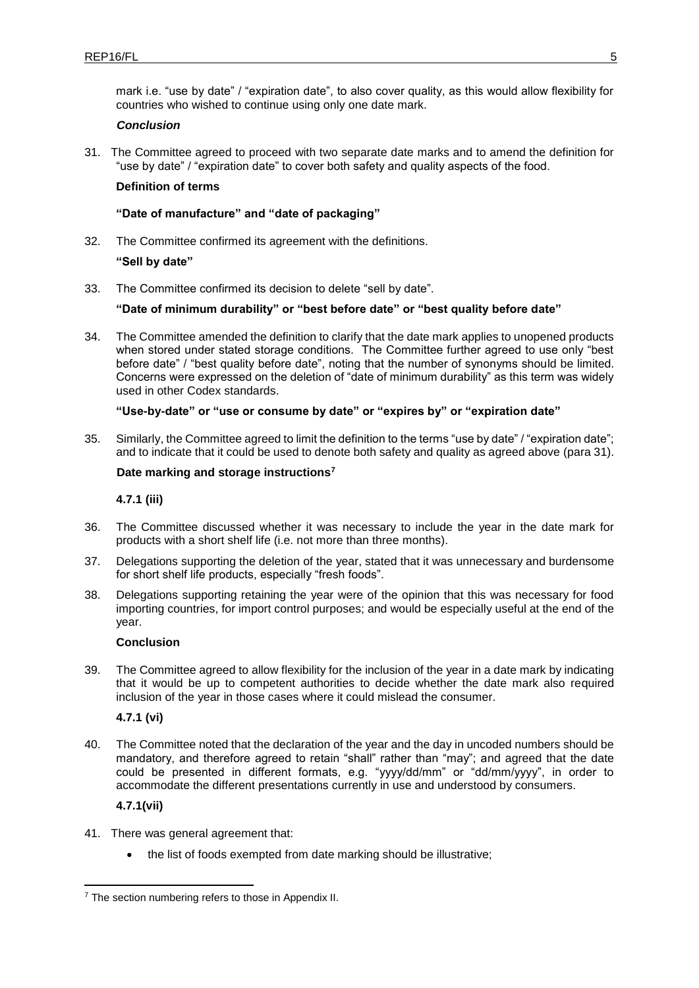mark i.e. "use by date" / "expiration date", to also cover quality, as this would allow flexibility for countries who wished to continue using only one date mark.

### *Conclusion*

<span id="page-8-0"></span>31. The Committee agreed to proceed with two separate date marks and to amend the definition for "use by date" / "expiration date" to cover both safety and quality aspects of the food.

### **Definition of terms**

# **"Date of manufacture" and "date of packaging"**

32. The Committee confirmed its agreement with the definitions.

# **"Sell by date"**

33. The Committee confirmed its decision to delete "sell by date".

### **"Date of minimum durability" or "best before date" or "best quality before date"**

34. The Committee amended the definition to clarify that the date mark applies to unopened products when stored under stated storage conditions. The Committee further agreed to use only "best before date" / "best quality before date", noting that the number of synonyms should be limited. Concerns were expressed on the deletion of "date of minimum durability" as this term was widely used in other Codex standards.

### **"Use-by-date" or "use or consume by date" or "expires by" or "expiration date"**

35. Similarly, the Committee agreed to limit the definition to the terms "use by date" / "expiration date"; and to indicate that it could be used to denote both safety and quality as agreed above (para [31\)](#page-8-0).

### **Date marking and storage instructions<sup>7</sup>**

**4.7.1 (iii)** 

- 36. The Committee discussed whether it was necessary to include the year in the date mark for products with a short shelf life (i.e. not more than three months).
- 37. Delegations supporting the deletion of the year, stated that it was unnecessary and burdensome for short shelf life products, especially "fresh foods".
- 38. Delegations supporting retaining the year were of the opinion that this was necessary for food importing countries, for import control purposes; and would be especially useful at the end of the year.

### **Conclusion**

39. The Committee agreed to allow flexibility for the inclusion of the year in a date mark by indicating that it would be up to competent authorities to decide whether the date mark also required inclusion of the year in those cases where it could mislead the consumer.

**4.7.1 (vi)**

40. The Committee noted that the declaration of the year and the day in uncoded numbers should be mandatory, and therefore agreed to retain "shall" rather than "may"; and agreed that the date could be presented in different formats, e.g. "yyyy/dd/mm" or "dd/mm/yyyy", in order to accommodate the different presentations currently in use and understood by consumers.

### **4.7.1(vii)**

- 41. There was general agreement that:
	- the list of foods exempted from date marking should be illustrative;

<sup>-</sup><sup>7</sup> The section numbering refers to those in Appendix II.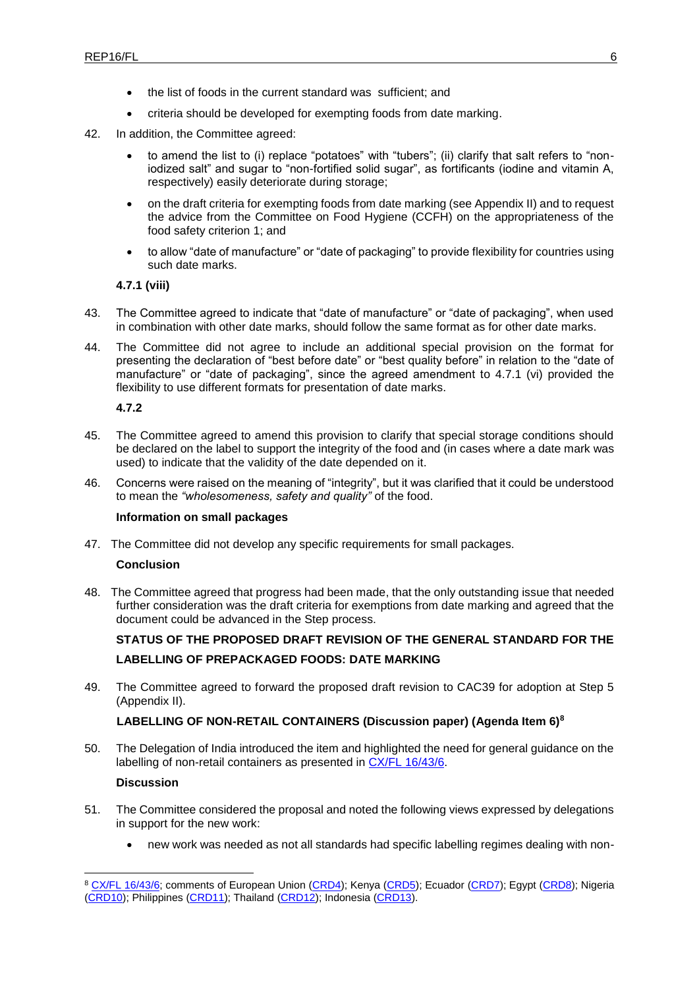- the list of foods in the current standard was sufficient; and
- criteria should be developed for exempting foods from date marking.
- 42. In addition, the Committee agreed:
	- to amend the list to (i) replace "potatoes" with "tubers"; (ii) clarify that salt refers to "noniodized salt" and sugar to "non-fortified solid sugar", as fortificants (iodine and vitamin A, respectively) easily deteriorate during storage;
	- on the draft criteria for exempting foods from date marking (see Appendix II) and to request the advice from the Committee on Food Hygiene (CCFH) on the appropriateness of the food safety criterion 1; and
	- to allow "date of manufacture" or "date of packaging" to provide flexibility for countries using such date marks.

**4.7.1 (viii)**

- 43. The Committee agreed to indicate that "date of manufacture" or "date of packaging", when used in combination with other date marks, should follow the same format as for other date marks.
- 44. The Committee did not agree to include an additional special provision on the format for presenting the declaration of "best before date" or "best quality before" in relation to the "date of manufacture" or "date of packaging", since the agreed amendment to 4.7.1 (vi) provided the flexibility to use different formats for presentation of date marks.

**4.7.2**

- 45. The Committee agreed to amend this provision to clarify that special storage conditions should be declared on the label to support the integrity of the food and (in cases where a date mark was used) to indicate that the validity of the date depended on it.
- 46. Concerns were raised on the meaning of "integrity", but it was clarified that it could be understood to mean the *"wholesomeness, safety and quality"* of the food.

### **Information on small packages**

47. The Committee did not develop any specific requirements for small packages.

### **Conclusion**

48. The Committee agreed that progress had been made, that the only outstanding issue that needed further consideration was the draft criteria for exemptions from date marking and agreed that the document could be advanced in the Step process.

# **STATUS OF THE PROPOSED DRAFT REVISION OF THE GENERAL STANDARD FOR THE LABELLING OF PREPACKAGED FOODS: DATE MARKING**

49. The Committee agreed to forward the proposed draft revision to CAC39 for adoption at Step 5 (Appendix II).

# **LABELLING OF NON-RETAIL CONTAINERS (Discussion paper) (Agenda Item 6)<sup>8</sup>**

50. The Delegation of India introduced the item and highlighted the need for general guidance on the labelling of non-retail containers as presented in [CX/FL 16/43/6.](http://www.fao.org/fao-who-codexalimentarius/sh-proxy/en/?lnk=1&url=https%253A%252F%252Fworkspace.fao.org%252Fsites%252Fcodex%252FMeetings%252FCX-714-43%252FWD%252Ffl43_06e.pdf)

### **Discussion**

1

- 51. The Committee considered the proposal and noted the following views expressed by delegations in support for the new work:
	- new work was needed as not all standards had specific labelling regimes dealing with non-

<sup>8</sup> [CX/FL 16/43/6;](http://www.fao.org/fao-who-codexalimentarius/sh-proxy/en/?lnk=1&url=https%253A%252F%252Fworkspace.fao.org%252Fsites%252Fcodex%252FMeetings%252FCX-714-43%252FWD%252Ffl43_06e.pdf) comments of European Union [\(CRD4\)](http://www.fao.org/fao-who-codexalimentarius/sh-proxy/en/?lnk=1&url=https%253A%252F%252Fworkspace.fao.org%252Fsites%252Fcodex%252FMeetings%252FCX-714-43%252FCRD%252Ffl43_CRD4x.pdf); Kenya [\(CRD5\)](http://www.fao.org/fao-who-codexalimentarius/sh-proxy/en/?lnk=1&url=https%253A%252F%252Fworkspace.fao.org%252Fsites%252Fcodex%252FMeetings%252FCX-714-43%252FCRD%252Ffl43_CRD5x.pdf); Ecuador [\(CRD7\)](http://www.fao.org/fao-who-codexalimentarius/sh-proxy/en/?lnk=1&url=https%253A%252F%252Fworkspace.fao.org%252Fsites%252Fcodex%252FMeetings%252FCX-714-43%252FCRD%252Ffl43_CRD7x.pdf); Egypt [\(CRD8\)](http://www.fao.org/fao-who-codexalimentarius/sh-proxy/en/?lnk=1&url=https%253A%252F%252Fworkspace.fao.org%252Fsites%252Fcodex%252FMeetings%252FCX-714-43%252FCRD%252Ffl43_CRD8x.pdf); Nigeria [\(CRD10\)](http://www.fao.org/fao-who-codexalimentarius/sh-proxy/en/?lnk=1&url=https%253A%252F%252Fworkspace.fao.org%252Fsites%252Fcodex%252FMeetings%252FCX-714-43%252FCRD%252Ffl43_CRD10x.pdf); Philippines [\(CRD11\)](http://www.fao.org/fao-who-codexalimentarius/sh-proxy/en/?lnk=1&url=https%253A%252F%252Fworkspace.fao.org%252Fsites%252Fcodex%252FMeetings%252FCX-714-43%252FCRD%252Ffl43_CRD11x.pdf); Thailand [\(CRD12\)](http://www.fao.org/fao-who-codexalimentarius/sh-proxy/en/?lnk=1&url=https%253A%252F%252Fworkspace.fao.org%252Fsites%252Fcodex%252FMeetings%252FCX-714-43%252FCRD%252Ffl43_CRD12x.pdf); Indonesia [\(CRD13\)](http://www.fao.org/fao-who-codexalimentarius/sh-proxy/en/?lnk=1&url=https%253A%252F%252Fworkspace.fao.org%252Fsites%252Fcodex%252FMeetings%252FCX-714-43%252FCRD%252Ffl43_CRD13x.pdf).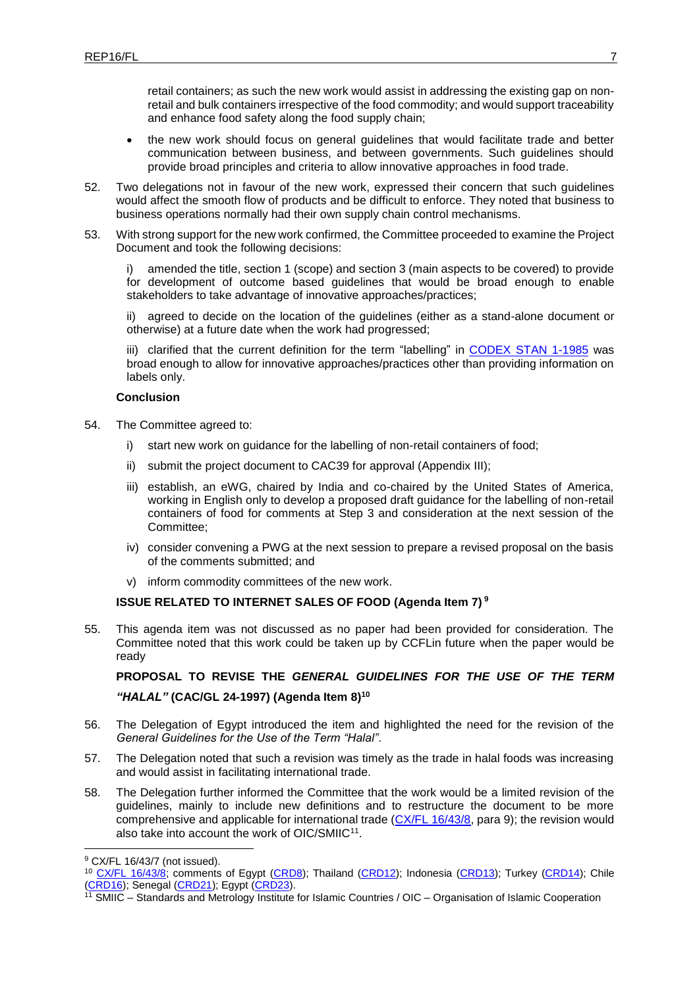retail containers; as such the new work would assist in addressing the existing gap on nonretail and bulk containers irrespective of the food commodity; and would support traceability and enhance food safety along the food supply chain;

- the new work should focus on general guidelines that would facilitate trade and better communication between business, and between governments. Such guidelines should provide broad principles and criteria to allow innovative approaches in food trade.
- 52. Two delegations not in favour of the new work, expressed their concern that such guidelines would affect the smooth flow of products and be difficult to enforce. They noted that business to business operations normally had their own supply chain control mechanisms.
- 53. With strong support for the new work confirmed, the Committee proceeded to examine the Project Document and took the following decisions:

amended the title, section 1 (scope) and section 3 (main aspects to be covered) to provide for development of outcome based guidelines that would be broad enough to enable stakeholders to take advantage of innovative approaches/practices;

ii) agreed to decide on the location of the guidelines (either as a stand-alone document or otherwise) at a future date when the work had progressed;

iii) clarified that the current definition for the term "labelling" in [CODEX STAN 1-1985](http://www.fao.org/fao-who-codexalimentarius/sh-proxy/en/?lnk=1&url=https%253A%252F%252Fworkspace.fao.org%252Fsites%252Fcodex%252FStandards%252FCODEX%2BSTAN%2B1-1985%252FCXS_001e.pdf) was broad enough to allow for innovative approaches/practices other than providing information on labels only.

#### **Conclusion**

- 54. The Committee agreed to:
	- i) start new work on guidance for the labelling of non-retail containers of food;
	- ii) submit the project document to CAC39 for approval (Appendix III);
	- iii) establish, an eWG, chaired by India and co-chaired by the United States of America, working in English only to develop a proposed draft guidance for the labelling of non-retail containers of food for comments at Step 3 and consideration at the next session of the Committee;
	- iv) consider convening a PWG at the next session to prepare a revised proposal on the basis of the comments submitted; and
	- v) inform commodity committees of the new work.

### **ISSUE RELATED TO INTERNET SALES OF FOOD (Agenda Item 7) <sup>9</sup>**

55. This agenda item was not discussed as no paper had been provided for consideration. The Committee noted that this work could be taken up by CCFLin future when the paper would be ready

**PROPOSAL TO REVISE THE** *GENERAL GUIDELINES FOR THE USE OF THE TERM "HALAL"* **(CAC/GL 24-1997) (Agenda Item 8)<sup>10</sup>**

- 56. The Delegation of Egypt introduced the item and highlighted the need for the revision of the *General Guidelines for the Use of the Term "Halal"*.
- 57. The Delegation noted that such a revision was timely as the trade in halal foods was increasing and would assist in facilitating international trade.
- 58. The Delegation further informed the Committee that the work would be a limited revision of the guidelines, mainly to include new definitions and to restructure the document to be more comprehensive and applicable for international trade (CX/FL [16/43/8,](http://www.fao.org/fao-who-codexalimentarius/sh-proxy/en/?lnk=1&url=https%253A%252F%252Fworkspace.fao.org%252Fsites%252Fcodex%252FMeetings%252FCX-714-43%252FWD%252Ffl43_08e.pdf) para 9); the revision would also take into account the work of OIC/SMIIC<sup>11</sup>.

1

<sup>9</sup> CX/FL 16/43/7 (not issued).

<sup>&</sup>lt;sup>10</sup> [CX/FL 16/43/8;](http://www.fao.org/fao-who-codexalimentarius/sh-proxy/en/?lnk=1&url=https%253A%252F%252Fworkspace.fao.org%252Fsites%252Fcodex%252FMeetings%252FCX-714-43%252FWD%252Ffl43_08e.pdf) comments of Egypt [\(CRD8\)](http://www.fao.org/fao-who-codexalimentarius/sh-proxy/en/?lnk=1&url=https%253A%252F%252Fworkspace.fao.org%252Fsites%252Fcodex%252FMeetings%252FCX-714-43%252FCRD%252Ffl43_CRD8x.pdf); Thailand [\(CRD12\)](http://www.fao.org/fao-who-codexalimentarius/sh-proxy/en/?lnk=1&url=https%253A%252F%252Fworkspace.fao.org%252Fsites%252Fcodex%252FMeetings%252FCX-714-43%252FCRD%252Ffl43_CRD12x.pdf); Indonesia [\(CRD13\)](http://www.fao.org/fao-who-codexalimentarius/sh-proxy/en/?lnk=1&url=https%253A%252F%252Fworkspace.fao.org%252Fsites%252Fcodex%252FMeetings%252FCX-714-43%252FCRD%252Ffl43_CRD13x.pdf); Turkey [\(CRD14\)](http://www.fao.org/fao-who-codexalimentarius/sh-proxy/en/?lnk=1&url=https%253A%252F%252Fworkspace.fao.org%252Fsites%252Fcodex%252FMeetings%252FCX-714-43%252FCRD%252Ffl43_CRD14x.pdf); Chile [\(CRD16\)](http://www.fao.org/fao-who-codexalimentarius/sh-proxy/en/?lnk=1&url=https%253A%252F%252Fworkspace.fao.org%252Fsites%252Fcodex%252FMeetings%252FCX-714-43%252FCRD%252Ffl43_CRD16x.pdf); Senegal [\(CRD21\)](http://www.fao.org/fao-who-codexalimentarius/sh-proxy/en/?lnk=1&url=https%253A%252F%252Fworkspace.fao.org%252Fsites%252Fcodex%252FMeetings%252FCX-714-43%252FCRD%252Ffl43_CRD21x.pdf); Egypt [\(CRD23\)](http://www.fao.org/fao-who-codexalimentarius/sh-proxy/en/?lnk=1&url=https%253A%252F%252Fworkspace.fao.org%252Fsites%252Fcodex%252FMeetings%252FCX-714-43%252FCRD%252Ffl43_CRD23x.pdf).

<sup>&</sup>lt;sup>11</sup> SMIIC – Standards and Metrology Institute for Islamic Countries / OIC – Organisation of Islamic Cooperation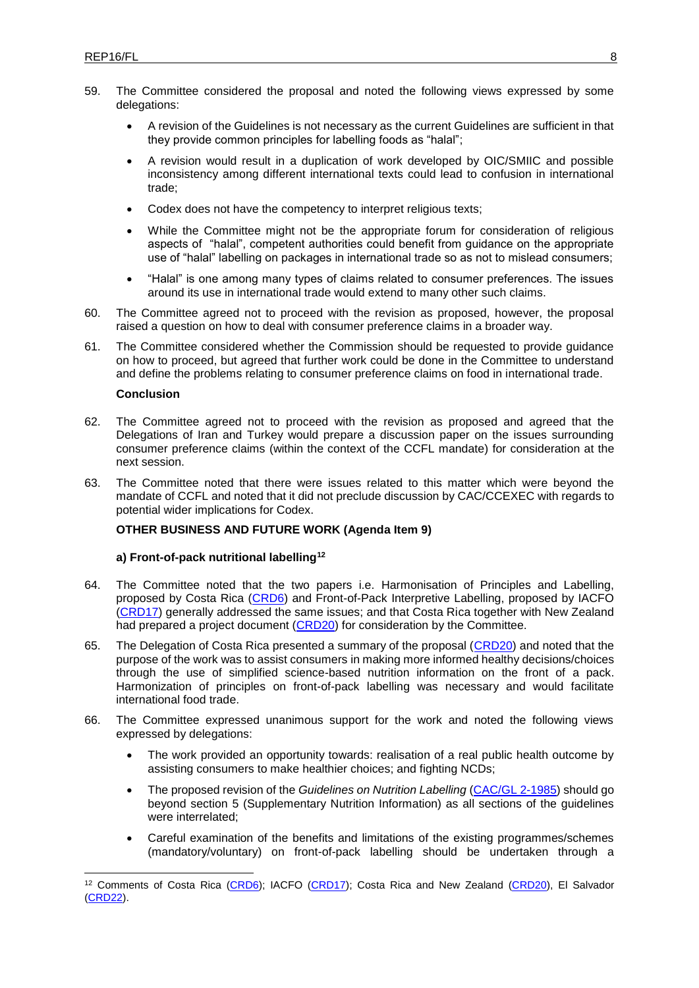- 59. The Committee considered the proposal and noted the following views expressed by some delegations:
	- A revision of the Guidelines is not necessary as the current Guidelines are sufficient in that they provide common principles for labelling foods as "halal";
	- A revision would result in a duplication of work developed by OIC/SMIIC and possible inconsistency among different international texts could lead to confusion in international trade;
	- Codex does not have the competency to interpret religious texts;
	- While the Committee might not be the appropriate forum for consideration of religious aspects of "halal", competent authorities could benefit from guidance on the appropriate use of "halal" labelling on packages in international trade so as not to mislead consumers;
	- "Halal" is one among many types of claims related to consumer preferences. The issues around its use in international trade would extend to many other such claims.
- 60. The Committee agreed not to proceed with the revision as proposed, however, the proposal raised a question on how to deal with consumer preference claims in a broader way.
- 61. The Committee considered whether the Commission should be requested to provide guidance on how to proceed, but agreed that further work could be done in the Committee to understand and define the problems relating to consumer preference claims on food in international trade.

#### **Conclusion**

1

- 62. The Committee agreed not to proceed with the revision as proposed and agreed that the Delegations of Iran and Turkey would prepare a discussion paper on the issues surrounding consumer preference claims (within the context of the CCFL mandate) for consideration at the next session.
- 63. The Committee noted that there were issues related to this matter which were beyond the mandate of CCFL and noted that it did not preclude discussion by CAC/CCEXEC with regards to potential wider implications for Codex.

#### **OTHER BUSINESS AND FUTURE WORK (Agenda Item 9)**

#### **a) Front-of-pack nutritional labelling<sup>12</sup>**

- 64. The Committee noted that the two papers i.e. Harmonisation of Principles and Labelling, proposed by Costa Rica [\(CRD6\)](http://www.fao.org/fao-who-codexalimentarius/sh-proxy/en/?lnk=1&url=https%253A%252F%252Fworkspace.fao.org%252Fsites%252Fcodex%252FMeetings%252FCX-714-43%252FCRD%252Ffl43_CRD6e.pdf) and Front-of-Pack Interpretive Labelling, proposed by IACFO [\(CRD17\)](http://www.fao.org/fao-who-codexalimentarius/sh-proxy/en/?lnk=1&url=https%253A%252F%252Fworkspace.fao.org%252Fsites%252Fcodex%252FMeetings%252FCX-714-43%252FCRD%252Ffl43_CRD17x.pdf) generally addressed the same issues; and that Costa Rica together with New Zealand had prepared a project document [\(CRD20\)](http://www.fao.org/fao-who-codexalimentarius/sh-proxy/en/?lnk=1&url=https%253A%252F%252Fworkspace.fao.org%252Fsites%252Fcodex%252FMeetings%252FCX-714-43%252FCRD%252Ffl43_CRD20x.pdf) for consideration by the Committee.
- 65. The Delegation of Costa Rica presented a summary of the proposal [\(CRD20\)](http://www.fao.org/fao-who-codexalimentarius/sh-proxy/en/?lnk=1&url=https%253A%252F%252Fworkspace.fao.org%252Fsites%252Fcodex%252FMeetings%252FCX-714-43%252FCRD%252Ffl43_CRD20x.pdf) and noted that the purpose of the work was to assist consumers in making more informed healthy decisions/choices through the use of simplified science-based nutrition information on the front of a pack. Harmonization of principles on front-of-pack labelling was necessary and would facilitate international food trade.
- 66. The Committee expressed unanimous support for the work and noted the following views expressed by delegations:
	- The work provided an opportunity towards: realisation of a real public health outcome by assisting consumers to make healthier choices; and fighting NCDs;
	- The proposed revision of the *Guidelines on Nutrition Labelling* [\(CAC/GL 2-1985\)](http://www.fao.org/fao-who-codexalimentarius/sh-proxy/en/?lnk=1&url=https%253A%252F%252Fworkspace.fao.org%252Fsites%252Fcodex%252FStandards%252FCAC%2BGL%2B2-1985%252FCXG_002e_2015.pdf) should go beyond section 5 (Supplementary Nutrition Information) as all sections of the guidelines were interrelated;
	- Careful examination of the benefits and limitations of the existing programmes/schemes (mandatory/voluntary) on front-of-pack labelling should be undertaken through a

<sup>12</sup> Comments of Costa Rica [\(CRD6\)](http://www.fao.org/fao-who-codexalimentarius/sh-proxy/en/?lnk=1&url=https%253A%252F%252Fworkspace.fao.org%252Fsites%252Fcodex%252FMeetings%252FCX-714-43%252FCRD%252Ffl43_CRD6e.pdf); IACFO [\(CRD17\)](http://www.fao.org/fao-who-codexalimentarius/sh-proxy/en/?lnk=1&url=https%253A%252F%252Fworkspace.fao.org%252Fsites%252Fcodex%252FMeetings%252FCX-714-43%252FCRD%252Ffl43_CRD17x.pdf); Costa Rica and New Zealand [\(CRD20\)](http://www.fao.org/fao-who-codexalimentarius/sh-proxy/en/?lnk=1&url=https%253A%252F%252Fworkspace.fao.org%252Fsites%252Fcodex%252FMeetings%252FCX-714-43%252FCRD%252Ffl43_CRD20x.pdf), El Salvador [\(CRD22\)](http://www.fao.org/fao-who-codexalimentarius/sh-proxy/en/?lnk=1&url=https%253A%252F%252Fworkspace.fao.org%252Fsites%252Fcodex%252FMeetings%252FCX-714-43%252FCRD%252Ffl43_CRD22x.pdf).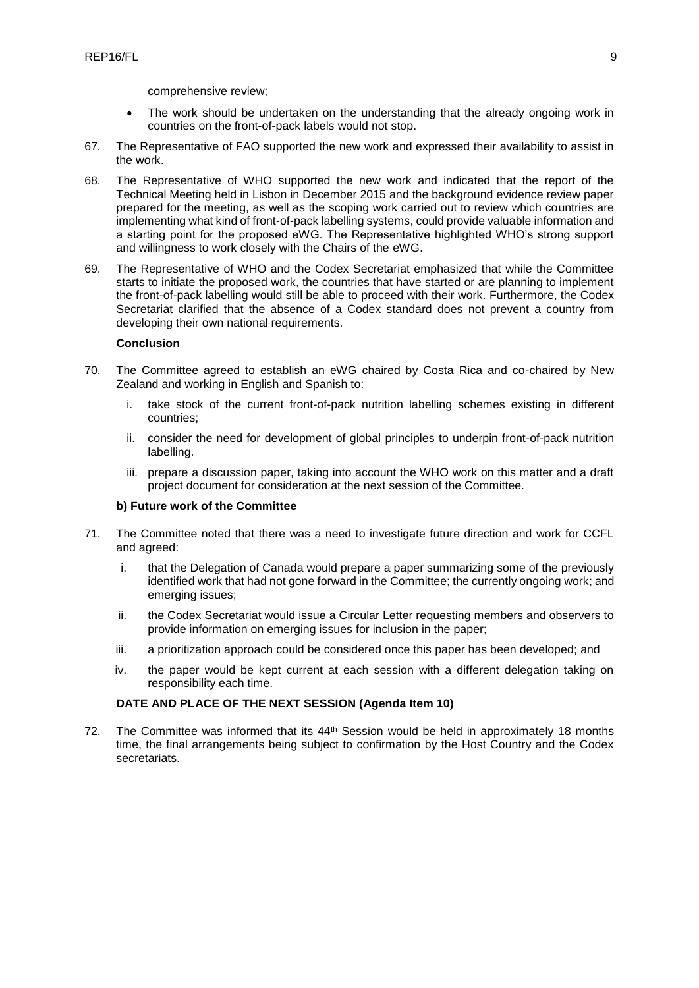comprehensive review;

- The work should be undertaken on the understanding that the already ongoing work in countries on the front-of-pack labels would not stop.
- 67. The Representative of FAO supported the new work and expressed their availability to assist in the work.
- 68. The Representative of WHO supported the new work and indicated that the report of the Technical Meeting held in Lisbon in December 2015 and the background evidence review paper prepared for the meeting, as well as the scoping work carried out to review which countries are implementing what kind of front-of-pack labelling systems, could provide valuable information and a starting point for the proposed eWG. The Representative highlighted WHO's strong support and willingness to work closely with the Chairs of the eWG.
- 69. The Representative of WHO and the Codex Secretariat emphasized that while the Committee starts to initiate the proposed work, the countries that have started or are planning to implement the front-of-pack labelling would still be able to proceed with their work. Furthermore, the Codex Secretariat clarified that the absence of a Codex standard does not prevent a country from developing their own national requirements.

#### **Conclusion**

- 70. The Committee agreed to establish an eWG chaired by Costa Rica and co-chaired by New Zealand and working in English and Spanish to:
	- i. take stock of the current front-of-pack nutrition labelling schemes existing in different countries;
	- ii. consider the need for development of global principles to underpin front-of-pack nutrition labelling.
	- iii. prepare a discussion paper, taking into account the WHO work on this matter and a draft project document for consideration at the next session of the Committee.

#### **b) Future work of the Committee**

- 71. The Committee noted that there was a need to investigate future direction and work for CCFL and agreed:
	- i. that the Delegation of Canada would prepare a paper summarizing some of the previously identified work that had not gone forward in the Committee; the currently ongoing work; and emerging issues;
	- ii. the Codex Secretariat would issue a Circular Letter requesting members and observers to provide information on emerging issues for inclusion in the paper;
	- iii. a prioritization approach could be considered once this paper has been developed; and
	- iv. the paper would be kept current at each session with a different delegation taking on responsibility each time.

### **DATE AND PLACE OF THE NEXT SESSION (Agenda Item 10)**

72. The Committee was informed that its  $44<sup>th</sup>$  Session would be held in approximately 18 months time, the final arrangements being subject to confirmation by the Host Country and the Codex secretariats.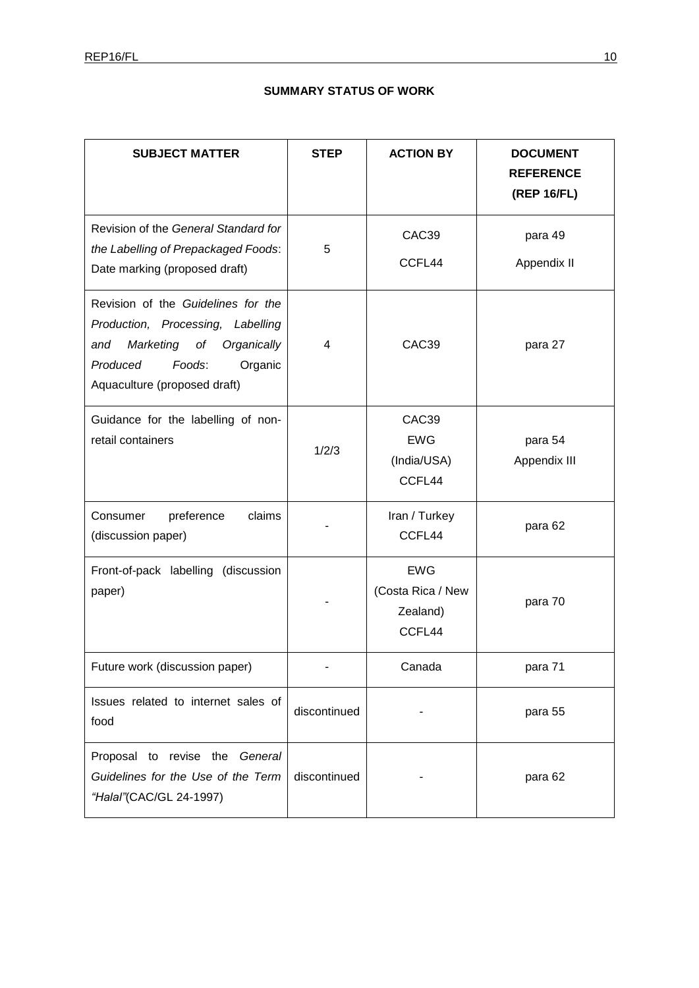# **SUMMARY STATUS OF WORK**

| <b>SUBJECT MATTER</b>                                                                                                                                                          | <b>STEP</b>  | <b>ACTION BY</b>                                      | <b>DOCUMENT</b><br><b>REFERENCE</b><br>(REP 16/FL) |
|--------------------------------------------------------------------------------------------------------------------------------------------------------------------------------|--------------|-------------------------------------------------------|----------------------------------------------------|
| Revision of the General Standard for<br>the Labelling of Prepackaged Foods:<br>Date marking (proposed draft)                                                                   | 5            | CAC39<br>CCFL44                                       | para 49<br>Appendix II                             |
| Revision of the Guidelines for the<br>Production, Processing, Labelling<br>Marketing of<br>Organically<br>and<br>Produced<br>Foods:<br>Organic<br>Aquaculture (proposed draft) | 4            | CAC39                                                 | para 27                                            |
| Guidance for the labelling of non-<br>retail containers                                                                                                                        | 1/2/3        | CAC39<br><b>EWG</b><br>(India/USA)<br>CCFL44          | para 54<br>Appendix III                            |
| preference<br>claims<br>Consumer<br>(discussion paper)                                                                                                                         |              | Iran / Turkey<br>CCFL44                               | para 62                                            |
| Front-of-pack labelling (discussion<br>paper)                                                                                                                                  |              | <b>EWG</b><br>(Costa Rica / New<br>Zealand)<br>CCFL44 | para 70                                            |
| Future work (discussion paper)                                                                                                                                                 |              | Canada                                                | para 71                                            |
| Issues related to internet sales of<br>food                                                                                                                                    | discontinued |                                                       | para 55                                            |
| Proposal to revise the General<br>Guidelines for the Use of the Term<br>"Halal"(CAC/GL 24-1997)                                                                                | discontinued |                                                       | para 62                                            |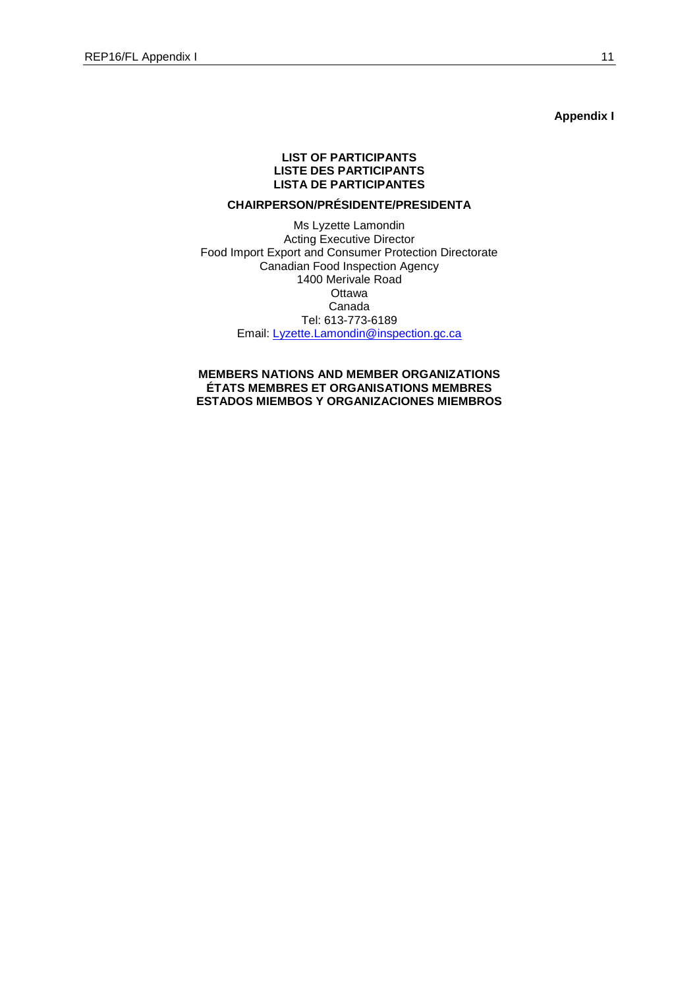**Appendix I**

### **LIST OF PARTICIPANTS LISTE DES PARTICIPANTS LISTA DE PARTICIPANTES**

# **CHAIRPERSON/PRÉSIDENTE/PRESIDENTA**

Ms Lyzette Lamondin Acting Executive Director Food Import Export and Consumer Protection Directorate Canadian Food Inspection Agency 1400 Merivale Road **Ottawa** Canada Tel: 613-773-6189 Email: [Lyzette.Lamondin@inspection.gc.ca](mailto:Lyzette.Lamondin@inspection.gc.ca)

**MEMBERS NATIONS AND MEMBER ORGANIZATIONS ÉTATS MEMBRES ET ORGANISATIONS MEMBRES ESTADOS MIEMBOS Y ORGANIZACIONES MIEMBROS**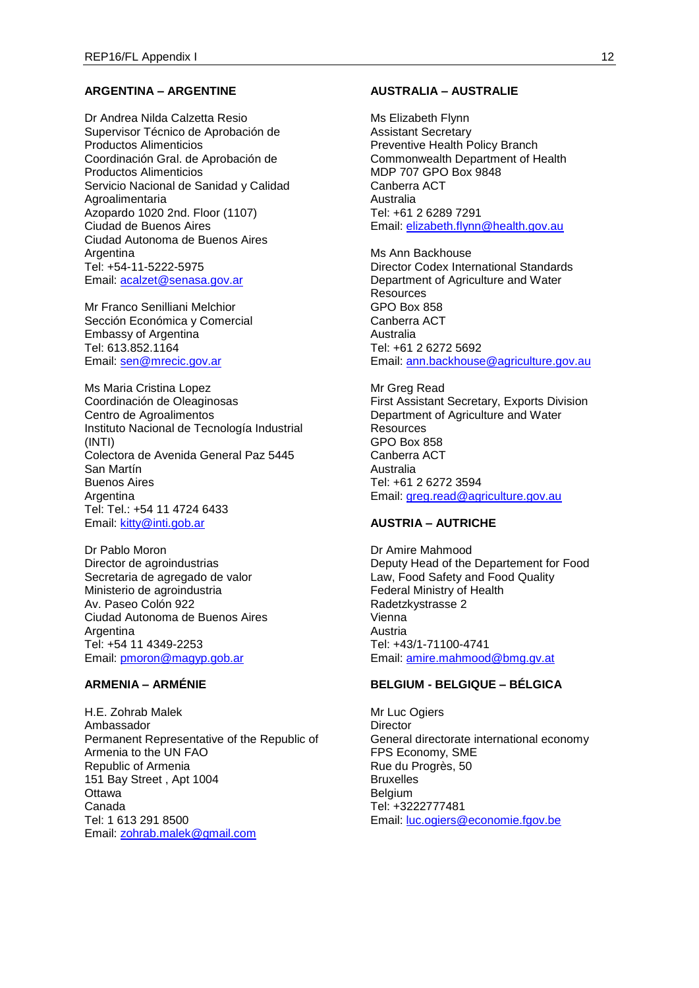### **ARGENTINA – ARGENTINE**

Dr Andrea Nilda Calzetta Resio Supervisor Técnico de Aprobación de Productos Alimenticios Coordinación Gral. de Aprobación de Productos Alimenticios Servicio Nacional de Sanidad y Calidad Agroalimentaria Azopardo 1020 2nd. Floor (1107) Ciudad de Buenos Aires Ciudad Autonoma de Buenos Aires **Argentina** Tel: +54-11-5222-5975 Email: [acalzet@senasa.gov.ar](mailto:acalzet@senasa.gov.ar)

Mr Franco Senilliani Melchior Sección Económica y Comercial Embassy of Argentina Tel: 613.852.1164 Email: [sen@mrecic.gov.ar](mailto:sen@mrecic.gov.ar)

Ms Maria Cristina Lopez Coordinación de Oleaginosas Centro de Agroalimentos Instituto Nacional de Tecnología Industrial (INTI) Colectora de Avenida General Paz 5445 San Martín Buenos Aires Argentina Tel: Tel.: +54 11 4724 6433 Email: [kitty@inti.gob.ar](mailto:kitty@inti.gob.ar)

Dr Pablo Moron Director de agroindustrias Secretaria de agregado de valor Ministerio de agroindustria Av. Paseo Colón 922 Ciudad Autonoma de Buenos Aires Argentina Tel: +54 11 4349-2253 Email: [pmoron@magyp.gob.ar](mailto:pmoron@magyp.gob.ar)

# **ARMENIA – ARMÉNIE**

H.E. Zohrab Malek Ambassador Permanent Representative of the Republic of Armenia to the UN FAO Republic of Armenia 151 Bay Street , Apt 1004 **Ottawa** Canada Tel: 1 613 291 8500 Email: [zohrab.malek@gmail.com](mailto:zohrab.malek@gmail.com)

### **AUSTRALIA – AUSTRALIE**

Ms Elizabeth Flynn Assistant Secretary Preventive Health Policy Branch Commonwealth Department of Health MDP 707 GPO Box 9848 Canberra ACT Australia Tel: +61 2 6289 7291 Email: [elizabeth.flynn@health.gov.au](mailto:elizabeth.flynn@health.gov.au)

Ms Ann Backhouse Director Codex International Standards Department of Agriculture and Water **Resources** GPO Box 858 Canberra ACT Australia Tel: +61 2 6272 5692 Email: [ann.backhouse@agriculture.gov.au](mailto:ann.backhouse@agriculture.gov.au)

Mr Greg Read First Assistant Secretary, Exports Division Department of Agriculture and Water **Resources** GPO Box 858 Canberra ACT Australia Tel: +61 2 6272 3594 Email: [greg.read@agriculture.gov.au](mailto:greg.read@agriculture.gov.au)

# **AUSTRIA – AUTRICHE**

Dr Amire Mahmood Deputy Head of the Departement for Food Law, Food Safety and Food Quality Federal Ministry of Health Radetzkystrasse 2 Vienna Austria Tel: +43/1-71100-4741 Email: [amire.mahmood@bmg.gv.at](mailto:amire.mahmood@bmg.gv.at)

#### **BELGIUM - BELGIQUE – BÉLGICA**

Mr Luc Ogiers **Director** General directorate international economy FPS Economy, SME Rue du Progrès, 50 **Bruxelles Belgium** Tel: +3222777481 Email: [luc.ogiers@economie.fgov.be](mailto:luc.ogiers@economie.fgov.be)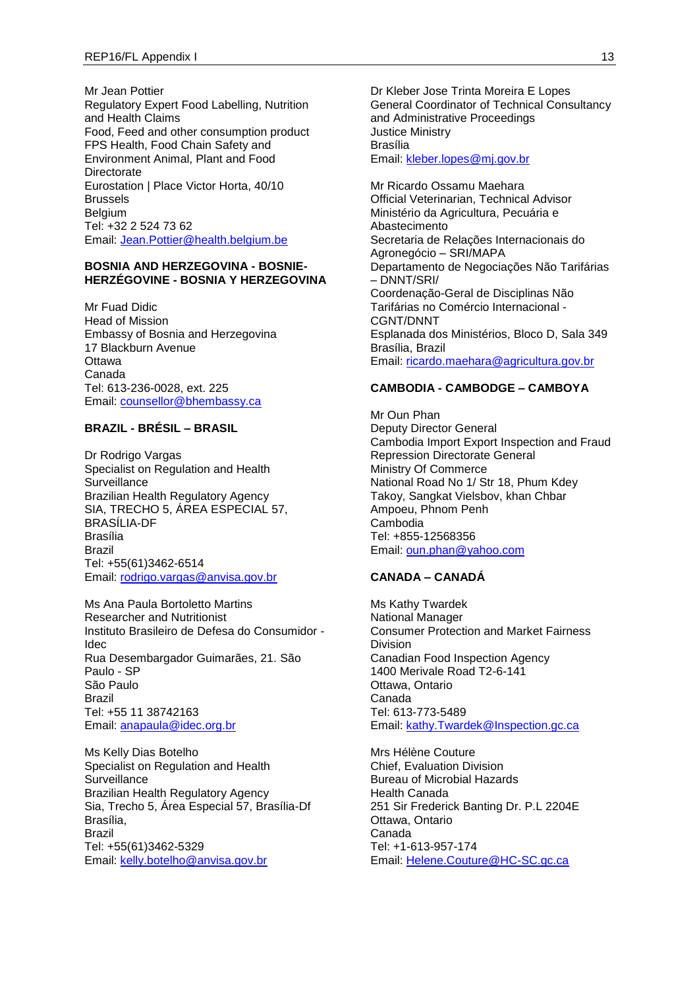Mr Jean Pottier Regulatory Expert Food Labelling, Nutrition and Health Claims Food, Feed and other consumption product FPS Health, Food Chain Safety and Environment Animal, Plant and Food **Directorate** Eurostation | Place Victor Horta, 40/10 Brussels Belgium Tel: +32 2 524 73 62 Email: [Jean.Pottier@health.belgium.be](mailto:Jean.Pottier@health.belgium.be)

#### **BOSNIA AND HERZEGOVINA - BOSNIE-HERZÉGOVINE - BOSNIA Y HERZEGOVINA**

Mr Fuad Didic Head of Mission Embassy of Bosnia and Herzegovina 17 Blackburn Avenue **Ottawa** Canada Tel: 613-236-0028, ext. 225 Email: [counsellor@bhembassy.ca](mailto:counsellor@bhembassy.ca)

### **BRAZIL - BRÉSIL – BRASIL**

Dr Rodrigo Vargas Specialist on Regulation and Health **Surveillance** Brazilian Health Regulatory Agency SIA, TRECHO 5, ÁREA ESPECIAL 57, BRASÍLIA-DF Brasília Brazil Tel: +55(61)3462-6514 Email: [rodrigo.vargas@anvisa.gov.br](mailto:rodrigo.vargas@anvisa.gov.br)

Ms Ana Paula Bortoletto Martins Researcher and Nutritionist Instituto Brasileiro de Defesa do Consumidor - Idec Rua Desembargador Guimarães, 21. São Paulo - SP São Paulo Brazil Tel: +55 11 38742163 Email: [anapaula@idec.org.br](mailto:anapaula@idec.org.br)

Ms Kelly Dias Botelho Specialist on Regulation and Health **Surveillance** Brazilian Health Regulatory Agency Sia, Trecho 5, Área Especial 57, Brasília-Df Brasília, Brazil Tel: +55(61)3462-5329 Email: [kelly.botelho@anvisa.gov.br](mailto:kelly.botelho@anvisa.gov.br)

Dr Kleber Jose Trinta Moreira E Lopes General Coordinator of Technical Consultancy and Administrative Proceedings Justice Ministry Brasília Email: [kleber.lopes@mj.gov.br](mailto:kleber.lopes@mj.gov.br)

Mr Ricardo Ossamu Maehara Official Veterinarian, Technical Advisor Ministério da Agricultura, Pecuária e Abastecimento Secretaria de Relações Internacionais do Agronegócio – SRI/MAPA Departamento de Negociações Não Tarifárias – DNNT/SRI/ Coordenação-Geral de Disciplinas Não Tarifárias no Comércio Internacional - CGNT/DNNT Esplanada dos Ministérios, Bloco D, Sala 349 Brasília, Brazil Email: [ricardo.maehara@agricultura.gov.br](mailto:ricardo.maehara@agricultura.gov.br)

#### **CAMBODIA - CAMBODGE – CAMBOYA**

Mr Oun Phan Deputy Director General Cambodia Import Export Inspection and Fraud Repression Directorate General Ministry Of Commerce National Road No 1/ Str 18, Phum Kdey Takoy, Sangkat Vielsbov, khan Chbar Ampoeu, Phnom Penh Cambodia Tel: +855-12568356 Email: [oun.phan@yahoo.com](mailto:oun.phan@yahoo.com)

# **CANADA – CANADÁ**

Ms Kathy Twardek National Manager Consumer Protection and Market Fairness Division Canadian Food Inspection Agency 1400 Merivale Road T2-6-141 Ottawa, Ontario Canada Tel: 613-773-5489 Email: [kathy.Twardek@Inspection.gc.ca](mailto:kathy.Twardek@Inspection.gc.ca)

Mrs Hélène Couture Chief, Evaluation Division Bureau of Microbial Hazards Health Canada 251 Sir Frederick Banting Dr. P.L 2204E Ottawa, Ontario Canada Tel: +1-613-957-174 Email: [Helene.Couture@HC-SC.gc.ca](mailto:Helene.Couture@HC-SC.gc.ca)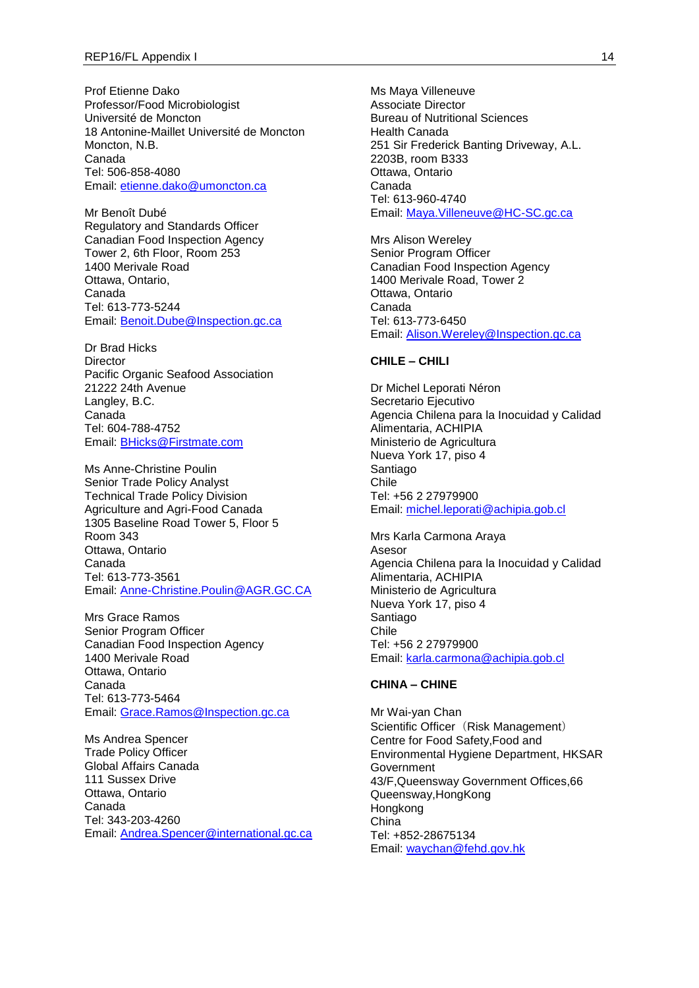Prof Etienne Dako Professor/Food Microbiologist Université de Moncton 18 Antonine-Maillet Université de Moncton Moncton, N.B. Canada Tel: 506-858-4080 Email: [etienne.dako@umoncton.ca](mailto:etienne.dako@umoncton.ca)

Mr Benoît Dubé Regulatory and Standards Officer Canadian Food Inspection Agency Tower 2, 6th Floor, Room 253 1400 Merivale Road Ottawa, Ontario, Canada Tel: 613-773-5244 Email: [Benoit.Dube@Inspection.gc.ca](mailto:Benoit.Dube@Inspection.gc.ca)

Dr Brad Hicks **Director** Pacific Organic Seafood Association 21222 24th Avenue Langley, B.C. Canada Tel: 604-788-4752 Email: [BHicks@Firstmate.com](mailto:BHicks@Firstmate.com)

Ms Anne-Christine Poulin Senior Trade Policy Analyst Technical Trade Policy Division Agriculture and Agri-Food Canada 1305 Baseline Road Tower 5, Floor 5 Room 343 Ottawa, Ontario Canada Tel: 613-773-3561 Email: [Anne-Christine.Poulin@AGR.GC.CA](mailto:Anne-Christine.Poulin@AGR.GC.CA)

Mrs Grace Ramos Senior Program Officer Canadian Food Inspection Agency 1400 Merivale Road Ottawa, Ontario Canada Tel: 613-773-5464 Email: [Grace.Ramos@Inspection.gc.ca](mailto:Grace.Ramos@Inspection.gc.ca)

Ms Andrea Spencer Trade Policy Officer Global Affairs Canada 111 Sussex Drive Ottawa, Ontario Canada Tel: 343-203-4260 Email: [Andrea.Spencer@international.gc.ca](mailto:Andrea.Spencer@international.gc.ca) Ms Maya Villeneuve Associate Director Bureau of Nutritional Sciences Health Canada 251 Sir Frederick Banting Driveway, A.L. 2203B, room B333 Ottawa, Ontario Canada Tel: 613-960-4740 Email: [Maya.Villeneuve@HC-SC.gc.ca](mailto:Maya.Villeneuve@HC-SC.gc.ca)

Mrs Alison Wereley Senior Program Officer Canadian Food Inspection Agency 1400 Merivale Road, Tower 2 Ottawa, Ontario Canada Tel: 613-773-6450 Email: [Alison.Wereley@Inspection.gc.ca](mailto:Alison.Wereley@Inspection.gc.ca)

### **CHILE – CHILI**

Dr Michel Leporati Néron Secretario Ejecutivo Agencia Chilena para la Inocuidad y Calidad Alimentaria, ACHIPIA Ministerio de Agricultura Nueva York 17, piso 4 Santiago Chile Tel: +56 2 27979900 Email: [michel.leporati@achipia.gob.cl](mailto:michel.leporati@achipia.gob.cl)

Mrs Karla Carmona Araya Asesor Agencia Chilena para la Inocuidad y Calidad Alimentaria, ACHIPIA Ministerio de Agricultura Nueva York 17, piso 4 Santiago Chile Tel: +56 2 27979900 Email: [karla.carmona@achipia.gob.cl](mailto:karla.carmona@achipia.gob.cl)

#### **CHINA – CHINE**

Mr Wai-yan Chan Scientific Officer (Risk Management) Centre for Food Safety,Food and Environmental Hygiene Department, HKSAR Government 43/F,Queensway Government Offices,66 Queensway,HongKong Hongkong China Tel: +852-28675134 Email: [waychan@fehd.gov.hk](mailto:waychan@fehd.gov.hk)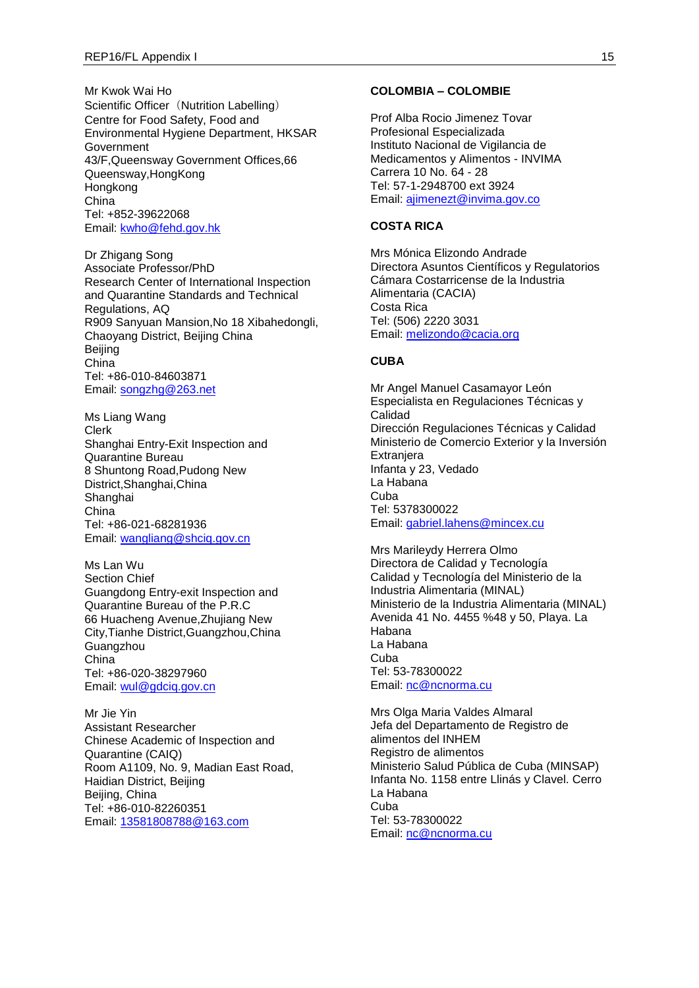Mr Kwok Wai Ho Scientific Officer (Nutrition Labelling) Centre for Food Safety, Food and Environmental Hygiene Department, HKSAR Government 43/F,Queensway Government Offices,66 Queensway,HongKong Hongkong China Tel: +852-39622068 Email: [kwho@fehd.gov.hk](mailto:kwho@fehd.gov.hk)

Dr Zhigang Song Associate Professor/PhD Research Center of International Inspection and Quarantine Standards and Technical Regulations, AQ R909 Sanyuan Mansion,No 18 Xibahedongli, Chaoyang District, Beijing China Beijing China Tel: +86-010-84603871 Email: [songzhg@263.net](mailto:songzhg@263.net)

Ms Liang Wang Clerk Shanghai Entry-Exit Inspection and Quarantine Bureau 8 Shuntong Road,Pudong New District,Shanghai,China **Shanghai** China Tel: +86-021-68281936 Email: [wangliang@shciq.gov.cn](mailto:wangliang@shciq.gov.cn)

Ms Lan Wu Section Chief Guangdong Entry-exit Inspection and Quarantine Bureau of the P.R.C 66 Huacheng Avenue,Zhujiang New City,Tianhe District,Guangzhou,China Guangzhou China Tel: +86-020-38297960 Email: [wul@gdciq.gov.cn](mailto:wul@gdciq.gov.cn)

Mr Jie Yin Assistant Researcher Chinese Academic of Inspection and Quarantine (CAIQ) Room A1109, No. 9, Madian East Road, Haidian District, Beijing Beijing, China Tel: +86-010-82260351 Email: [13581808788@163.com](mailto:13581808788@163.com)

#### **COLOMBIA – COLOMBIE**

Prof Alba Rocio Jimenez Tovar Profesional Especializada Instituto Nacional de Vigilancia de Medicamentos y Alimentos - INVIMA Carrera 10 No. 64 - 28 Tel: 57-1-2948700 ext 3924 Email: [ajimenezt@invima.gov.co](mailto:ajimenezt@invima.gov.co)

# **COSTA RICA**

Mrs Mónica Elizondo Andrade Directora Asuntos Científicos y Regulatorios Cámara Costarricense de la Industria Alimentaria (CACIA) Costa Rica Tel: (506) 2220 3031 Email: [melizondo@cacia.org](mailto:melizondo@cacia.org)

# **CUBA**

Mr Angel Manuel Casamayor León Especialista en Regulaciones Técnicas y Calidad Dirección Regulaciones Técnicas y Calidad Ministerio de Comercio Exterior y la Inversión **Extranjera** Infanta y 23, Vedado La Habana Cuba Tel: 5378300022 Email: [gabriel.lahens@mincex.cu](mailto:gabriel.lahens@mincex.cu)

Mrs Marileydy Herrera Olmo Directora de Calidad y Tecnología Calidad y Tecnología del Ministerio de la Industria Alimentaria (MINAL) Ministerio de la Industria Alimentaria (MINAL) Avenida 41 No. 4455 %48 y 50, Playa. La Habana La Habana Cuba Tel: 53-78300022 Email: [nc@ncnorma.cu](mailto:nc@ncnorma.cu)

Mrs Olga Maria Valdes Almaral Jefa del Departamento de Registro de alimentos del INHEM Registro de alimentos Ministerio Salud Pública de Cuba (MINSAP) Infanta No. 1158 entre Llinás y Clavel. Cerro La Habana Cuba Tel: 53-78300022 Email: [nc@ncnorma.cu](mailto:nc@ncnorma.cu)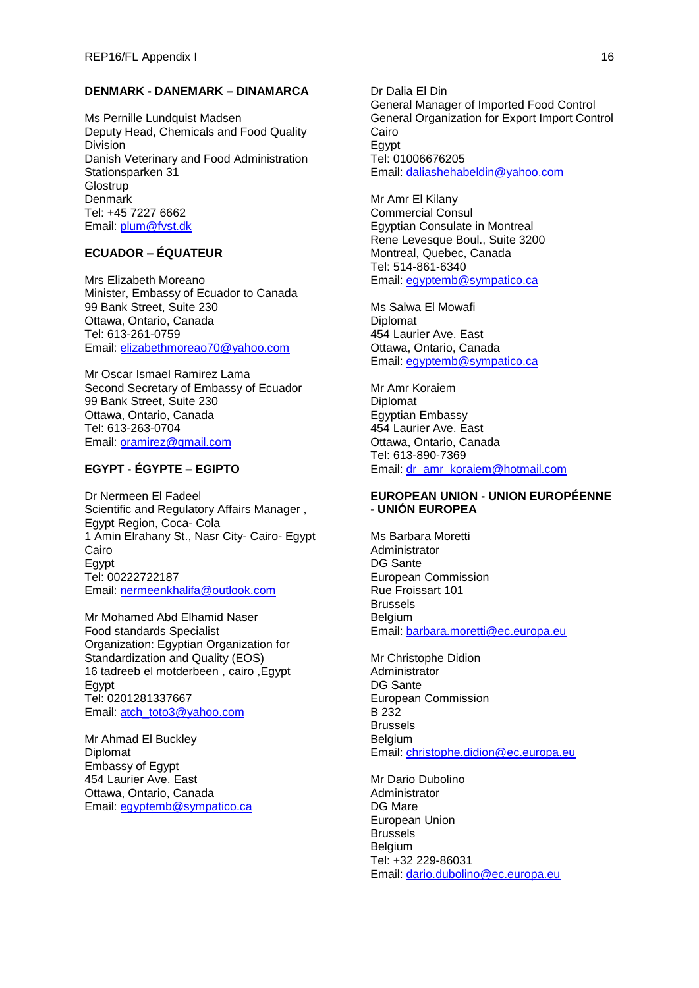#### **DENMARK - DANEMARK – DINAMARCA**

Ms Pernille Lundquist Madsen Deputy Head, Chemicals and Food Quality Division Danish Veterinary and Food Administration Stationsparken 31 **Glostrup Denmark** Tel: +45 7227 6662 Email: [plum@fvst.dk](mailto:plum@fvst.dk)

# **ECUADOR – ÉQUATEUR**

Mrs Elizabeth Moreano Minister, Embassy of Ecuador to Canada 99 Bank Street, Suite 230 Ottawa, Ontario, Canada Tel: 613-261-0759 Email: [elizabethmoreao70@yahoo.com](mailto:elizabethmoreao70@yahoo.com)

Mr Oscar Ismael Ramirez Lama Second Secretary of Embassy of Ecuador 99 Bank Street, Suite 230 Ottawa, Ontario, Canada Tel: 613-263-0704 Email: **oramirez@gmail.com** 

# **EGYPT - ÉGYPTE – EGIPTO**

Dr Nermeen El Fadeel Scientific and Regulatory Affairs Manager , Egypt Region, Coca- Cola 1 Amin Elrahany St., Nasr City- Cairo- Egypt Cairo Egypt Tel: 00222722187 Email: [nermeenkhalifa@outlook.com](mailto:nermeenkhalifa@outlook.com)

Mr Mohamed Abd Elhamid Naser Food standards Specialist Organization: Egyptian Organization for Standardization and Quality (EOS) 16 tadreeb el motderbeen , cairo ,Egypt Egypt Tel: 0201281337667 Email: [atch\\_toto3@yahoo.com](mailto:atch_toto3@yahoo.com)

Mr Ahmad El Buckley Diplomat Embassy of Egypt 454 Laurier Ave. East Ottawa, Ontario, Canada Email: [egyptemb@sympatico.ca](mailto:egyptemb@sympatico.ca) Dr Dalia El Din General Manager of Imported Food Control General Organization for Export Import Control Cairo Egypt Tel: 01006676205 Email: [daliashehabeldin@yahoo.com](mailto:daliashehabeldin@yahoo.com)

Mr Amr El Kilany Commercial Consul Egyptian Consulate in Montreal Rene Levesque Boul., Suite 3200 Montreal, Quebec, Canada Tel: 514-861-6340 Email: [egyptemb@sympatico.ca](mailto:egyptemb@sympatico.ca)

Ms Salwa El Mowafi Diplomat 454 Laurier Ave. East Ottawa, Ontario, Canada Email: [egyptemb@sympatico.ca](mailto:egyptemb@sympatico.ca)

Mr Amr Koraiem Diplomat Egyptian Embassy 454 Laurier Ave. East Ottawa, Ontario, Canada Tel: 613-890-7369 Email: [dr\\_amr\\_koraiem@hotmail.com](mailto:dr_amr_koraiem@hotmail.com)

### **EUROPEAN UNION - UNION EUROPÉENNE - UNIÓN EUROPEA**

Ms Barbara Moretti Administrator DG Sante European Commission Rue Froissart 101 Brussels Belgium Email: [barbara.moretti@ec.europa.eu](mailto:barbara.moretti@ec.europa.eu)

Mr Christophe Didion Administrator DG Sante European Commission B 232 Brussels Belgium Email: [christophe.didion@ec.europa.eu](mailto:christophe.didion@ec.europa.eu)

Mr Dario Dubolino Administrator DG Mare European Union Brussels Belgium Tel: +32 229-86031 Email: [dario.dubolino@ec.europa.eu](mailto:dario.dubolino@ec.europa.eu)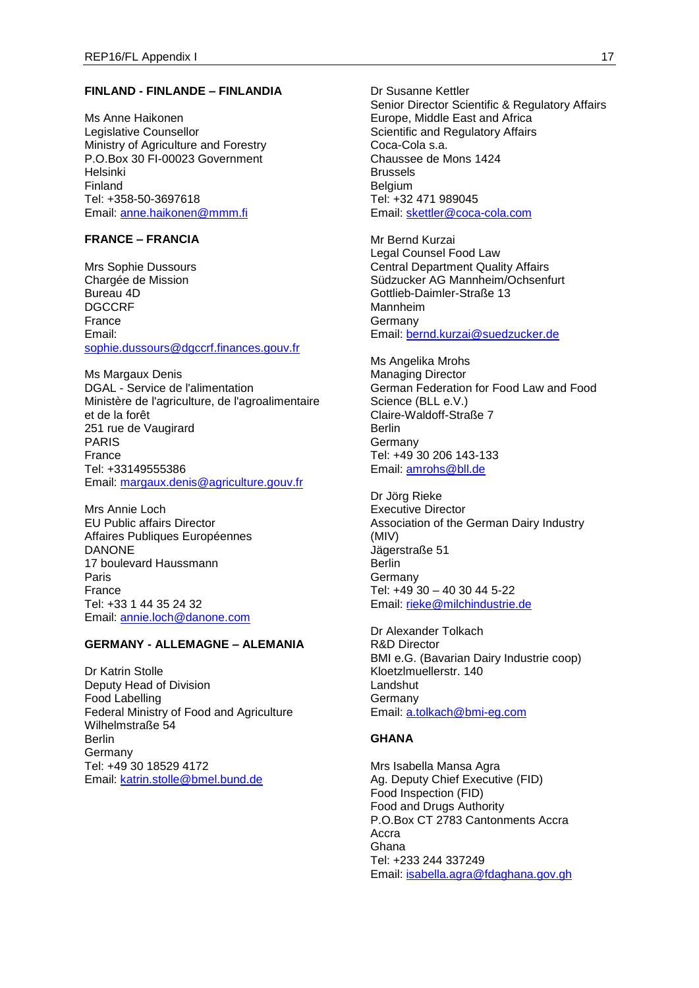# **FINLAND - FINLANDE – FINLANDIA**

Ms Anne Haikonen Legislative Counsellor Ministry of Agriculture and Forestry P.O.Box 30 FI-00023 Government Helsinki Finland Tel: +358-50-3697618 Email: [anne.haikonen@mmm.fi](mailto:anne.haikonen@mmm.fi)

# **FRANCE – FRANCIA**

Mrs Sophie Dussours Chargée de Mission Bureau 4D DGCCRF France Email: [sophie.dussours@dgccrf.finances.gouv.fr](mailto:sophie.dussours@dgccrf.finances.gouv.fr)

Ms Margaux Denis DGAL - Service de l'alimentation Ministère de l'agriculture, de l'agroalimentaire et de la forêt 251 rue de Vaugirard PARIS France Tel: +33149555386 Email: [margaux.denis@agriculture.gouv.fr](mailto:margaux.denis@agriculture.gouv.fr)

Mrs Annie Loch EU Public affairs Director Affaires Publiques Européennes DANONE 17 boulevard Haussmann Paris France Tel: +33 1 44 35 24 32 Email: [annie.loch@danone.com](mailto:annie.loch@danone.com)

# **GERMANY - ALLEMAGNE – ALEMANIA**

Dr Katrin Stolle Deputy Head of Division Food Labelling Federal Ministry of Food and Agriculture Wilhelmstraße 54 Berlin **Germany** Tel: +49 30 18529 4172 Email: [katrin.stolle@bmel.bund.de](mailto:katrin.stolle@bmel.bund.de)

Dr Susanne Kettler Senior Director Scientific & Regulatory Affairs Europe, Middle East and Africa Scientific and Regulatory Affairs Coca-Cola s.a. Chaussee de Mons 1424 Brussels Belgium Tel: +32 471 989045 Email: [skettler@coca-cola.com](mailto:skettler@coca-cola.com)

Mr Bernd Kurzai Legal Counsel Food Law Central Department Quality Affairs Südzucker AG Mannheim/Ochsenfurt Gottlieb-Daimler-Straße 13 Mannheim **Germany** Email: [bernd.kurzai@suedzucker.de](mailto:bernd.kurzai@suedzucker.de)

Ms Angelika Mrohs Managing Director German Federation for Food Law and Food Science (BLL e.V.) Claire-Waldoff-Straße 7 Berlin Germany Tel: +49 30 206 143-133 Email: [amrohs@bll.de](mailto:amrohs@bll.de)

Dr Jörg Rieke Executive Director Association of the German Dairy Industry (MIV) Jägerstraße 51 Berlin **Germany** Tel: +49 30 – 40 30 44 5-22 Email: [rieke@milchindustrie.de](mailto:rieke@milchindustrie.de)

Dr Alexander Tolkach R&D Director BMI e.G. (Bavarian Dairy Industrie coop) Kloetzlmuellerstr. 140 **Landshut** Germany Email: [a.tolkach@bmi-eg.com](mailto:a.tolkach@bmi-eg.com)

# **GHANA**

Mrs Isabella Mansa Agra Ag. Deputy Chief Executive (FID) Food Inspection (FID) Food and Drugs Authority P.O.Box CT 2783 Cantonments Accra Accra Ghana Tel: +233 244 337249 Email: [isabella.agra@fdaghana.gov.gh](mailto:isabella.agra@fdaghana.gov.gh)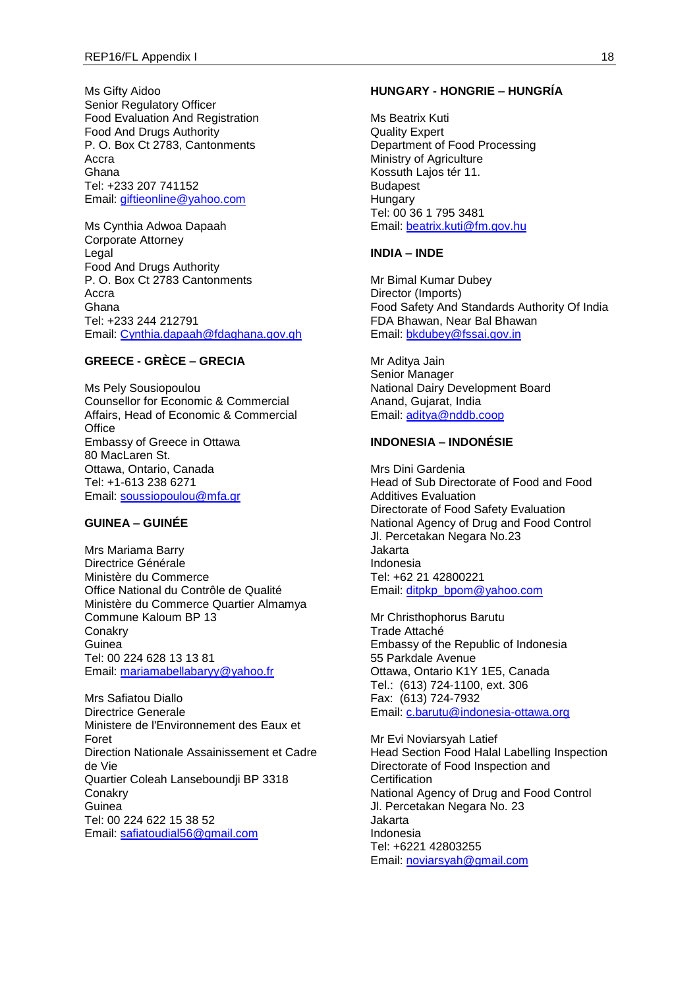Ms Gifty Aidoo Senior Regulatory Officer Food Evaluation And Registration Food And Drugs Authority P. O. Box Ct 2783, Cantonments Accra Ghana Tel: +233 207 741152 Email: [giftieonline@yahoo.com](mailto:giftieonline@yahoo.com)

Ms Cynthia Adwoa Dapaah Corporate Attorney Legal Food And Drugs Authority P. O. Box Ct 2783 Cantonments Accra Ghana Tel: +233 244 212791 Email: [Cynthia.dapaah@fdaghana.gov.gh](mailto:Cynthia.dapaah@fdaghana.gov.gh)

# **GREECE - GRÈCE – GRECIA**

Ms Pely Sousiopoulou Counsellor for Economic & Commercial Affairs, Head of Economic & Commercial **Office** Embassy of Greece in Ottawa 80 MacLaren St. Ottawa, Ontario, Canada Tel: +1-613 238 6271 Email: [soussiopoulou@mfa.gr](mailto:soussiopoulou@mfa.gr)

# **GUINEA – GUINÉE**

Mrs Mariama Barry Directrice Générale Ministère du Commerce Office National du Contrôle de Qualité Ministère du Commerce Quartier Almamya Commune Kaloum BP 13 **Conakry Guinea** Tel: 00 224 628 13 13 81 Email: [mariamabellabaryy@yahoo.fr](mailto:mariamabellabaryy@yahoo.fr)

Mrs Safiatou Diallo Directrice Generale Ministere de l'Environnement des Eaux et Foret Direction Nationale Assainissement et Cadre de Vie Quartier Coleah Lanseboundji BP 3318 **Conakry** Guinea Tel: 00 224 622 15 38 52 Email: [safiatoudial56@gmail.com](mailto:safiatoudial56@gmail.com)

### **HUNGARY - HONGRIE – HUNGRÍA**

Ms Beatrix Kuti Quality Expert Department of Food Processing Ministry of Agriculture Kossuth Lajos tér 11. Budapest **Hungary** Tel: 00 36 1 795 3481 Email: [beatrix.kuti@fm.gov.hu](mailto:beatrix.kuti@fm.gov.hu)

### **INDIA – INDE**

Mr Bimal Kumar Dubey Director (Imports) Food Safety And Standards Authority Of India FDA Bhawan, Near Bal Bhawan Email: [bkdubey@fssai.gov.in](mailto:bkdubey@fssai.gov.in)

Mr Aditya Jain Senior Manager National Dairy Development Board Anand, Gujarat, India Email: [aditya@nddb.coop](mailto:aditya@nddb.coop)

# **INDONESIA – INDONÉSIE**

Mrs Dini Gardenia Head of Sub Directorate of Food and Food Additives Evaluation Directorate of Food Safety Evaluation National Agency of Drug and Food Control Jl. Percetakan Negara No.23 Jakarta Indonesia Tel: +62 21 42800221 Email: [ditpkp\\_bpom@yahoo.com](mailto:ditpkp_bpom@yahoo.com)

Mr Christhophorus Barutu Trade Attaché Embassy of the Republic of Indonesia 55 Parkdale Avenue Ottawa, Ontario K1Y 1E5, Canada Tel.: (613) 724-1100, ext. 306 Fax: (613) 724-7932 Email: [c.barutu@indonesia-ottawa.org](mailto:c.barutu@indonesia-ottawa.org)

Mr Evi Noviarsyah Latief Head Section Food Halal Labelling Inspection Directorate of Food Inspection and **Certification** National Agency of Drug and Food Control Jl. Percetakan Negara No. 23 Jakarta Indonesia Tel: +6221 42803255 Email: [noviarsyah@gmail.com](mailto:noviarsyah@gmail.com)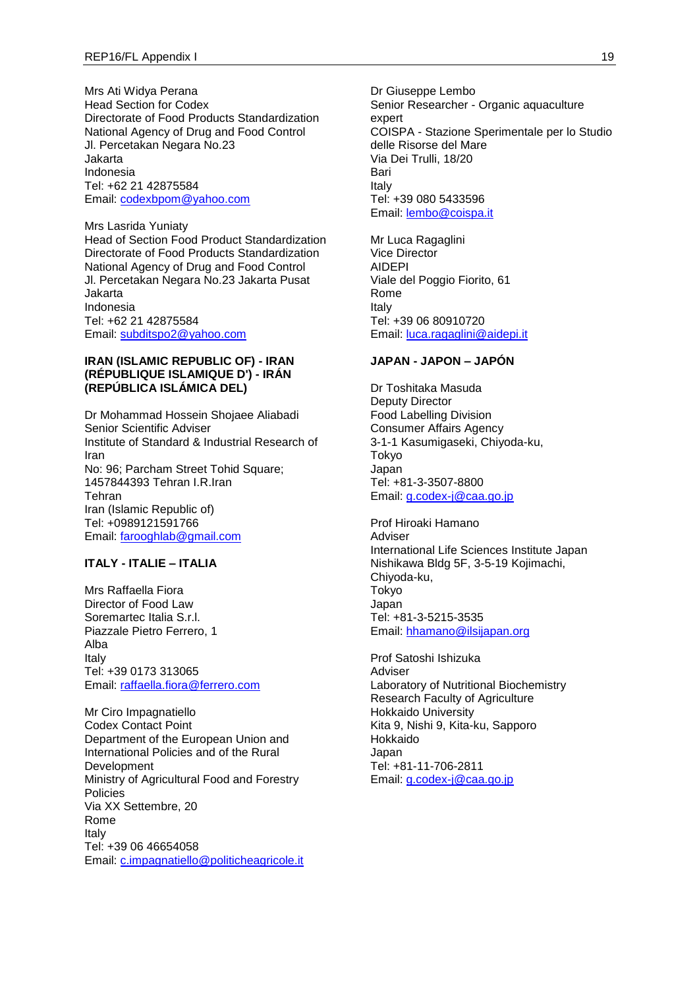Mrs Ati Widya Perana Head Section for Codex Directorate of Food Products Standardization National Agency of Drug and Food Control Jl. Percetakan Negara No.23 Jakarta Indonesia Tel: +62 21 42875584 Email: [codexbpom@yahoo.com](mailto:codexbpom@yahoo.com)

Mrs Lasrida Yuniaty Head of Section Food Product Standardization Directorate of Food Products Standardization National Agency of Drug and Food Control Jl. Percetakan Negara No.23 Jakarta Pusat Jakarta Indonesia Tel: +62 21 42875584 Email: [subditspo2@yahoo.com](mailto:subditspo2@yahoo.com)

#### **IRAN (ISLAMIC REPUBLIC OF) - IRAN (RÉPUBLIQUE ISLAMIQUE D') - IRÁN (REPÚBLICA ISLÁMICA DEL)**

Dr Mohammad Hossein Shojaee Aliabadi Senior Scientific Adviser Institute of Standard & Industrial Research of Iran No: 96; Parcham Street Tohid Square; 1457844393 Tehran I.R.Iran Tehran Iran (Islamic Republic of) Tel: +0989121591766 Email: [farooghlab@gmail.com](mailto:farooghlab@gmail.com)

### **ITALY - ITALIE – ITALIA**

Mrs Raffaella Fiora Director of Food Law Soremartec Italia S.r.l. Piazzale Pietro Ferrero, 1 Alba Italy Tel: +39 0173 313065 Email: [raffaella.fiora@ferrero.com](mailto:raffaella.fiora@ferrero.com)

Mr Ciro Impagnatiello Codex Contact Point Department of the European Union and International Policies and of the Rural Development Ministry of Agricultural Food and Forestry Policies Via XX Settembre, 20 Rome Italy Tel: +39 06 46654058 Email: [c.impagnatiello@politicheagricole.it](mailto:c.impagnatiello@politicheagricole.it)

Dr Giuseppe Lembo Senior Researcher - Organic aquaculture expert COISPA - Stazione Sperimentale per lo Studio delle Risorse del Mare Via Dei Trulli, 18/20 Bari Italy Tel: +39 080 5433596 Email: [lembo@coispa.it](mailto:lembo@coispa.it)

Mr Luca Ragaglini Vice Director AIDEPI Viale del Poggio Fiorito, 61 Rome Italy Tel: +39 06 80910720 Email: [luca.ragaglini@aidepi.it](mailto:luca.ragaglini@aidepi.it)

# **JAPAN - JAPON – JAPÓN**

Dr Toshitaka Masuda Deputy Director Food Labelling Division Consumer Affairs Agency 3-1-1 Kasumigaseki, Chiyoda-ku, Tokyo Japan Tel: +81-3-3507-8800 Email: [g.codex-j@caa.go.jp](mailto:g.codex-j@caa.go.jp)

Prof Hiroaki Hamano Adviser International Life Sciences Institute Japan Nishikawa Bldg 5F, 3-5-19 Kojimachi, Chiyoda-ku, Tokyo Japan Tel: +81-3-5215-3535 Email: [hhamano@ilsijapan.org](mailto:hhamano@ilsijapan.org)

Prof Satoshi Ishizuka Adviser Laboratory of Nutritional Biochemistry Research Faculty of Agriculture Hokkaido University Kita 9, Nishi 9, Kita-ku, Sapporo Hokkaido Japan Tel: +81-11-706-2811 Email: [g.codex-j@caa.go.jp](mailto:g.codex-j@caa.go.jp)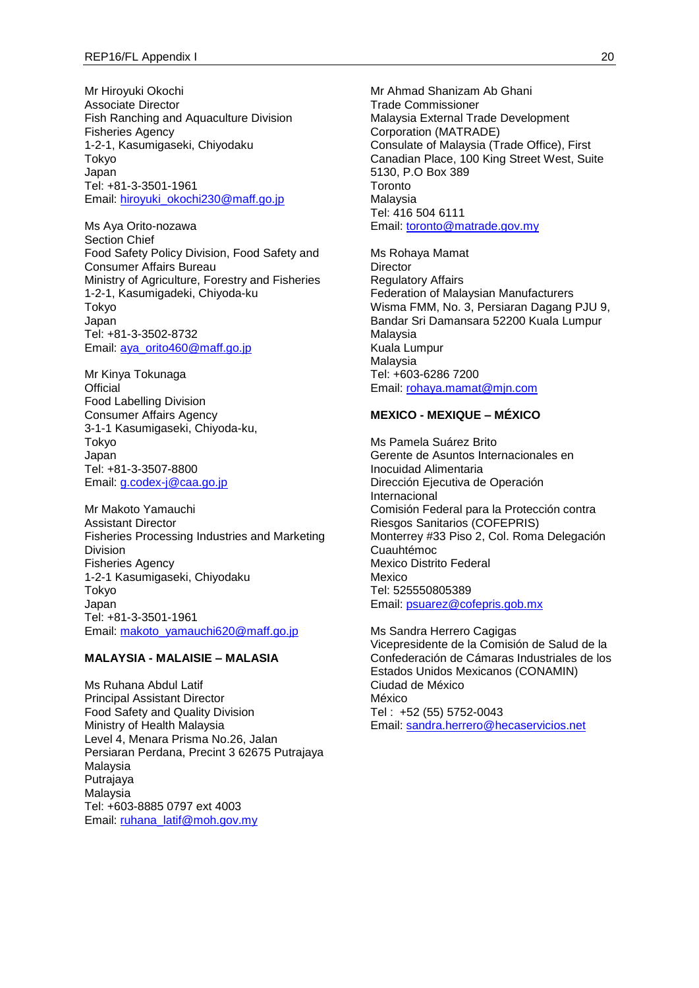Mr Hiroyuki Okochi Associate Director Fish Ranching and Aquaculture Division Fisheries Agency 1-2-1, Kasumigaseki, Chiyodaku Tokyo Japan Tel: +81-3-3501-1961 Email: [hiroyuki\\_okochi230@maff.go.jp](mailto:hiroyuki_okochi230@maff.go.jp)

Ms Aya Orito-nozawa Section Chief Food Safety Policy Division, Food Safety and Consumer Affairs Bureau Ministry of Agriculture, Forestry and Fisheries 1-2-1, Kasumigadeki, Chiyoda-ku Tokyo Japan Tel: +81-3-3502-8732 Email: [aya\\_orito460@maff.go.jp](mailto:aya_orito460@maff.go.jp)

Mr Kinya Tokunaga **Official** Food Labelling Division Consumer Affairs Agency 3-1-1 Kasumigaseki, Chiyoda-ku, Tokyo Japan Tel: +81-3-3507-8800 Email: [g.codex-j@caa.go.jp](mailto:g.codex-j@caa.go.jp)

Mr Makoto Yamauchi Assistant Director Fisheries Processing Industries and Marketing Division Fisheries Agency 1-2-1 Kasumigaseki, Chiyodaku Tokyo Japan Tel: +81-3-3501-1961 Email: [makoto\\_yamauchi620@maff.go.jp](mailto:makoto_yamauchi620@maff.go.jp)

#### **MALAYSIA - MALAISIE – MALASIA**

Ms Ruhana Abdul Latif Principal Assistant Director Food Safety and Quality Division Ministry of Health Malaysia Level 4, Menara Prisma No.26, Jalan Persiaran Perdana, Precint 3 62675 Putrajaya Malaysia Putrajaya Malaysia Tel: +603-8885 0797 ext 4003 Email: [ruhana\\_latif@moh.gov.my](mailto:ruhana_latif@moh.gov.my)

Mr Ahmad Shanizam Ab Ghani Trade Commissioner Malaysia External Trade Development Corporation (MATRADE) Consulate of Malaysia (Trade Office), First Canadian Place, 100 King Street West, Suite 5130, P.O Box 389 **Toronto** Malaysia Tel: 416 504 6111 Email: [toronto@matrade.gov.my](mailto:toronto@matrade.gov.my)

Ms Rohaya Mamat **Director** Regulatory Affairs Federation of Malaysian Manufacturers Wisma FMM, No. 3, Persiaran Dagang PJU 9, Bandar Sri Damansara 52200 Kuala Lumpur Malaysia Kuala Lumpur Malaysia Tel: +603-6286 7200 Email: [rohaya.mamat@mjn.com](mailto:rohaya.mamat@mjn.com)

#### **MEXICO - MEXIQUE – MÉXICO**

Ms Pamela Suárez Brito Gerente de Asuntos Internacionales en Inocuidad Alimentaria Dirección Ejecutiva de Operación Internacional Comisión Federal para la Protección contra Riesgos Sanitarios (COFEPRIS) Monterrey #33 Piso 2, Col. Roma Delegación Cuauhtémoc Mexico Distrito Federal Mexico Tel: 525550805389 Email: [psuarez@cofepris.gob.mx](mailto:psuarez@cofepris.gob.mx)

Ms Sandra Herrero Cagigas Vicepresidente de la Comisión de Salud de la Confederación de Cámaras Industriales de los Estados Unidos Mexicanos (CONAMIN) Ciudad de México México Tel : +52 (55) 5752-0043 Email: [sandra.herrero@hecaservicios.net](mailto:sandra.herrero@hecaservicios.net)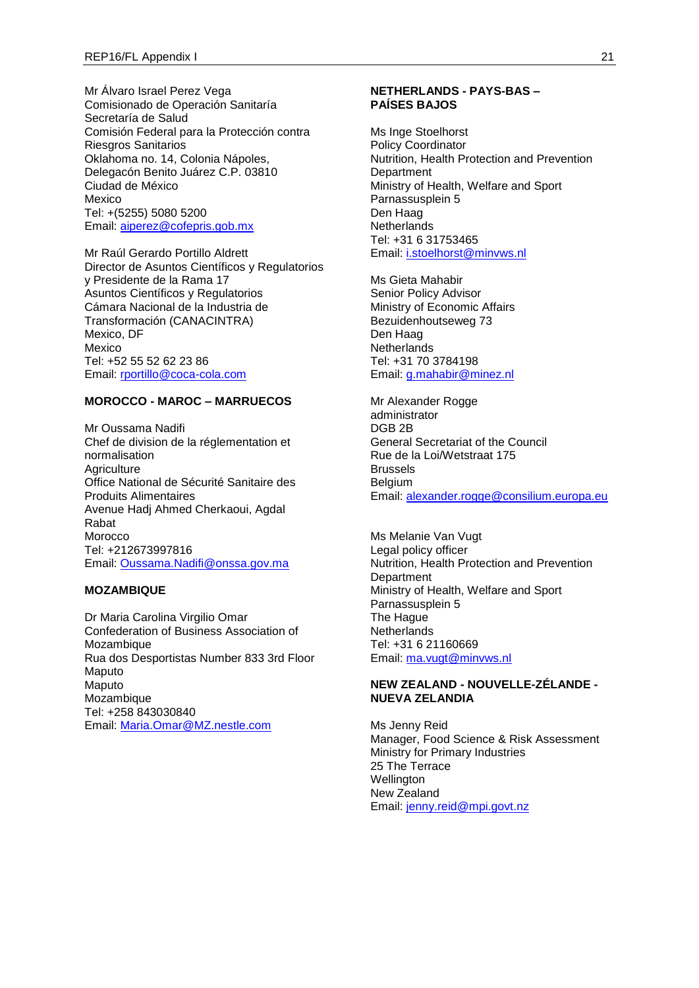Mr Álvaro Israel Perez Vega Comisionado de Operación Sanitaría Secretaría de Salud Comisión Federal para la Protección contra Riesgros Sanitarios Oklahoma no. 14, Colonia Nápoles, Delegacón Benito Juárez C.P. 03810 Ciudad de México Mexico Tel: +(5255) 5080 5200 Email: [aiperez@cofepris.gob.mx](mailto:aiperez@cofepris.gob.mx)

Mr Raúl Gerardo Portillo Aldrett Director de Asuntos Científicos y Regulatorios y Presidente de la Rama 17 Asuntos Científicos y Regulatorios Cámara Nacional de la Industria de Transformación (CANACINTRA) Mexico, DF Mexico Tel: +52 55 52 62 23 86 Email: [rportillo@coca-cola.com](mailto:rportillo@coca-cola.com)

### **MOROCCO - MAROC – MARRUECOS**

Mr Oussama Nadifi Chef de division de la réglementation et normalisation **Agriculture** Office National de Sécurité Sanitaire des Produits Alimentaires Avenue Hadj Ahmed Cherkaoui, Agdal Rabat Morocco Tel: +212673997816 Email: [Oussama.Nadifi@onssa.gov.ma](mailto:Oussama.Nadifi@onssa.gov.ma)

### **MOZAMBIQUE**

Dr Maria Carolina Virgilio Omar Confederation of Business Association of Mozambique Rua dos Desportistas Number 833 3rd Floor Maputo Maputo Mozambique Tel: +258 843030840 Email: [Maria.Omar@MZ.nestle.com](mailto:Maria.Omar@MZ.nestle.com)

### **NETHERLANDS - PAYS-BAS – PAÍSES BAJOS**

Ms Inge Stoelhorst Policy Coordinator Nutrition, Health Protection and Prevention **Department** Ministry of Health, Welfare and Sport Parnassusplein 5 Den Haag **Netherlands** Tel: +31 6 31753465 Email: [i.stoelhorst@minvws.nl](mailto:i.stoelhorst@minvws.nl)

Ms Gieta Mahabir Senior Policy Advisor Ministry of Economic Affairs Bezuidenhoutseweg 73 Den Haag **Netherlands** Tel: +31 70 3784198 Email: [g.mahabir@minez.nl](mailto:g.mahabir@minez.nl)

Mr Alexander Rogge administrator DGB 2B General Secretariat of the Council Rue de la Loi/Wetstraat 175 Brussels Belgium Email: [alexander.rogge@consilium.europa.eu](mailto:alexander.rogge@consilium.europa.eu)

Ms Melanie Van Vugt Legal policy officer Nutrition, Health Protection and Prevention Department Ministry of Health, Welfare and Sport Parnassusplein 5 The Hague **Netherlands** Tel: +31 6 21160669 Email: [ma.vugt@minvws.nl](mailto:ma.vugt@minvws.nl)

### **NEW ZEALAND - NOUVELLE-ZÉLANDE - NUEVA ZELANDIA**

Ms Jenny Reid Manager, Food Science & Risk Assessment Ministry for Primary Industries 25 The Terrace **Wellington** New Zealand Email: [jenny.reid@mpi.govt.nz](mailto:jenny.reid@mpi.govt.nz)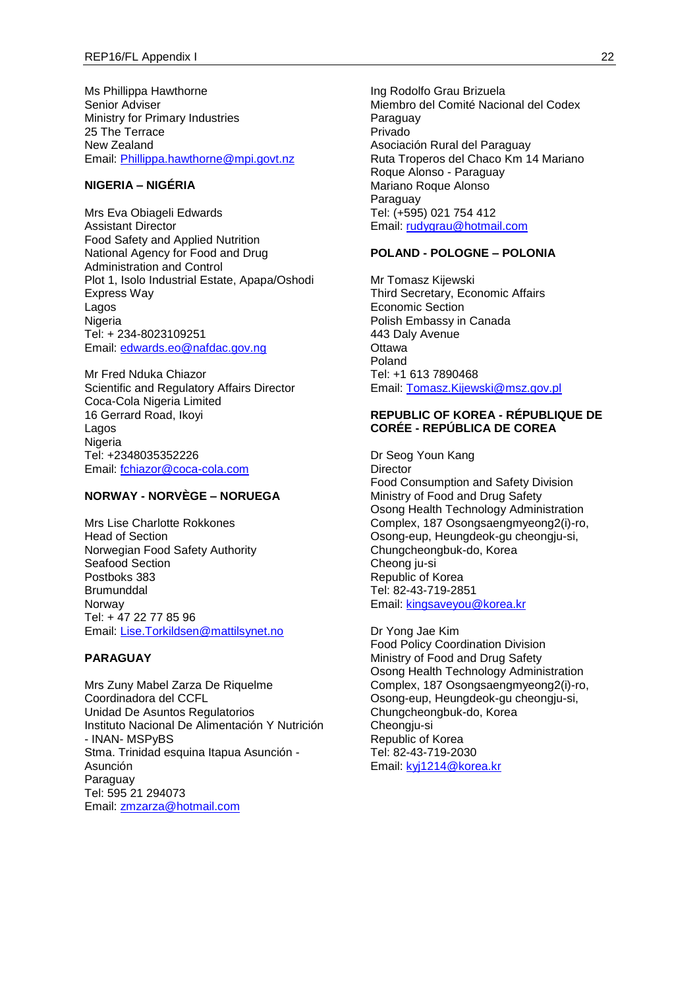Ms Phillippa Hawthorne Senior Adviser Ministry for Primary Industries 25 The Terrace New Zealand Email: [Phillippa.hawthorne@mpi.govt.nz](mailto:Phillippa.hawthorne@mpi.govt.nz)

# **NIGERIA – NIGÉRIA**

Mrs Eva Obiageli Edwards Assistant Director Food Safety and Applied Nutrition National Agency for Food and Drug Administration and Control Plot 1, Isolo Industrial Estate, Apapa/Oshodi Express Way Lagos Nigeria Tel: + 234-8023109251 Email: [edwards.eo@nafdac.gov.ng](mailto:edwards.eo@nafdac.gov.ng)

Mr Fred Nduka Chiazor Scientific and Regulatory Affairs Director Coca-Cola Nigeria Limited 16 Gerrard Road, Ikoyi Lagos Nigeria Tel: +2348035352226 Email: [fchiazor@coca-cola.com](mailto:fchiazor@coca-cola.com)

# **NORWAY - NORVÈGE – NORUEGA**

Mrs Lise Charlotte Rokkones Head of Section Norwegian Food Safety Authority Seafood Section Postboks 383 Brumunddal Norway Tel: + 47 22 77 85 96 Email: [Lise.Torkildsen@mattilsynet.no](mailto:Lise.Torkildsen@mattilsynet.no)

### **PARAGUAY**

Mrs Zuny Mabel Zarza De Riquelme Coordinadora del CCFL Unidad De Asuntos Regulatorios Instituto Nacional De Alimentación Y Nutrición - INAN- MSPyBS Stma. Trinidad esquina Itapua Asunción - Asunción Paraguay Tel: 595 21 294073 Email: [zmzarza@hotmail.com](mailto:zmzarza@hotmail.com)

Ing Rodolfo Grau Brizuela Miembro del Comité Nacional del Codex **Paraguay** Privado Asociación Rural del Paraguay Ruta Troperos del Chaco Km 14 Mariano Roque Alonso - Paraguay Mariano Roque Alonso Paraguay Tel: (+595) 021 754 412 Email: [rudygrau@hotmail.com](mailto:rudygrau@hotmail.com)

### **POLAND - POLOGNE – POLONIA**

Mr Tomasz Kijewski Third Secretary, Economic Affairs Economic Section Polish Embassy in Canada 443 Daly Avenue **Ottawa** Poland Tel: +1 613 7890468 Email: [Tomasz.Kijewski@msz.gov.pl](mailto:Tomasz.Kijewski@msz.gov.pl)

### **REPUBLIC OF KOREA - RÉPUBLIQUE DE CORÉE - REPÚBLICA DE COREA**

Dr Seog Youn Kang **Director** Food Consumption and Safety Division Ministry of Food and Drug Safety Osong Health Technology Administration Complex, 187 Osongsaengmyeong2(i)-ro, Osong-eup, Heungdeok-gu cheongju-si, Chungcheongbuk-do, Korea Cheong ju-si Republic of Korea Tel: 82-43-719-2851 Email: [kingsaveyou@korea.kr](mailto:kingsaveyou@korea.kr)

Dr Yong Jae Kim Food Policy Coordination Division Ministry of Food and Drug Safety Osong Health Technology Administration Complex, 187 Osongsaengmyeong2(i)-ro, Osong-eup, Heungdeok-gu cheongju-si, Chungcheongbuk-do, Korea Cheongju-si Republic of Korea Tel: 82-43-719-2030 Email: [kyj1214@korea.kr](mailto:kyj1214@korea.kr)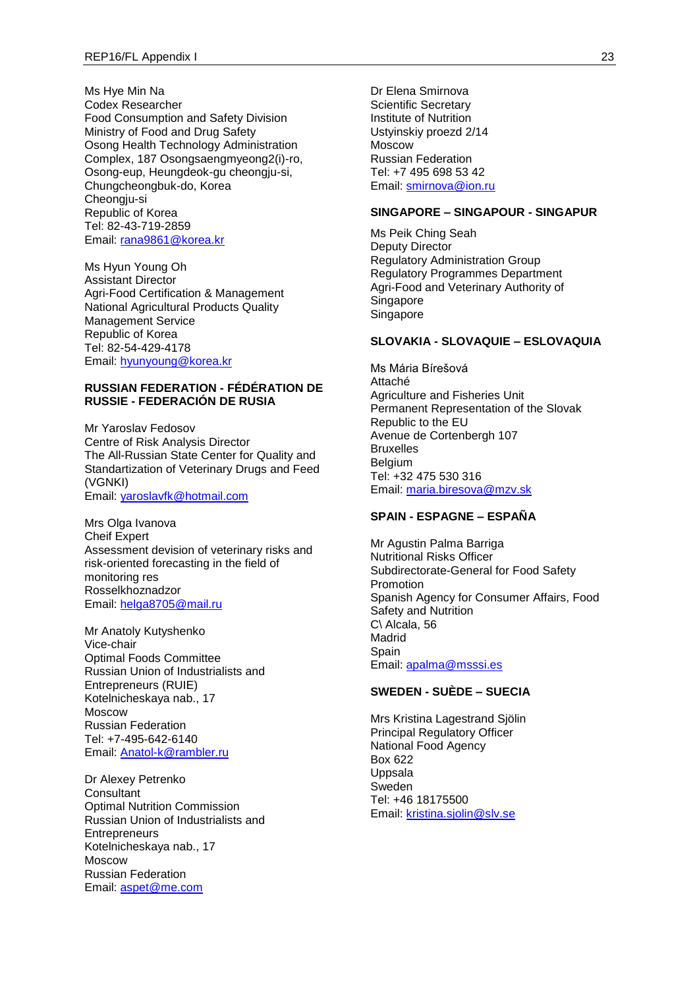Ms Hye Min Na Codex Researcher Food Consumption and Safety Division Ministry of Food and Drug Safety Osong Health Technology Administration Complex, 187 Osongsaengmyeong2(i)-ro, Osong-eup, Heungdeok-gu cheongju-si, Chungcheongbuk-do, Korea Cheongju-si Republic of Korea Tel: 82-43-719-2859 Email: [rana9861@korea.kr](mailto:rana9861@korea.kr)

Ms Hyun Young Oh Assistant Director Agri-Food Certification & Management National Agricultural Products Quality Management Service Republic of Korea Tel: 82-54-429-4178 Email: [hyunyoung@korea.kr](mailto:hyunyoung@korea.kr)

#### **RUSSIAN FEDERATION - FÉDÉRATION DE RUSSIE - FEDERACIÓN DE RUSIA**

Mr Yaroslav Fedosov Centre of Risk Analysis Director The All-Russian State Center for Quality and Standartization of Veterinary Drugs and Feed (VGNKI) Email: [yaroslavfk@hotmail.com](mailto:yaroslavfk@hotmail.com)

Mrs Olga Ivanova Cheif Expert Assessment devision of veterinary risks and risk-oriented forecasting in the field of monitoring res Rosselkhoznadzor Email: [helga8705@mail.ru](mailto:helga8705@mail.ru)

Mr Anatoly Kutyshenko Vice-chair Optimal Foods Committee Russian Union of Industrialists and Entrepreneurs (RUIE) Kotelnicheskaya nab., 17 Moscow Russian Federation Tel: +7-495-642-6140 Email: [Anatol-k@rambler.ru](mailto:Anatol-k@rambler.ru)

Dr Alexey Petrenko **Consultant** Optimal Nutrition Commission Russian Union of Industrialists and **Entrepreneurs** Kotelnicheskaya nab., 17 Moscow Russian Federation Email: [aspet@me.com](mailto:aspet@me.com)

Dr Elena Smirnova Scientific Secretary Institute of Nutrition Ustyinskiy proezd 2/14 Moscow Russian Federation Tel: +7 495 698 53 42 Email: [smirnova@ion.ru](mailto:smirnova@ion.ru)

### **SINGAPORE – SINGAPOUR - SINGAPUR**

Ms Peik Ching Seah Deputy Director Regulatory Administration Group Regulatory Programmes Department Agri-Food and Veterinary Authority of Singapore Singapore

## **SLOVAKIA - SLOVAQUIE – ESLOVAQUIA**

Ms Mária Bírešová Attaché Agriculture and Fisheries Unit Permanent Representation of the Slovak Republic to the EU Avenue de Cortenbergh 107 **Bruxelles** Belgium Tel: +32 475 530 316 Email: [maria.biresova@mzv.sk](mailto:maria.biresova@mzv.sk)

### **SPAIN - ESPAGNE – ESPAÑA**

Mr Agustin Palma Barriga Nutritional Risks Officer Subdirectorate-General for Food Safety Promotion Spanish Agency for Consumer Affairs, Food Safety and Nutrition C\ Alcala, 56 Madrid **Spain** Email: [apalma@msssi.es](mailto:apalma@msssi.es)

### **SWEDEN - SUÈDE – SUECIA**

Mrs Kristina Lagestrand Sjölin Principal Regulatory Officer National Food Agency Box 622 Uppsala Sweden Tel: +46 18175500 Email: [kristina.sjolin@slv.se](mailto:kristina.sjolin@slv.se)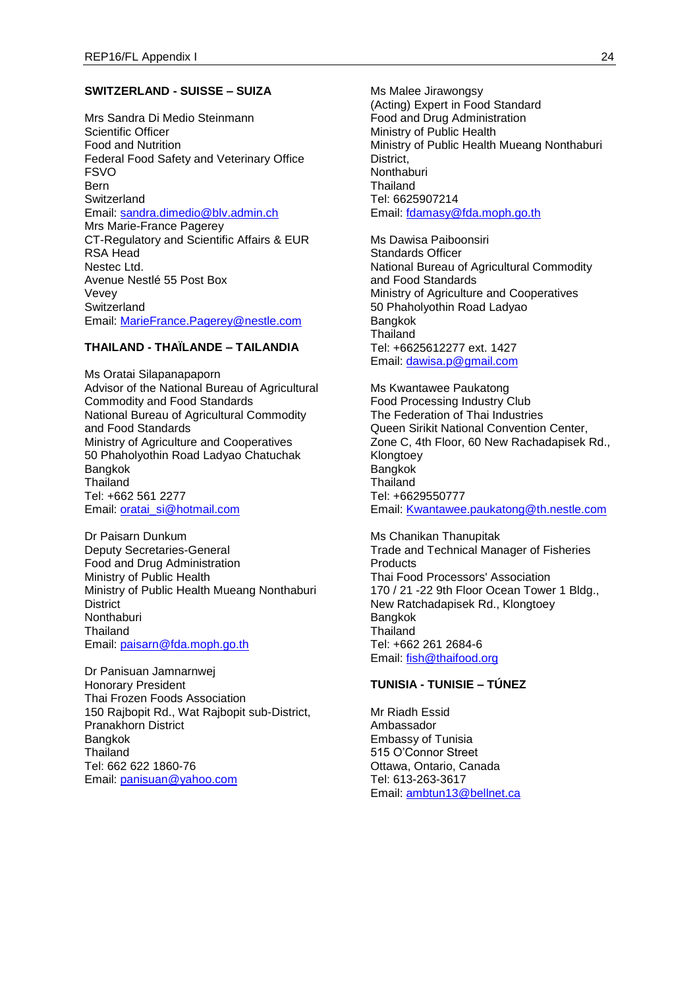#### **SWITZERLAND - SUISSE – SUIZA**

Mrs Sandra Di Medio Steinmann Scientific Officer Food and Nutrition Federal Food Safety and Veterinary Office FSVO Bern **Switzerland** Email: [sandra.dimedio@blv.admin.ch](mailto:sandra.dimedio@blv.admin.ch) Mrs Marie-France Pagerey CT-Regulatory and Scientific Affairs & EUR RSA Head Nestec Ltd. Avenue Nestlé 55 Post Box Vevey **Switzerland** Email: [MarieFrance.Pagerey@nestle.com](mailto:MarieFrance.Pagerey@nestle.com)

# **THAILAND - THAÏLANDE – TAILANDIA**

Ms Oratai Silapanapaporn Advisor of the National Bureau of Agricultural Commodity and Food Standards National Bureau of Agricultural Commodity and Food Standards Ministry of Agriculture and Cooperatives 50 Phaholyothin Road Ladyao Chatuchak Bangkok **Thailand** Tel: +662 561 2277 Email: [oratai\\_si@hotmail.com](mailto:oratai_si@hotmail.com)

Dr Paisarn Dunkum Deputy Secretaries-General Food and Drug Administration Ministry of Public Health Ministry of Public Health Mueang Nonthaburi **District** Nonthaburi Thailand Email: [paisarn@fda.moph.go.th](mailto:paisarn@fda.moph.go.th)

Dr Panisuan Jamnarnwej Honorary President Thai Frozen Foods Association 150 Rajbopit Rd., Wat Rajbopit sub-District, Pranakhorn District Bangkok **Thailand** Tel: 662 622 1860-76 Email: [panisuan@yahoo.com](mailto:panisuan@yahoo.com)

Ms Malee Jirawongsy (Acting) Expert in Food Standard Food and Drug Administration Ministry of Public Health Ministry of Public Health Mueang Nonthaburi District, **Nonthaburi Thailand** Tel: 6625907214 Email: [fdamasy@fda.moph.go.th](mailto:fdamasy@fda.moph.go.th)

Ms Dawisa Paiboonsiri Standards Officer National Bureau of Agricultural Commodity and Food Standards Ministry of Agriculture and Cooperatives 50 Phaholyothin Road Ladyao Bangkok **Thailand** Tel: +6625612277 ext. 1427 Email: [dawisa.p@gmail.com](mailto:dawisa.p@gmail.com)

Ms Kwantawee Paukatong Food Processing Industry Club The Federation of Thai Industries Queen Sirikit National Convention Center, Zone C, 4th Floor, 60 New Rachadapisek Rd., Klongtoey Bangkok **Thailand** Tel: +6629550777 Email: [Kwantawee.paukatong@th.nestle.com](mailto:Kwantawee.paukatong@th.nestle.com)

Ms Chanikan Thanupitak Trade and Technical Manager of Fisheries **Products** Thai Food Processors' Association 170 / 21 -22 9th Floor Ocean Tower 1 Bldg., New Ratchadapisek Rd., Klongtoey Bangkok **Thailand** Tel: +662 261 2684-6 Email: [fish@thaifood.org](mailto:fish@thaifood.org)

# **TUNISIA - TUNISIE – TÚNEZ**

Mr Riadh Essid Ambassador Embassy of Tunisia 515 O'Connor Street Ottawa, Ontario, Canada Tel: 613-263-3617 Email: [ambtun13@bellnet.ca](mailto:ambtun13@bellnet.ca)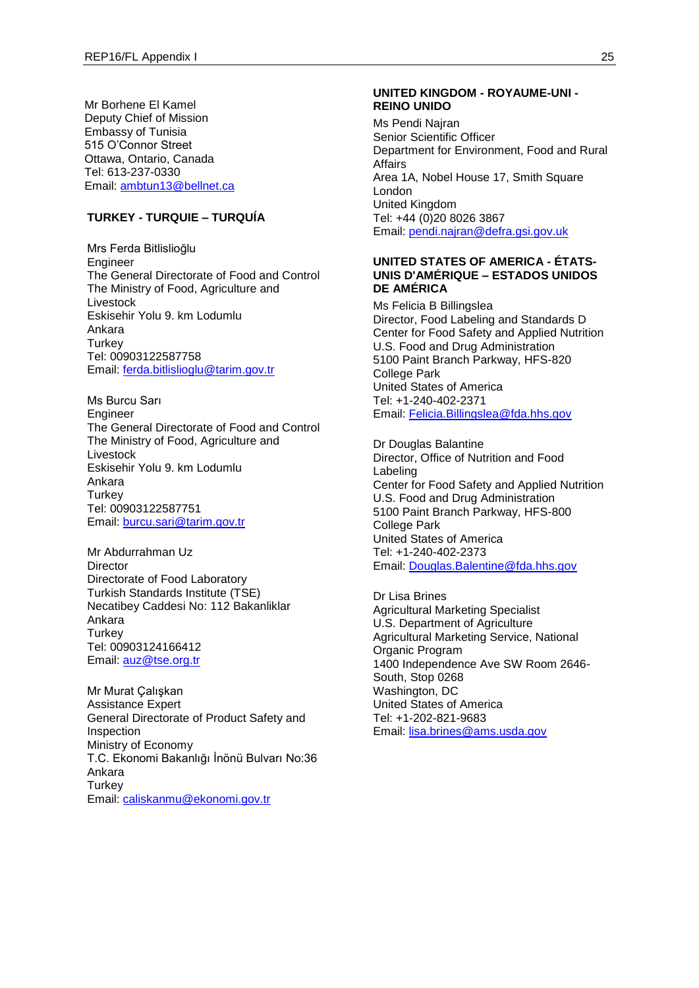Mr Borhene El Kamel Deputy Chief of Mission Embassy of Tunisia 515 O'Connor Street Ottawa, Ontario, Canada Tel: 613-237-0330 Email: [ambtun13@bellnet.ca](mailto:ambtun13@bellnet.ca)

### **TURKEY - TURQUIE – TURQUÍA**

Mrs Ferda Bitlislioğlu Engineer The General Directorate of Food and Control The Ministry of Food, Agriculture and Livestock Eskisehir Yolu 9. km Lodumlu Ankara **Turkey** Tel: 00903122587758 Email: [ferda.bitlislioglu@tarim.gov.tr](mailto:ferda.bitlislioglu@tarim.gov.tr)

Ms Burcu Sarı Engineer The General Directorate of Food and Control The Ministry of Food, Agriculture and Livestock Eskisehir Yolu 9. km Lodumlu Ankara **Turkey** Tel: 00903122587751 Email: [burcu.sari@tarim.gov.tr](mailto:burcu.sari@tarim.gov.tr)

Mr Abdurrahman Uz **Director** Directorate of Food Laboratory Turkish Standards Institute (TSE) Necatibey Caddesi No: 112 Bakanliklar Ankara **Turkey** Tel: 00903124166412 Email: [auz@tse.org.tr](mailto:auz@tse.org.tr)

Mr Murat Çalışkan Assistance Expert General Directorate of Product Safety and Inspection Ministry of Economy T.C. Ekonomi Bakanlığı İnönü Bulvarı No:36 Ankara **Turkey** Email: [caliskanmu@ekonomi.gov.tr](mailto:caliskanmu@ekonomi.gov.tr)

#### **UNITED KINGDOM - ROYAUME-UNI - REINO UNIDO**

Ms Pendi Najran Senior Scientific Officer Department for Environment, Food and Rural Affairs Area 1A, Nobel House 17, Smith Square London United Kingdom Tel: +44 (0)20 8026 3867 Email: [pendi.najran@defra.gsi.gov.uk](mailto:pendi.najran@defra.gsi.gov.uk)

## **UNITED STATES OF AMERICA - ÉTATS-UNIS D'AMÉRIQUE – ESTADOS UNIDOS DE AMÉRICA**

Ms Felicia B Billingslea Director, Food Labeling and Standards D Center for Food Safety and Applied Nutrition U.S. Food and Drug Administration 5100 Paint Branch Parkway, HFS-820 College Park United States of America Tel: +1-240-402-2371 Email: [Felicia.Billingslea@fda.hhs.gov](mailto:Felicia.Billingslea@fda.hhs.gov)

Dr Douglas Balantine Director, Office of Nutrition and Food Labeling Center for Food Safety and Applied Nutrition U.S. Food and Drug Administration 5100 Paint Branch Parkway, HFS-800 College Park United States of America Tel: +1-240-402-2373 Email: [Douglas.Balentine@fda.hhs.gov](mailto:Douglas.Balentine@fda.hhs.gov)

Dr Lisa Brines Agricultural Marketing Specialist U.S. Department of Agriculture Agricultural Marketing Service, National Organic Program 1400 Independence Ave SW Room 2646- South, Stop 0268 Washington, DC United States of America Tel: +1-202-821-9683 Email: [lisa.brines@ams.usda.gov](mailto:lisa.brines@ams.usda.gov)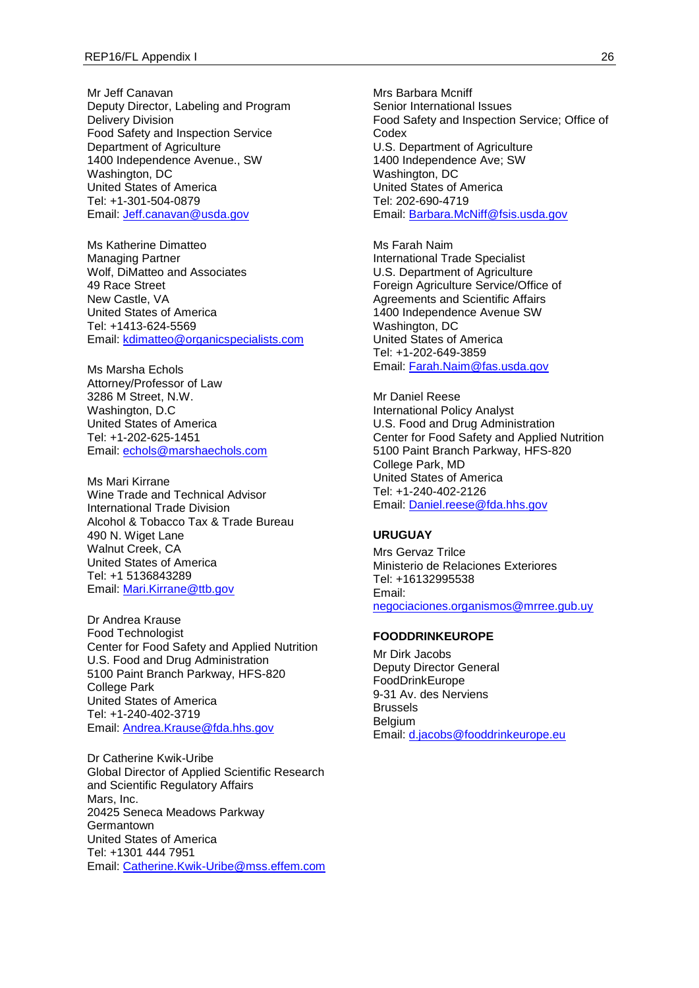Mr Jeff Canavan Deputy Director, Labeling and Program Delivery Division Food Safety and Inspection Service Department of Agriculture 1400 Independence Avenue., SW Washington, DC United States of America Tel: +1-301-504-0879 Email: [Jeff.canavan@usda.gov](mailto:Jeff.canavan@usda.gov)

Ms Katherine Dimatteo Managing Partner Wolf, DiMatteo and Associates 49 Race Street New Castle, VA United States of America Tel: +1413-624-5569 Email: [kdimatteo@organicspecialists.com](mailto:kdimatteo@organicspecialists.com)

Ms Marsha Echols Attorney/Professor of Law 3286 M Street, N.W. Washington, D.C United States of America Tel: +1-202-625-1451 Email: [echols@marshaechols.com](mailto:echols@marshaechols.com)

Ms Mari Kirrane Wine Trade and Technical Advisor International Trade Division Alcohol & Tobacco Tax & Trade Bureau 490 N. Wiget Lane Walnut Creek, CA United States of America Tel: +1 5136843289 Email: [Mari.Kirrane@ttb.gov](mailto:Mari.Kirrane@ttb.gov)

Dr Andrea Krause Food Technologist Center for Food Safety and Applied Nutrition U.S. Food and Drug Administration 5100 Paint Branch Parkway, HFS-820 College Park United States of America Tel: +1-240-402-3719 Email: [Andrea.Krause@fda.hhs.gov](mailto:Andrea.Krause@fda.hhs.gov)

Dr Catherine Kwik-Uribe Global Director of Applied Scientific Research and Scientific Regulatory Affairs Mars, Inc. 20425 Seneca Meadows Parkway **Germantown** United States of America Tel: +1301 444 7951 Email: [Catherine.Kwik-Uribe@mss.effem.com](mailto:Catherine.Kwik-Uribe@mss.effem.com) Mrs Barbara Mcniff Senior International Issues Food Safety and Inspection Service; Office of Codex U.S. Department of Agriculture 1400 Independence Ave; SW Washington, DC United States of America Tel: 202-690-4719 Email: [Barbara.McNiff@fsis.usda.gov](mailto:Barbara.McNiff@fsis.usda.gov)

Ms Farah Naim International Trade Specialist U.S. Department of Agriculture Foreign Agriculture Service/Office of Agreements and Scientific Affairs 1400 Independence Avenue SW Washington, DC United States of America Tel: +1-202-649-3859 Email: [Farah.Naim@fas.usda.gov](mailto:Farah.Naim@fas.usda.gov)

Mr Daniel Reese International Policy Analyst U.S. Food and Drug Administration Center for Food Safety and Applied Nutrition 5100 Paint Branch Parkway, HFS-820 College Park, MD United States of America Tel: +1-240-402-2126 Email: [Daniel.reese@fda.hhs.gov](mailto:Daniel.reese@fda.hhs.gov)

# **URUGUAY**

Mrs Gervaz Trilce Ministerio de Relaciones Exteriores Tel: +16132995538 Email: [negociaciones.organismos@mrree.gub.uy](mailto:negociaciones.organismos@mrree.gub.uy)

### **FOODDRINKEUROPE**

Mr Dirk Jacobs Deputy Director General FoodDrinkEurope 9-31 Av. des Nerviens Brussels Belgium Email: [d.jacobs@fooddrinkeurope.eu](mailto:d.jacobs@fooddrinkeurope.eu)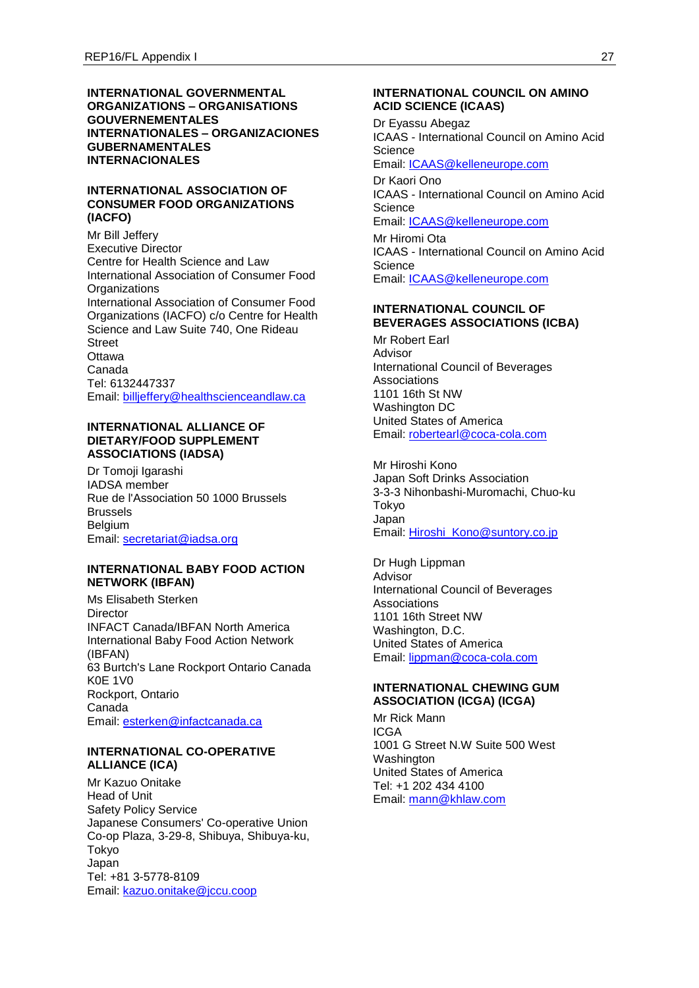#### **INTERNATIONAL GOVERNMENTAL ORGANIZATIONS – ORGANISATIONS GOUVERNEMENTALES INTERNATIONALES – ORGANIZACIONES GUBERNAMENTALES INTERNACIONALES**

### **INTERNATIONAL ASSOCIATION OF CONSUMER FOOD ORGANIZATIONS (IACFO)**

Mr Bill Jeffery Executive Director Centre for Health Science and Law International Association of Consumer Food **Organizations** International Association of Consumer Food Organizations (IACFO) c/o Centre for Health Science and Law Suite 740, One Rideau **Street Ottawa** Canada Tel: 6132447337 Email: [billjeffery@healthscienceandlaw.ca](mailto:billjeffery@healthscienceandlaw.ca)

### **INTERNATIONAL ALLIANCE OF DIETARY/FOOD SUPPLEMENT ASSOCIATIONS (IADSA)**

Dr Tomoji Igarashi IADSA member Rue de l'Association 50 1000 Brussels Brussels Belgium Email: [secretariat@iadsa.org](mailto:secretariat@iadsa.org)

### **INTERNATIONAL BABY FOOD ACTION NETWORK (IBFAN)**

Ms Elisabeth Sterken **Director** INFACT Canada/IBFAN North America International Baby Food Action Network (IBFAN) 63 Burtch's Lane Rockport Ontario Canada K0E 1V0 Rockport, Ontario Canada Email: [esterken@infactcanada.ca](mailto:esterken@infactcanada.ca)

# **INTERNATIONAL CO-OPERATIVE ALLIANCE (ICA)**

Mr Kazuo Onitake Head of Unit Safety Policy Service Japanese Consumers' Co-operative Union Co-op Plaza, 3-29-8, Shibuya, Shibuya-ku, Tokyo Japan Tel: +81 3-5778-8109 Email: [kazuo.onitake@jccu.coop](mailto:kazuo.onitake@jccu.coop)

### **INTERNATIONAL COUNCIL ON AMINO ACID SCIENCE (ICAAS)**

Dr Eyassu Abegaz ICAAS - International Council on Amino Acid **Science** Email: [ICAAS@kelleneurope.com](mailto:ICAAS@kelleneurope.com) Dr Kaori Ono ICAAS - International Council on Amino Acid **Science** Email: [ICAAS@kelleneurope.com](mailto:ICAAS@kelleneurope.com) Mr Hiromi Ota ICAAS - International Council on Amino Acid

**Science** Email: [ICAAS@kelleneurope.com](mailto:ICAAS@kelleneurope.com)

### **INTERNATIONAL COUNCIL OF BEVERAGES ASSOCIATIONS (ICBA)**

Mr Robert Earl Advisor International Council of Beverages Associations 1101 16th St NW Washington DC United States of America Email: [robertearl@coca-cola.com](mailto:robertearl@coca-cola.com)

Mr Hiroshi Kono Japan Soft Drinks Association 3-3-3 Nihonbashi-Muromachi, Chuo-ku Tokyo Japan Email: [Hiroshi\\_Kono@suntory.co.jp](mailto:Hiroshi_Kono@suntory.co.jp)

Dr Hugh Lippman Advisor International Council of Beverages Associations 1101 16th Street NW Washington, D.C. United States of America Email: [lippman@coca-cola.com](mailto:lippman@coca-cola.com)

# **INTERNATIONAL CHEWING GUM ASSOCIATION (ICGA) (ICGA)**

Mr Rick Mann ICGA 1001 G Street N.W Suite 500 West Washington United States of America Tel: +1 202 434 4100 Email: [mann@khlaw.com](mailto:mann@khlaw.com)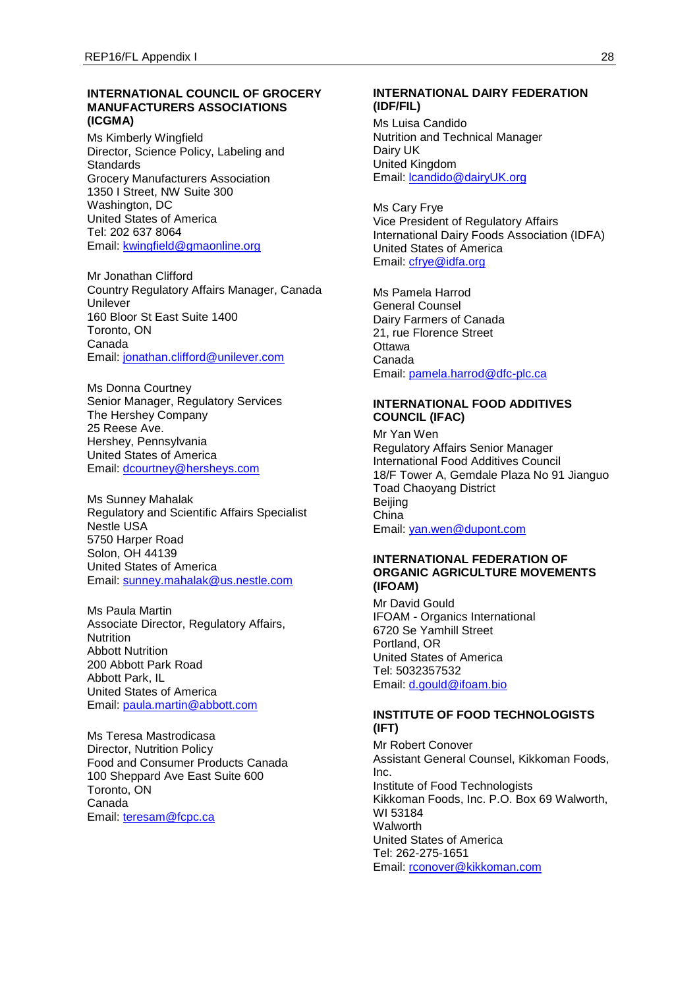## **INTERNATIONAL COUNCIL OF GROCERY MANUFACTURERS ASSOCIATIONS (ICGMA)**

Ms Kimberly Wingfield Director, Science Policy, Labeling and **Standards** Grocery Manufacturers Association 1350 I Street, NW Suite 300 Washington, DC United States of America Tel: 202 637 8064 Email: [kwingfield@gmaonline.org](mailto:kwingfield@gmaonline.org)

Mr Jonathan Clifford Country Regulatory Affairs Manager, Canada Unilever 160 Bloor St East Suite 1400 Toronto, ON Canada Email: [jonathan.clifford@unilever.com](mailto:jonathan.clifford@unilever.com)

Ms Donna Courtney Senior Manager, Regulatory Services The Hershey Company 25 Reese Ave. Hershey, Pennsylvania United States of America Email: [dcourtney@hersheys.com](mailto:dcourtney@hersheys.com)

Ms Sunney Mahalak Regulatory and Scientific Affairs Specialist Nestle USA 5750 Harper Road Solon, OH 44139 United States of America Email: [sunney.mahalak@us.nestle.com](mailto:sunney.mahalak@us.nestle.com)

Ms Paula Martin Associate Director, Regulatory Affairs, **Nutrition** Abbott Nutrition 200 Abbott Park Road Abbott Park, IL United States of America Email: [paula.martin@abbott.com](mailto:paula.martin@abbott.com)

Ms Teresa Mastrodicasa Director, Nutrition Policy Food and Consumer Products Canada 100 Sheppard Ave East Suite 600 Toronto, ON Canada Email: [teresam@fcpc.ca](mailto:teresam@fcpc.ca)

### **INTERNATIONAL DAIRY FEDERATION (IDF/FIL)**

Ms Luisa Candido Nutrition and Technical Manager Dairy UK United Kingdom Email: [lcandido@dairyUK.org](mailto:lcandido@dairyUK.org)

Ms Cary Frye Vice President of Regulatory Affairs International Dairy Foods Association (IDFA) United States of America Email: [cfrye@idfa.org](mailto:cfrye@idfa.org)

Ms Pamela Harrod General Counsel Dairy Farmers of Canada 21, rue Florence Street **Ottawa** Canada Email: [pamela.harrod@dfc-plc.ca](mailto:pamela.harrod@dfc-plc.ca)

# **INTERNATIONAL FOOD ADDITIVES COUNCIL (IFAC)**

Mr Yan Wen Regulatory Affairs Senior Manager International Food Additives Council 18/F Tower A, Gemdale Plaza No 91 Jianguo Toad Chaoyang District Beijing China Email: [yan.wen@dupont.com](mailto:yan.wen@dupont.com)

# **INTERNATIONAL FEDERATION OF ORGANIC AGRICULTURE MOVEMENTS (IFOAM)**

Mr David Gould IFOAM - Organics International 6720 Se Yamhill Street Portland, OR United States of America Tel: 5032357532 Email: [d.gould@ifoam.bio](mailto:d.gould@ifoam.bio)

# **INSTITUTE OF FOOD TECHNOLOGISTS (IFT)**

Mr Robert Conover Assistant General Counsel, Kikkoman Foods, Inc. Institute of Food Technologists Kikkoman Foods, Inc. P.O. Box 69 Walworth, WI 53184 **Walworth** United States of America Tel: 262-275-1651 Email: [rconover@kikkoman.com](mailto:rconover@kikkoman.com)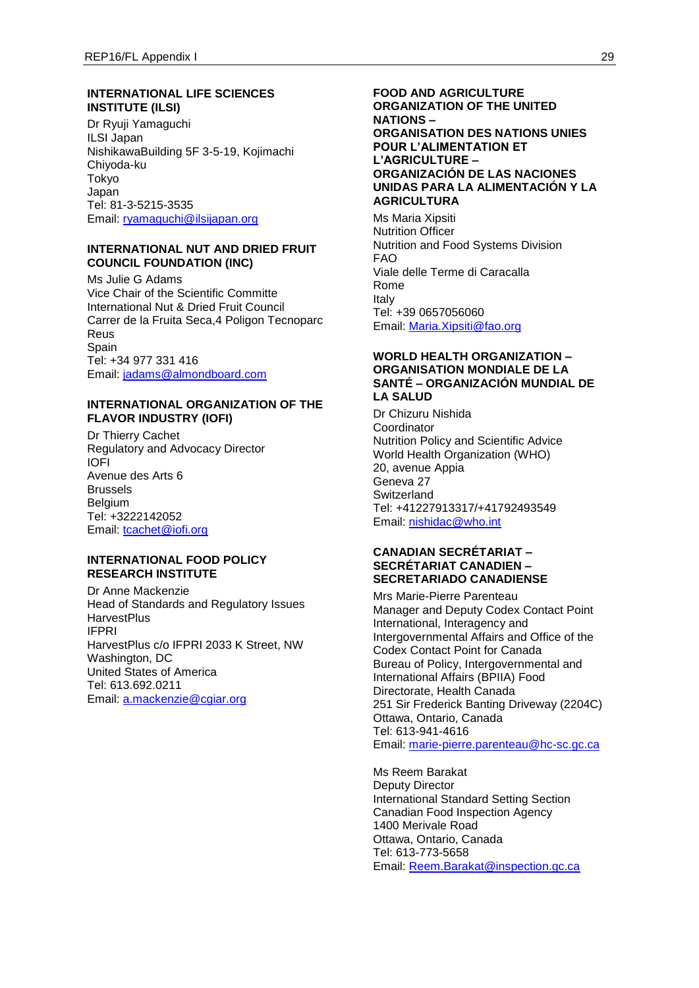# **INTERNATIONAL LIFE SCIENCES INSTITUTE (ILSI)**

Dr Ryuji Yamaguchi ILSI Japan NishikawaBuilding 5F 3-5-19, Kojimachi Chiyoda-ku Tokyo Japan Tel: 81-3-5215-3535 Email: [ryamaguchi@ilsijapan.org](mailto:ryamaguchi@ilsijapan.org)

### **INTERNATIONAL NUT AND DRIED FRUIT COUNCIL FOUNDATION (INC)**

Ms Julie G Adams Vice Chair of the Scientific Committe International Nut & Dried Fruit Council Carrer de la Fruita Seca,4 Poligon Tecnoparc Reus Spain Tel: +34 977 331 416 Email: [jadams@almondboard.com](mailto:jadams@almondboard.com)

#### **INTERNATIONAL ORGANIZATION OF THE FLAVOR INDUSTRY (IOFI)**

Dr Thierry Cachet Regulatory and Advocacy Director IOFI Avenue des Arts 6 Brussels Belgium Tel: +3222142052 Email: [tcachet@iofi.org](mailto:tcachet@iofi.org)

### **INTERNATIONAL FOOD POLICY RESEARCH INSTITUTE**

Dr Anne Mackenzie Head of Standards and Regulatory Issues **HarvestPlus** IFPRI HarvestPlus c/o IFPRI 2033 K Street, NW Washington, DC United States of America Tel: 613.692.0211 Email: [a.mackenzie@cgiar.org](mailto:a.mackenzie@cgiar.org)

### **FOOD AND AGRICULTURE ORGANIZATION OF THE UNITED NATIONS – ORGANISATION DES NATIONS UNIES POUR L'ALIMENTATION ET L'AGRICULTURE – ORGANIZACIÓN DE LAS NACIONES UNIDAS PARA LA ALIMENTACIÓN Y LA AGRICULTURA**

Ms Maria Xipsiti Nutrition Officer Nutrition and Food Systems Division FAO Viale delle Terme di Caracalla Rome Italy Tel: +39 0657056060 Email: [Maria.Xipsiti@fao.org](mailto:Maria.Xipsiti@fao.org)

### **WORLD HEALTH ORGANIZATION – ORGANISATION MONDIALE DE LA SANTÉ – ORGANIZACIÓN MUNDIAL DE LA SALUD**

Dr Chizuru Nishida Coordinator Nutrition Policy and Scientific Advice World Health Organization (WHO) 20, avenue Appia Geneva 27 **Switzerland** Tel: +41227913317/+41792493549 Email: [nishidac@who.int](mailto:nishidac@who.int)

### **CANADIAN SECRÉTARIAT – SECRÉTARIAT CANADIEN – SECRETARIADO CANADIENSE**

Mrs Marie-Pierre Parenteau Manager and Deputy Codex Contact Point International, Interagency and Intergovernmental Affairs and Office of the Codex Contact Point for Canada Bureau of Policy, Intergovernmental and International Affairs (BPIIA) Food Directorate, Health Canada 251 Sir Frederick Banting Driveway (2204C) Ottawa, Ontario, Canada Tel: 613-941-4616 Email: [marie-pierre.parenteau@hc-sc.gc.ca](mailto:marie-pierre.parenteau@hc-sc.gc.ca)

Ms Reem Barakat Deputy Director International Standard Setting Section Canadian Food Inspection Agency 1400 Merivale Road Ottawa, Ontario, Canada Tel: 613-773-5658 Email: [Reem.Barakat@inspection.gc.ca](mailto:Reem.Barakat@inspection.gc.ca)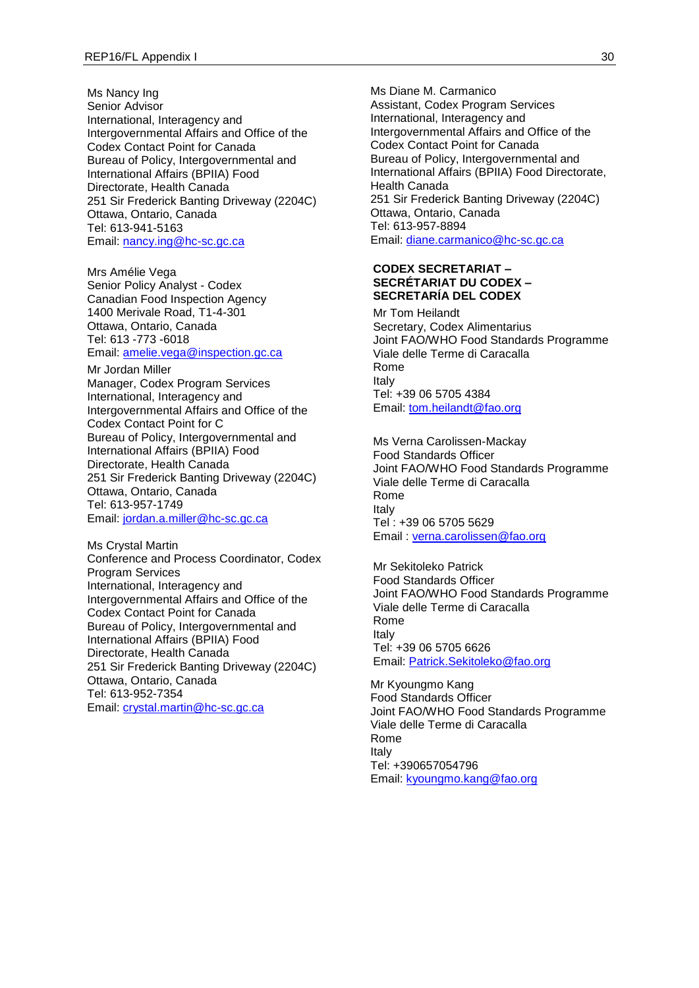Ms Nancy Ing Senior Advisor International, Interagency and Intergovernmental Affairs and Office of the Codex Contact Point for Canada Bureau of Policy, Intergovernmental and International Affairs (BPIIA) Food Directorate, Health Canada 251 Sir Frederick Banting Driveway (2204C) Ottawa, Ontario, Canada Tel: 613-941-5163 Email: [nancy.ing@hc-sc.gc.ca](mailto:nancy.ing@hc-sc.gc.ca)

Mrs Amélie Vega Senior Policy Analyst - Codex Canadian Food Inspection Agency 1400 Merivale Road, T1-4-301 Ottawa, Ontario, Canada Tel: 613 -773 -6018 Email: [amelie.vega@inspection.gc.ca](mailto:amelie.vega@inspection.gc.ca)

Mr Jordan Miller Manager, Codex Program Services International, Interagency and Intergovernmental Affairs and Office of the Codex Contact Point for C Bureau of Policy, Intergovernmental and International Affairs (BPIIA) Food Directorate, Health Canada 251 Sir Frederick Banting Driveway (2204C) Ottawa, Ontario, Canada Tel: 613-957-1749 Email: [jordan.a.miller@hc-sc.gc.ca](mailto:jordan.a.miller@hc-sc.gc.ca)

Ms Crystal Martin Conference and Process Coordinator, Codex Program Services International, Interagency and Intergovernmental Affairs and Office of the Codex Contact Point for Canada Bureau of Policy, Intergovernmental and International Affairs (BPIIA) Food Directorate, Health Canada 251 Sir Frederick Banting Driveway (2204C) Ottawa, Ontario, Canada Tel: 613-952-7354 Email: [crystal.martin@hc-sc.gc.ca](mailto:crystal.martin@hc-sc.gc.ca)

Ms Diane M. Carmanico Assistant, Codex Program Services International, Interagency and Intergovernmental Affairs and Office of the Codex Contact Point for Canada Bureau of Policy, Intergovernmental and International Affairs (BPIIA) Food Directorate, Health Canada 251 Sir Frederick Banting Driveway (2204C) Ottawa, Ontario, Canada Tel: 613-957-8894 Email: [diane.carmanico@hc-sc.gc.ca](mailto:diane.carmanico@hc-sc.gc.ca)

#### **CODEX SECRETARIAT – SECRÉTARIAT DU CODEX – SECRETARÍA DEL CODEX**

Mr Tom Heilandt Secretary, Codex Alimentarius Joint FAO/WHO Food Standards Programme Viale delle Terme di Caracalla Rome Italy Tel: +39 06 5705 4384 Email: [tom.heilandt@fao.org](mailto:tom.heilandt@fao.org)

Ms Verna Carolissen-Mackay Food Standards Officer Joint FAO/WHO Food Standards Programme Viale delle Terme di Caracalla Rome Italy Tel : +39 06 5705 5629 Email : [verna.carolissen@fao.org](mailto:verna.carolissen@fao.org)

Mr Sekitoleko Patrick Food Standards Officer Joint FAO/WHO Food Standards Programme Viale delle Terme di Caracalla Rome Italy Tel: +39 06 5705 6626 Email: [Patrick.Sekitoleko@fao.org](mailto:Patrick.Sekitoleko@fao.org)

Mr Kyoungmo Kang Food Standards Officer Joint FAO/WHO Food Standards Programme Viale delle Terme di Caracalla Rome Italy Tel: +390657054796 Email: [kyoungmo.kang@fao.org](mailto:kyoungmo.kang@fao.org)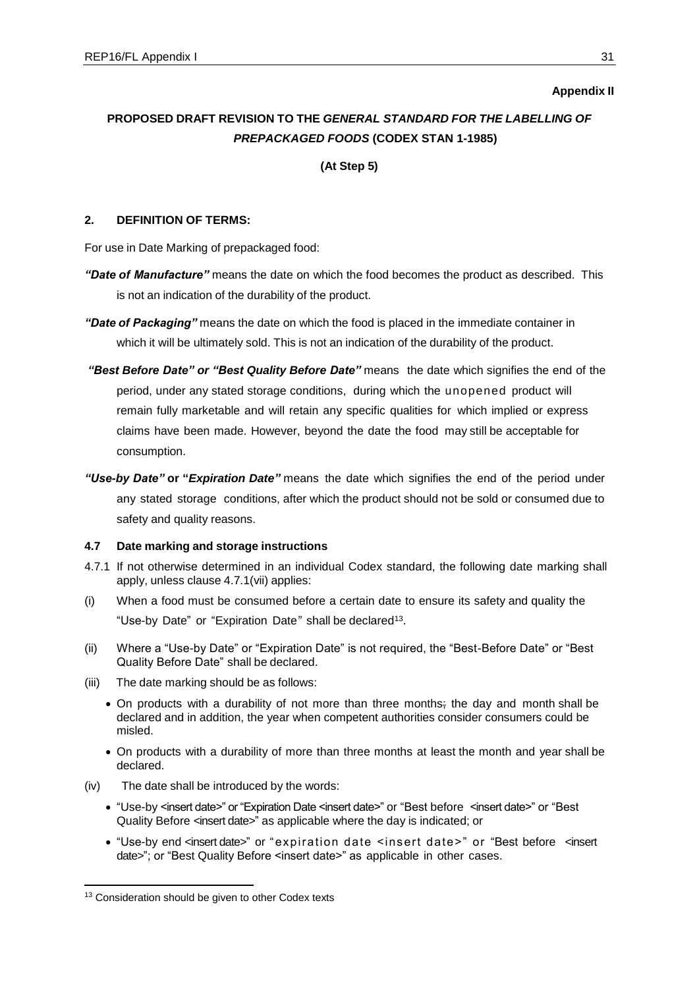## **Appendix II**

# **PROPOSED DRAFT REVISION TO THE** *GENERAL STANDARD FOR THE LABELLING OF PREPACKAGED FOODS* **(CODEX STAN 1-1985)**

**(At Step 5)**

# **2. DEFINITION OF TERMS:**

For use in Date Marking of prepackaged food:

- *"Date of Manufacture"* means the date on which the food becomes the product as described. This is not an indication of the durability of the product.
- *"Date of Packaging"* means the date on which the food is placed in the immediate container in which it will be ultimately sold. This is not an indication of the durability of the product.
- *"Best Before Date" or "Best Quality Before Date"* means the date which signifies the end of the period, under any stated storage conditions, during which the unopened product will remain fully marketable and will retain any specific qualities for which implied or express claims have been made. However, beyond the date the food may still be acceptable for consumption.
- *"Use-by Date"* **or "***Expiration Date"* means the date which signifies the end of the period under any stated storage conditions, after which the product should not be sold or consumed due to safety and quality reasons.

### **4.7 Date marking and storage instructions**

- 4.7.1 If not otherwise determined in an individual Codex standard, the following date marking shall apply, unless clause 4.7.1(vii) applies:
- (i) When a food must be consumed before a certain date to ensure its safety and quality the "Use-by Date" or "Expiration Date" shall be declared<sup>13</sup>.
- (ii) Where a "Use-by Date" or "Expiration Date" is not required, the "Best-Before Date" or "Best Quality Before Date" shall be declared.
- (iii) The date marking should be as follows:
	- On products with a durability of not more than three months; the day and month shall be declared and in addition, the year when competent authorities consider consumers could be misled.
	- On products with a durability of more than three months at least the month and year shall be declared.
- (iv) The date shall be introduced by the words:
	- "Use-by <insert date>" or "Expiration Date <insert date>" or "Best before <insert date>" or "Best Quality Before <insert date>" as applicable where the day is indicated; or
	- "Use-by end <insert date>" or "expiration date <insert date>" or "Best before <insert date>"; or "Best Quality Before <insert date>" as applicable in other cases.

-

<sup>&</sup>lt;sup>13</sup> Consideration should be given to other Codex texts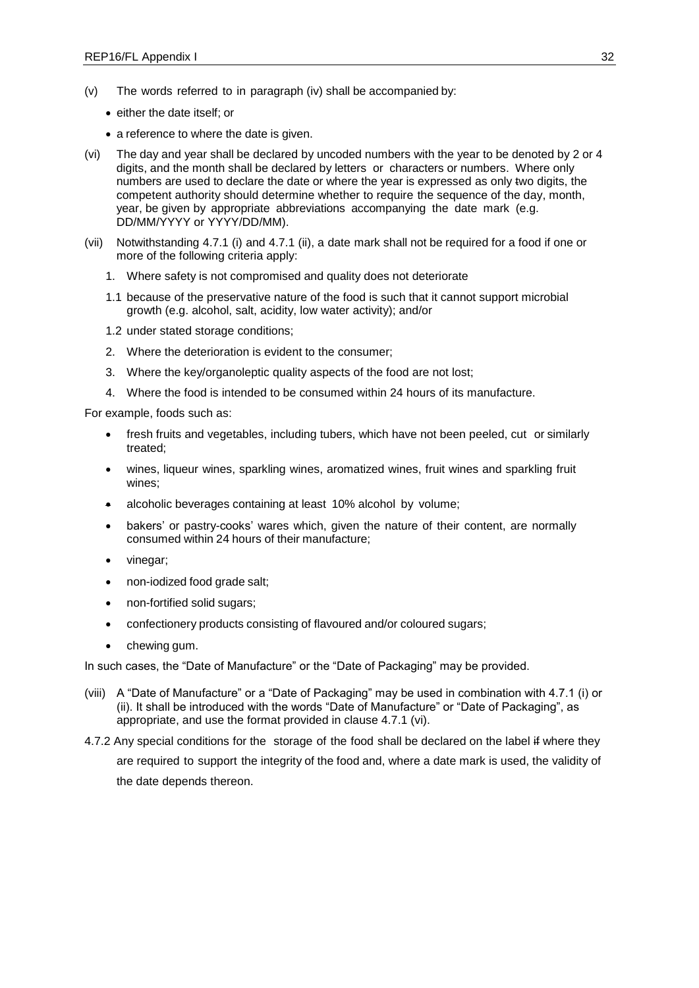- (v) The words referred to in paragraph (iv) shall be accompanied by:
	- either the date itself; or
	- a reference to where the date is given.
- (vi) The day and year shall be declared by uncoded numbers with the year to be denoted by 2 or 4 digits, and the month shall be declared by letters or characters or numbers. Where only numbers are used to declare the date or where the year is expressed as only two digits, the competent authority should determine whether to require the sequence of the day, month, year, be given by appropriate abbreviations accompanying the date mark (e.g. DD/MM/YYYY or YYYY/DD/MM).
- (vii) Notwithstanding 4.7.1 (i) and 4.7.1 (ii), a date mark shall not be required for a food if one or more of the following criteria apply:
	- 1. Where safety is not compromised and quality does not deteriorate
	- 1.1 because of the preservative nature of the food is such that it cannot support microbial growth (e.g. alcohol, salt, acidity, low water activity); and/or
	- 1.2 under stated storage conditions;
	- 2. Where the deterioration is evident to the consumer;
	- 3. Where the key/organoleptic quality aspects of the food are not lost;
	- 4. Where the food is intended to be consumed within 24 hours of its manufacture.

For example, foods such as:

- fresh fruits and vegetables, including tubers, which have not been peeled, cut or similarly treated;
- wines, liqueur wines, sparkling wines, aromatized wines, fruit wines and sparkling fruit wines;
- alcoholic beverages containing at least 10% alcohol by volume;
- bakers' or pastry-cooks' wares which, given the nature of their content, are normally consumed within 24 hours of their manufacture;
- vinegar;
- non-iodized food grade salt;
- non-fortified solid sugars;
- confectionery products consisting of flavoured and/or coloured sugars;
- chewing gum.

In such cases, the "Date of Manufacture" or the "Date of Packaging" may be provided.

- (viii) A "Date of Manufacture" or a "Date of Packaging" may be used in combination with 4.7.1 (i) or (ii). It shall be introduced with the words "Date of Manufacture" or "Date of Packaging", as appropriate, and use the format provided in clause 4.7.1 (vi).
- 4.7.2 Any special conditions for the storage of the food shall be declared on the label if where they

are required to support the integrity of the food and, where a date mark is used, the validity of the date depends thereon.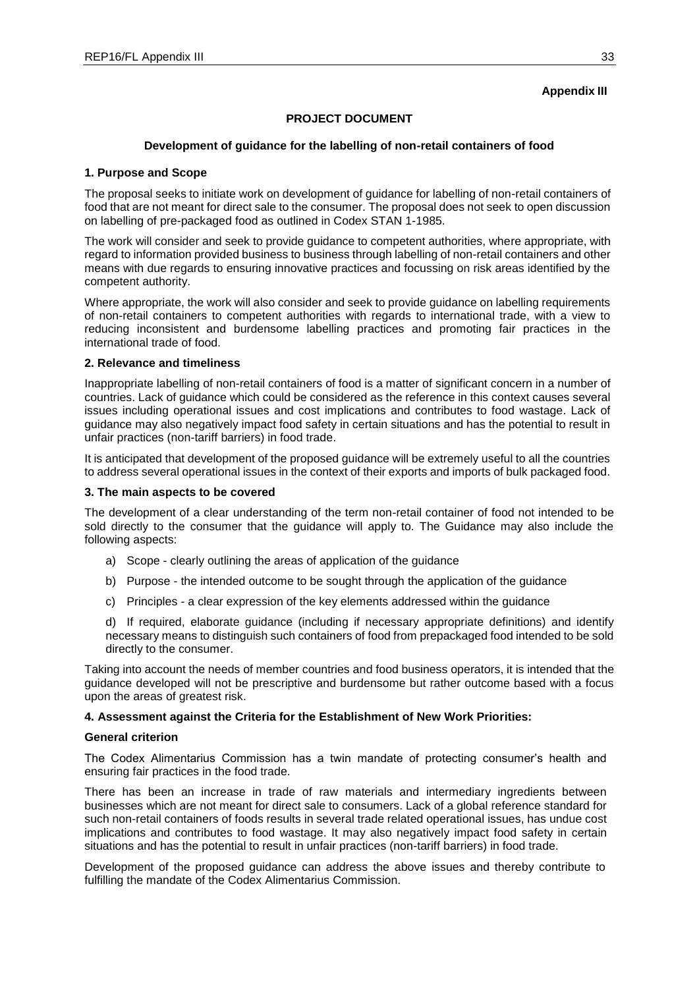## **Appendix III**

# **PROJECT DOCUMENT**

### **Development of guidance for the labelling of non-retail containers of food**

### **1. Purpose and Scope**

The proposal seeks to initiate work on development of guidance for labelling of non-retail containers of food that are not meant for direct sale to the consumer. The proposal does not seek to open discussion on labelling of pre-packaged food as outlined in Codex STAN 1-1985.

The work will consider and seek to provide guidance to competent authorities, where appropriate, with regard to information provided business to business through labelling of non-retail containers and other means with due regards to ensuring innovative practices and focussing on risk areas identified by the competent authority.

Where appropriate, the work will also consider and seek to provide guidance on labelling requirements of non-retail containers to competent authorities with regards to international trade, with a view to reducing inconsistent and burdensome labelling practices and promoting fair practices in the international trade of food.

### **2. Relevance and timeliness**

Inappropriate labelling of non-retail containers of food is a matter of significant concern in a number of countries. Lack of guidance which could be considered as the reference in this context causes several issues including operational issues and cost implications and contributes to food wastage. Lack of guidance may also negatively impact food safety in certain situations and has the potential to result in unfair practices (non-tariff barriers) in food trade.

It is anticipated that development of the proposed guidance will be extremely useful to all the countries to address several operational issues in the context of their exports and imports of bulk packaged food.

#### **3. The main aspects to be covered**

The development of a clear understanding of the term non-retail container of food not intended to be sold directly to the consumer that the guidance will apply to. The Guidance may also include the following aspects:

- a) Scope clearly outlining the areas of application of the guidance
- b) Purpose the intended outcome to be sought through the application of the guidance
- c) Principles a clear expression of the key elements addressed within the guidance

d) If required, elaborate guidance (including if necessary appropriate definitions) and identify necessary means to distinguish such containers of food from prepackaged food intended to be sold directly to the consumer.

Taking into account the needs of member countries and food business operators, it is intended that the guidance developed will not be prescriptive and burdensome but rather outcome based with a focus upon the areas of greatest risk.

### **4. Assessment against the Criteria for the Establishment of New Work Priorities:**

### **General criterion**

The Codex Alimentarius Commission has a twin mandate of protecting consumer's health and ensuring fair practices in the food trade.

There has been an increase in trade of raw materials and intermediary ingredients between businesses which are not meant for direct sale to consumers. Lack of a global reference standard for such non-retail containers of foods results in several trade related operational issues, has undue cost implications and contributes to food wastage. It may also negatively impact food safety in certain situations and has the potential to result in unfair practices (non-tariff barriers) in food trade.

Development of the proposed guidance can address the above issues and thereby contribute to fulfilling the mandate of the Codex Alimentarius Commission.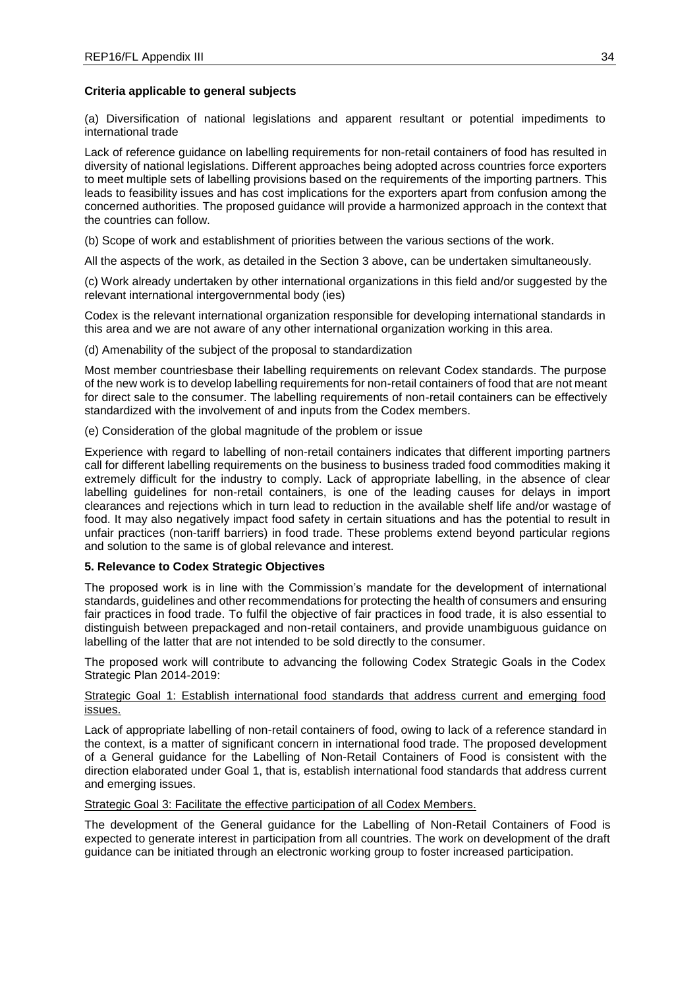### **Criteria applicable to general subjects**

(a) Diversification of national legislations and apparent resultant or potential impediments to international trade

Lack of reference guidance on labelling requirements for non-retail containers of food has resulted in diversity of national legislations. Different approaches being adopted across countries force exporters to meet multiple sets of labelling provisions based on the requirements of the importing partners. This leads to feasibility issues and has cost implications for the exporters apart from confusion among the concerned authorities. The proposed guidance will provide a harmonized approach in the context that the countries can follow.

(b) Scope of work and establishment of priorities between the various sections of the work.

All the aspects of the work, as detailed in the Section 3 above, can be undertaken simultaneously.

(c) Work already undertaken by other international organizations in this field and/or suggested by the relevant international intergovernmental body (ies)

Codex is the relevant international organization responsible for developing international standards in this area and we are not aware of any other international organization working in this area.

(d) Amenability of the subject of the proposal to standardization

Most member countriesbase their labelling requirements on relevant Codex standards. The purpose of the new work is to develop labelling requirements for non-retail containers of food that are not meant for direct sale to the consumer. The labelling requirements of non-retail containers can be effectively standardized with the involvement of and inputs from the Codex members.

(e) Consideration of the global magnitude of the problem or issue

Experience with regard to labelling of non-retail containers indicates that different importing partners call for different labelling requirements on the business to business traded food commodities making it extremely difficult for the industry to comply. Lack of appropriate labelling, in the absence of clear labelling guidelines for non-retail containers, is one of the leading causes for delays in import clearances and rejections which in turn lead to reduction in the available shelf life and/or wastage of food. It may also negatively impact food safety in certain situations and has the potential to result in unfair practices (non-tariff barriers) in food trade. These problems extend beyond particular regions and solution to the same is of global relevance and interest.

# **5. Relevance to Codex Strategic Objectives**

The proposed work is in line with the Commission's mandate for the development of international standards, guidelines and other recommendations for protecting the health of consumers and ensuring fair practices in food trade. To fulfil the objective of fair practices in food trade, it is also essential to distinguish between prepackaged and non-retail containers, and provide unambiguous guidance on labelling of the latter that are not intended to be sold directly to the consumer.

The proposed work will contribute to advancing the following Codex Strategic Goals in the Codex Strategic Plan 2014-2019:

### Strategic Goal 1: Establish international food standards that address current and emerging food issues.

Lack of appropriate labelling of non-retail containers of food, owing to lack of a reference standard in the context, is a matter of significant concern in international food trade. The proposed development of a General guidance for the Labelling of Non-Retail Containers of Food is consistent with the direction elaborated under Goal 1, that is, establish international food standards that address current and emerging issues.

### Strategic Goal 3: Facilitate the effective participation of all Codex Members.

The development of the General guidance for the Labelling of Non-Retail Containers of Food is expected to generate interest in participation from all countries. The work on development of the draft guidance can be initiated through an electronic working group to foster increased participation.